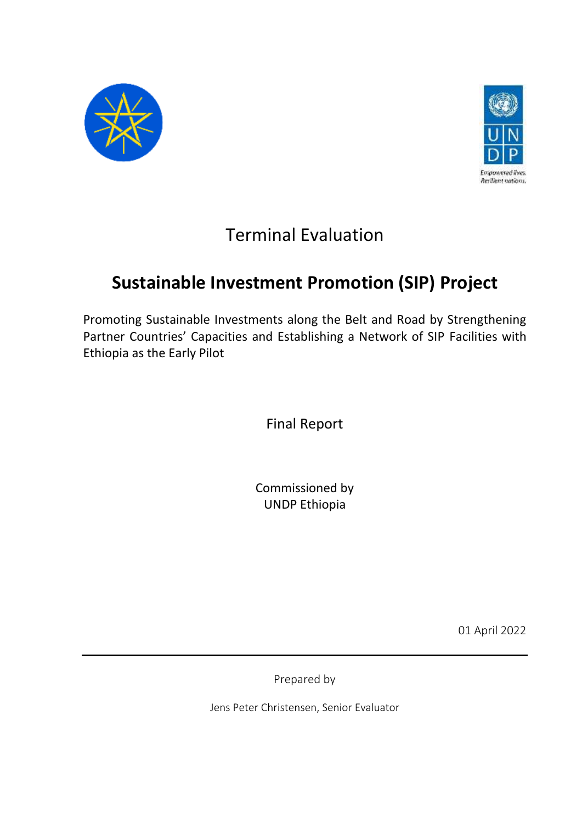



# Terminal Evaluation

# **Sustainable Investment Promotion (SIP) Project**

Promoting Sustainable Investments along the Belt and Road by Strengthening Partner Countries' Capacities and Establishing a Network of SIP Facilities with Ethiopia as the Early Pilot

Final Report

Commissioned by UNDP Ethiopia

01 April 2022

Prepared by

Jens Peter Christensen, Senior Evaluator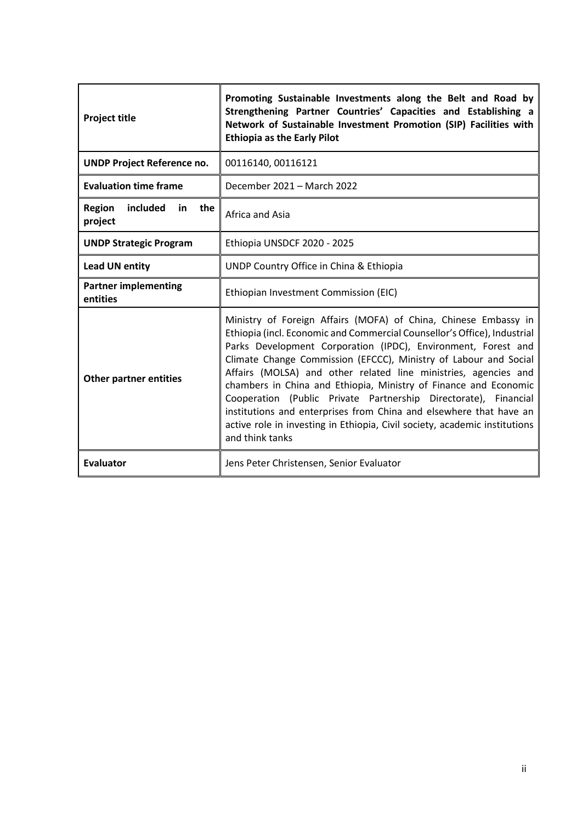| <b>Project title</b>                              | Promoting Sustainable Investments along the Belt and Road by<br>Strengthening Partner Countries' Capacities and Establishing a<br>Network of Sustainable Investment Promotion (SIP) Facilities with<br><b>Ethiopia as the Early Pilot</b>                                                                                                                                                                                                                                                                                                                                                                                                                         |  |  |  |
|---------------------------------------------------|-------------------------------------------------------------------------------------------------------------------------------------------------------------------------------------------------------------------------------------------------------------------------------------------------------------------------------------------------------------------------------------------------------------------------------------------------------------------------------------------------------------------------------------------------------------------------------------------------------------------------------------------------------------------|--|--|--|
| <b>UNDP Project Reference no.</b>                 | 00116140, 00116121                                                                                                                                                                                                                                                                                                                                                                                                                                                                                                                                                                                                                                                |  |  |  |
| <b>Evaluation time frame</b>                      | December 2021 – March 2022                                                                                                                                                                                                                                                                                                                                                                                                                                                                                                                                                                                                                                        |  |  |  |
| <b>Region</b><br>included<br>in<br>the<br>project | Africa and Asia                                                                                                                                                                                                                                                                                                                                                                                                                                                                                                                                                                                                                                                   |  |  |  |
| <b>UNDP Strategic Program</b>                     | Ethiopia UNSDCF 2020 - 2025                                                                                                                                                                                                                                                                                                                                                                                                                                                                                                                                                                                                                                       |  |  |  |
| <b>Lead UN entity</b>                             | UNDP Country Office in China & Ethiopia                                                                                                                                                                                                                                                                                                                                                                                                                                                                                                                                                                                                                           |  |  |  |
| <b>Partner implementing</b><br>entities           | Ethiopian Investment Commission (EIC)                                                                                                                                                                                                                                                                                                                                                                                                                                                                                                                                                                                                                             |  |  |  |
| <b>Other partner entities</b>                     | Ministry of Foreign Affairs (MOFA) of China, Chinese Embassy in<br>Ethiopia (incl. Economic and Commercial Counsellor's Office), Industrial<br>Parks Development Corporation (IPDC), Environment, Forest and<br>Climate Change Commission (EFCCC), Ministry of Labour and Social<br>Affairs (MOLSA) and other related line ministries, agencies and<br>chambers in China and Ethiopia, Ministry of Finance and Economic<br>Cooperation (Public Private Partnership Directorate), Financial<br>institutions and enterprises from China and elsewhere that have an<br>active role in investing in Ethiopia, Civil society, academic institutions<br>and think tanks |  |  |  |
| <b>Evaluator</b>                                  | Jens Peter Christensen, Senior Evaluator                                                                                                                                                                                                                                                                                                                                                                                                                                                                                                                                                                                                                          |  |  |  |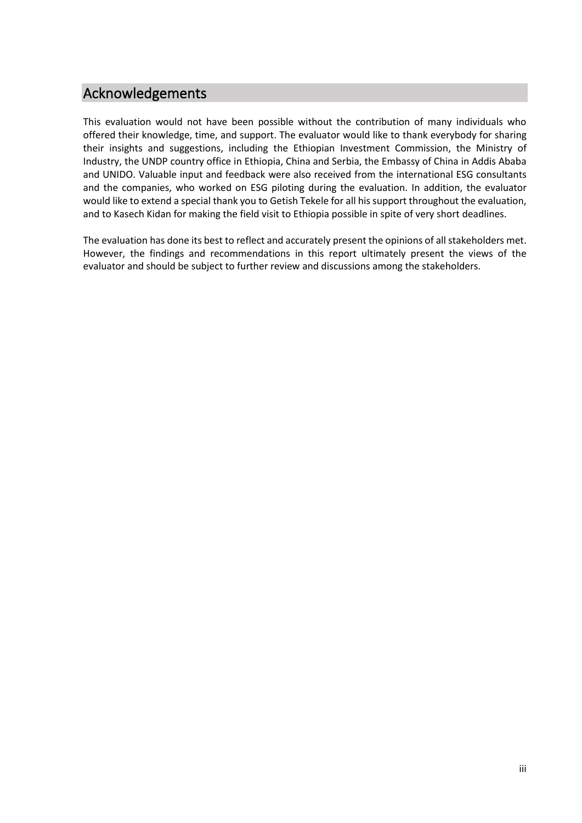# Acknowledgements

This evaluation would not have been possible without the contribution of many individuals who offered their knowledge, time, and support. The evaluator would like to thank everybody for sharing their insights and suggestions, including the Ethiopian Investment Commission, the Ministry of Industry, the UNDP country office in Ethiopia, China and Serbia, the Embassy of China in Addis Ababa and UNIDO. Valuable input and feedback were also received from the international ESG consultants and the companies, who worked on ESG piloting during the evaluation. In addition, the evaluator would like to extend a special thank you to Getish Tekele for all his support throughout the evaluation, and to Kasech Kidan for making the field visit to Ethiopia possible in spite of very short deadlines.

The evaluation has done its best to reflect and accurately present the opinions of all stakeholders met. However, the findings and recommendations in this report ultimately present the views of the evaluator and should be subject to further review and discussions among the stakeholders.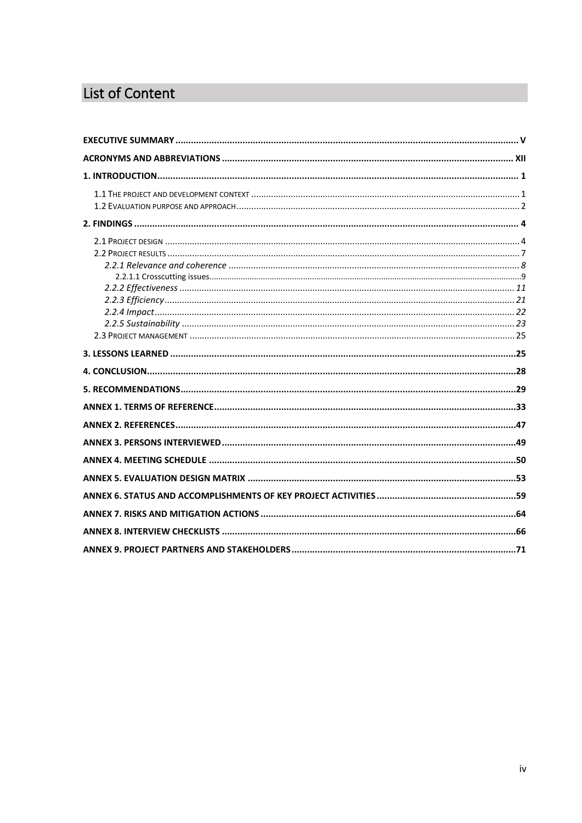# List of Content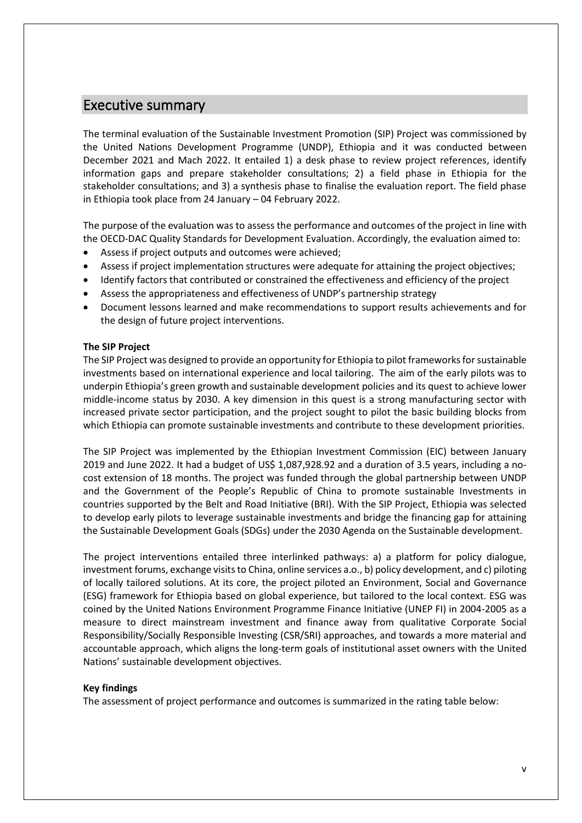# <span id="page-4-0"></span>Executive summary

The terminal evaluation of the Sustainable Investment Promotion (SIP) Project was commissioned by the United Nations Development Programme (UNDP), Ethiopia and it was conducted between December 2021 and Mach 2022. It entailed 1) a desk phase to review project references, identify information gaps and prepare stakeholder consultations; 2) a field phase in Ethiopia for the stakeholder consultations; and 3) a synthesis phase to finalise the evaluation report. The field phase in Ethiopia took place from 24 January – 04 February 2022.

The purpose of the evaluation was to assess the performance and outcomes of the project in line with the OECD-DAC Quality Standards for Development Evaluation. Accordingly, the evaluation aimed to:

- Assess if project outputs and outcomes were achieved;
- Assess if project implementation structures were adequate for attaining the project objectives;
- Identify factors that contributed or constrained the effectiveness and efficiency of the project
- Assess the appropriateness and effectiveness of UNDP's partnership strategy
- Document lessons learned and make recommendations to support results achievements and for the design of future project interventions.

#### **The SIP Project**

The SIP Project was designed to provide an opportunity for Ethiopia to pilot frameworks for sustainable investments based on international experience and local tailoring. The aim of the early pilots was to underpin Ethiopia's green growth and sustainable development policies and its quest to achieve lower middle-income status by 2030. A key dimension in this quest is a strong manufacturing sector with increased private sector participation, and the project sought to pilot the basic building blocks from which Ethiopia can promote sustainable investments and contribute to these development priorities.

The SIP Project was implemented by the Ethiopian Investment Commission (EIC) between January 2019 and June 2022. It had a budget of US\$ 1,087,928.92 and a duration of 3.5 years, including a nocost extension of 18 months. The project was funded through the global partnership between UNDP and the Government of the People's Republic of China to promote sustainable Investments in countries supported by the Belt and Road Initiative (BRI). With the SIP Project, Ethiopia was selected to develop early pilots to leverage sustainable investments and bridge the financing gap for attaining the Sustainable Development Goals (SDGs) under the 2030 Agenda on the Sustainable development.

The project interventions entailed three interlinked pathways: a) a platform for policy dialogue, investment forums, exchange visits to China, online services a.o., b) policy development, and c) piloting of locally tailored solutions. At its core, the project piloted an Environment, Social and Governance (ESG) framework for Ethiopia based on global experience, but tailored to the local context. ESG was coined by the United Nations Environment Programme Finance Initiative (UNEP FI) in 2004-2005 as a measure to direct mainstream investment and finance away from qualitative Corporate Social Responsibility/Socially Responsible Investing (CSR/SRI) approaches, and towards a more material and accountable approach, which aligns the long-term goals of institutional asset owners with the United Nations' sustainable development objectives.

#### **Key findings**

The assessment of project performance and outcomes is summarized in the rating table below: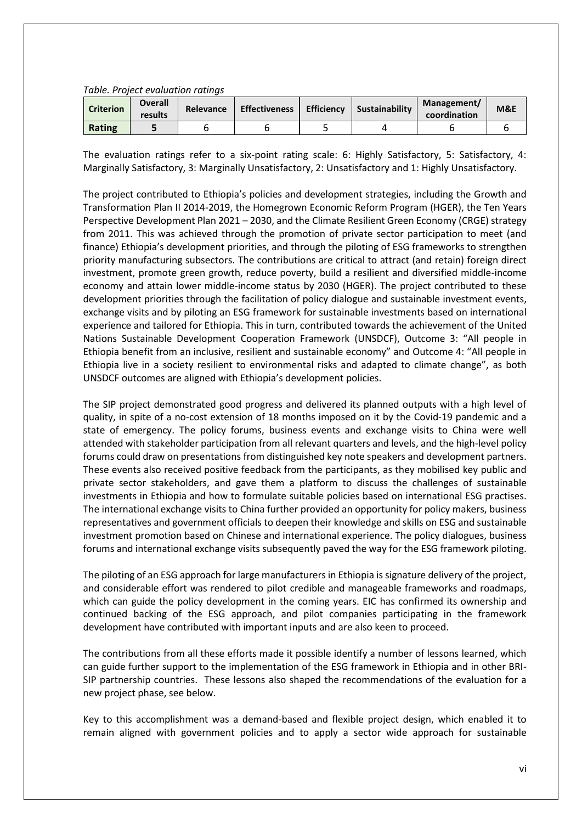#### *Table. Project evaluation ratings*

| <b>Criterion</b> | <b>Overall</b><br>results | <b>Relevance</b> | <b>Effectiveness</b> | <b>Efficiency</b> | Sustainability | Management/<br>coordination | M&E |
|------------------|---------------------------|------------------|----------------------|-------------------|----------------|-----------------------------|-----|
| Rating           |                           |                  |                      |                   |                |                             |     |

The evaluation ratings refer to a six-point rating scale: 6: Highly Satisfactory, 5: Satisfactory, 4: Marginally Satisfactory, 3: Marginally Unsatisfactory, 2: Unsatisfactory and 1: Highly Unsatisfactory.

The project contributed to Ethiopia's policies and development strategies, including the Growth and Transformation Plan II 2014-2019, the Homegrown Economic Reform Program (HGER), the Ten Years Perspective Development Plan 2021 – 2030, and the Climate Resilient Green Economy (CRGE) strategy from 2011. This was achieved through the promotion of private sector participation to meet (and finance) Ethiopia's development priorities, and through the piloting of ESG frameworks to strengthen priority manufacturing subsectors. The contributions are critical to attract (and retain) foreign direct investment, promote green growth, reduce poverty, build a resilient and diversified middle-income economy and attain lower middle-income status by 2030 (HGER). The project contributed to these development priorities through the facilitation of policy dialogue and sustainable investment events, exchange visits and by piloting an ESG framework for sustainable investments based on international experience and tailored for Ethiopia. This in turn, contributed towards the achievement of the United Nations Sustainable Development Cooperation Framework (UNSDCF), Outcome 3: "All people in Ethiopia benefit from an inclusive, resilient and sustainable economy" and Outcome 4: "All people in Ethiopia live in a society resilient to environmental risks and adapted to climate change", as both UNSDCF outcomes are aligned with Ethiopia's development policies.

The SIP project demonstrated good progress and delivered its planned outputs with a high level of quality, in spite of a no-cost extension of 18 months imposed on it by the Covid-19 pandemic and a state of emergency. The policy forums, business events and exchange visits to China were well attended with stakeholder participation from all relevant quarters and levels, and the high-level policy forums could draw on presentations from distinguished key note speakers and development partners. These events also received positive feedback from the participants, as they mobilised key public and private sector stakeholders, and gave them a platform to discuss the challenges of sustainable investments in Ethiopia and how to formulate suitable policies based on international ESG practises. The international exchange visits to China further provided an opportunity for policy makers, business representatives and government officials to deepen their knowledge and skills on ESG and sustainable investment promotion based on Chinese and international experience. The policy dialogues, business forums and international exchange visits subsequently paved the way for the ESG framework piloting.

The piloting of an ESG approach for large manufacturers in Ethiopia is signature delivery of the project, and considerable effort was rendered to pilot credible and manageable frameworks and roadmaps, which can guide the policy development in the coming years. EIC has confirmed its ownership and continued backing of the ESG approach, and pilot companies participating in the framework development have contributed with important inputs and are also keen to proceed.

The contributions from all these efforts made it possible identify a number of lessons learned, which can guide further support to the implementation of the ESG framework in Ethiopia and in other BRI-SIP partnership countries. These lessons also shaped the recommendations of the evaluation for a new project phase, see below.

Key to this accomplishment was a demand-based and flexible project design, which enabled it to remain aligned with government policies and to apply a sector wide approach for sustainable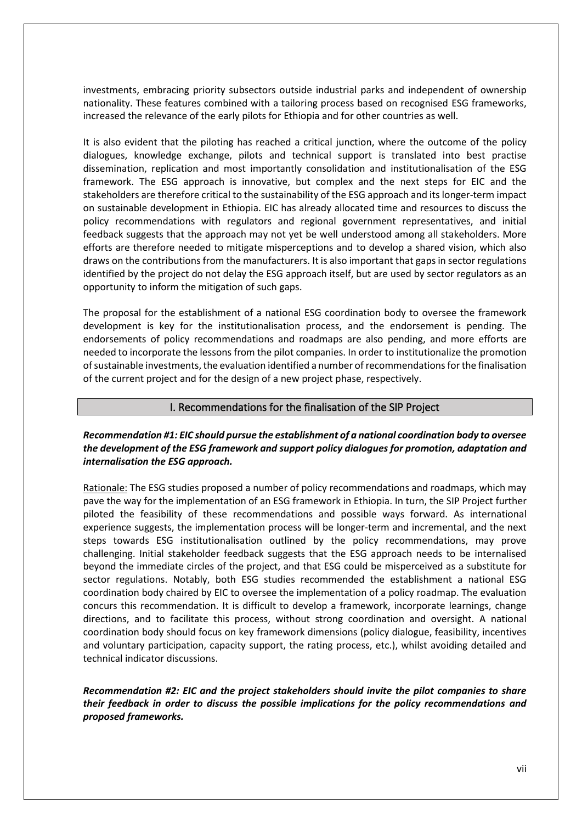investments, embracing priority subsectors outside industrial parks and independent of ownership nationality. These features combined with a tailoring process based on recognised ESG frameworks, increased the relevance of the early pilots for Ethiopia and for other countries as well.

It is also evident that the piloting has reached a critical junction, where the outcome of the policy dialogues, knowledge exchange, pilots and technical support is translated into best practise dissemination, replication and most importantly consolidation and institutionalisation of the ESG framework. The ESG approach is innovative, but complex and the next steps for EIC and the stakeholders are therefore critical to the sustainability of the ESG approach and its longer-term impact on sustainable development in Ethiopia. EIC has already allocated time and resources to discuss the policy recommendations with regulators and regional government representatives, and initial feedback suggests that the approach may not yet be well understood among all stakeholders. More efforts are therefore needed to mitigate misperceptions and to develop a shared vision, which also draws on the contributions from the manufacturers. It is also important that gaps in sector regulations identified by the project do not delay the ESG approach itself, but are used by sector regulators as an opportunity to inform the mitigation of such gaps.

The proposal for the establishment of a national ESG coordination body to oversee the framework development is key for the institutionalisation process, and the endorsement is pending. The endorsements of policy recommendations and roadmaps are also pending, and more efforts are needed to incorporate the lessons from the pilot companies. In order to institutionalize the promotion of sustainable investments, the evaluation identified a number of recommendations for the finalisation of the current project and for the design of a new project phase, respectively.

## I. Recommendations for the finalisation of the SIP Project

## *Recommendation #1: EIC should pursue the establishment of a national coordination body to oversee the development of the ESG framework and support policy dialogues for promotion, adaptation and internalisation the ESG approach.*

Rationale: The ESG studies proposed a number of policy recommendations and roadmaps, which may pave the way for the implementation of an ESG framework in Ethiopia. In turn, the SIP Project further piloted the feasibility of these recommendations and possible ways forward. As international experience suggests, the implementation process will be longer-term and incremental, and the next steps towards ESG institutionalisation outlined by the policy recommendations, may prove challenging. Initial stakeholder feedback suggests that the ESG approach needs to be internalised beyond the immediate circles of the project, and that ESG could be misperceived as a substitute for sector regulations. Notably, both ESG studies recommended the establishment a national ESG coordination body chaired by EIC to oversee the implementation of a policy roadmap. The evaluation concurs this recommendation. It is difficult to develop a framework, incorporate learnings, change directions, and to facilitate this process, without strong coordination and oversight. A national coordination body should focus on key framework dimensions (policy dialogue, feasibility, incentives and voluntary participation, capacity support, the rating process, etc.), whilst avoiding detailed and technical indicator discussions.

*Recommendation #2: EIC and the project stakeholders should invite the pilot companies to share their feedback in order to discuss the possible implications for the policy recommendations and proposed frameworks.*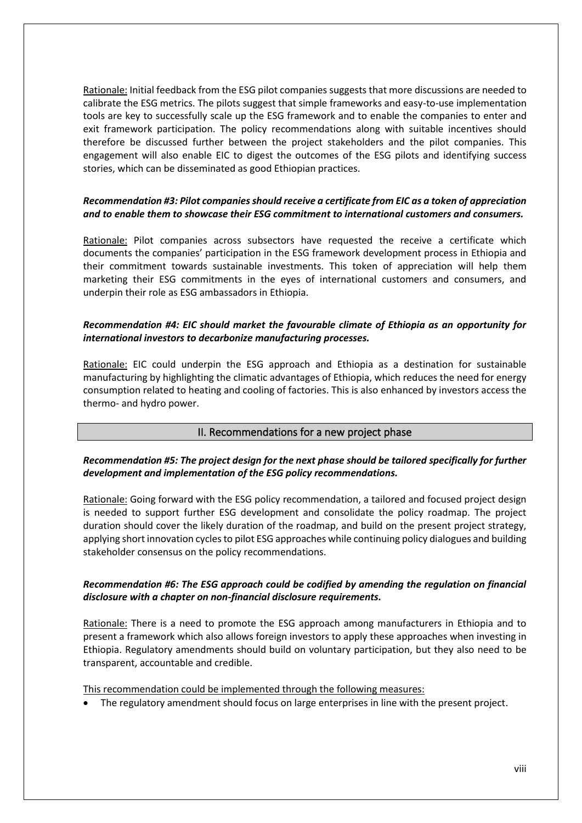Rationale: Initial feedback from the ESG pilot companies suggests that more discussions are needed to calibrate the ESG metrics. The pilots suggest that simple frameworks and easy-to-use implementation tools are key to successfully scale up the ESG framework and to enable the companies to enter and exit framework participation. The policy recommendations along with suitable incentives should therefore be discussed further between the project stakeholders and the pilot companies. This engagement will also enable EIC to digest the outcomes of the ESG pilots and identifying success stories, which can be disseminated as good Ethiopian practices.

## *Recommendation #3: Pilot companies should receive a certificate from EIC as a token of appreciation and to enable them to showcase their ESG commitment to international customers and consumers.*

Rationale: Pilot companies across subsectors have requested the receive a certificate which documents the companies' participation in the ESG framework development process in Ethiopia and their commitment towards sustainable investments. This token of appreciation will help them marketing their ESG commitments in the eyes of international customers and consumers, and underpin their role as ESG ambassadors in Ethiopia.

## *Recommendation #4: EIC should market the favourable climate of Ethiopia as an opportunity for international investors to decarbonize manufacturing processes.*

Rationale: EIC could underpin the ESG approach and Ethiopia as a destination for sustainable manufacturing by highlighting the climatic advantages of Ethiopia, which reduces the need for energy consumption related to heating and cooling of factories. This is also enhanced by investors access the thermo- and hydro power.

## II. Recommendations for a new project phase

## *Recommendation #5: The project design for the next phase should be tailored specifically for further development and implementation of the ESG policy recommendations.*

Rationale: Going forward with the ESG policy recommendation, a tailored and focused project design is needed to support further ESG development and consolidate the policy roadmap. The project duration should cover the likely duration of the roadmap, and build on the present project strategy, applying short innovation cycles to pilot ESG approaches while continuing policy dialogues and building stakeholder consensus on the policy recommendations.

## *Recommendation #6: The ESG approach could be codified by amending the regulation on financial disclosure with a chapter on non-financial disclosure requirements.*

Rationale: There is a need to promote the ESG approach among manufacturers in Ethiopia and to present a framework which also allows foreign investors to apply these approaches when investing in Ethiopia. Regulatory amendments should build on voluntary participation, but they also need to be transparent, accountable and credible.

This recommendation could be implemented through the following measures:

• The regulatory amendment should focus on large enterprises in line with the present project.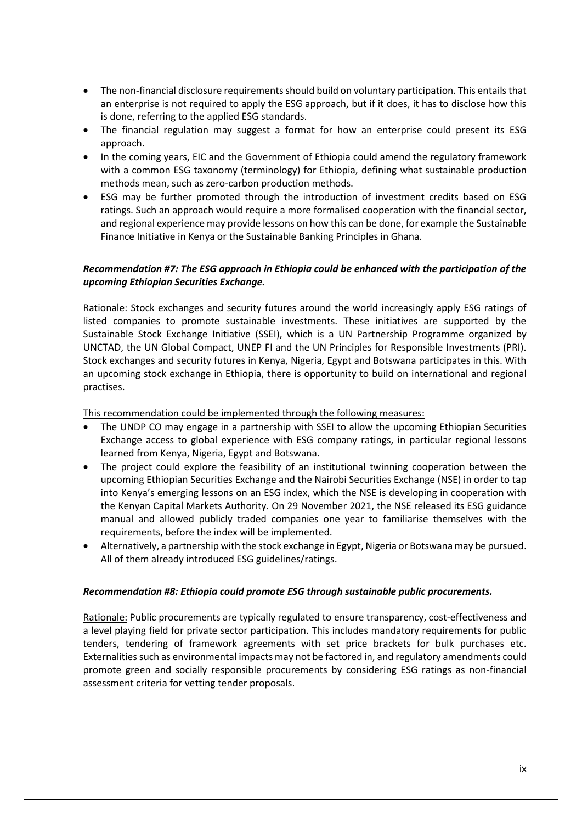- The non-financial disclosure requirements should build on voluntary participation. This entails that an enterprise is not required to apply the ESG approach, but if it does, it has to disclose how this is done, referring to the applied ESG standards.
- The financial regulation may suggest a format for how an enterprise could present its ESG approach.
- In the coming years, EIC and the Government of Ethiopia could amend the regulatory framework with a common ESG taxonomy (terminology) for Ethiopia, defining what sustainable production methods mean, such as zero-carbon production methods.
- ESG may be further promoted through the introduction of investment credits based on ESG ratings. Such an approach would require a more formalised cooperation with the financial sector, and regional experience may provide lessons on how this can be done, for example the Sustainable Finance Initiative in Kenya or the Sustainable Banking Principles in Ghana.

## *Recommendation #7: The ESG approach in Ethiopia could be enhanced with the participation of the upcoming Ethiopian Securities Exchange.*

Rationale: Stock exchanges and security futures around the world increasingly apply ESG ratings of listed companies to promote sustainable investments. These initiatives are supported by the Sustainable Stock Exchange Initiative (SSEI), which is a UN Partnership Programme organized by UNCTAD, the UN Global Compact, UNEP FI and the UN Principles for Responsible Investments (PRI). Stock exchanges and security futures in Kenya, Nigeria, Egypt and Botswana participates in this. With an upcoming stock exchange in Ethiopia, there is opportunity to build on international and regional practises.

This recommendation could be implemented through the following measures:

- The UNDP CO may engage in a partnership with SSEI to allow the upcoming Ethiopian Securities Exchange access to global experience with ESG company ratings, in particular regional lessons learned from Kenya, Nigeria, Egypt and Botswana.
- The project could explore the feasibility of an institutional twinning cooperation between the upcoming Ethiopian Securities Exchange and the Nairobi Securities Exchange (NSE) in order to tap into Kenya's emerging lessons on an ESG index, which the NSE is developing in cooperation with the Kenyan Capital Markets Authority. On 29 November 2021, the NSE released its ESG guidance manual and allowed publicly traded companies one year to familiarise themselves with the requirements, before the index will be implemented.
- Alternatively, a partnership with the stock exchange in Egypt, Nigeria or Botswana may be pursued. All of them already introduced ESG guidelines/ratings.

## *Recommendation #8: Ethiopia could promote ESG through sustainable public procurements.*

Rationale: Public procurements are typically regulated to ensure transparency, cost-effectiveness and a level playing field for private sector participation. This includes mandatory requirements for public tenders, tendering of framework agreements with set price brackets for bulk purchases etc. Externalities such as environmental impacts may not be factored in, and regulatory amendments could promote green and socially responsible procurements by considering ESG ratings as non-financial assessment criteria for vetting tender proposals.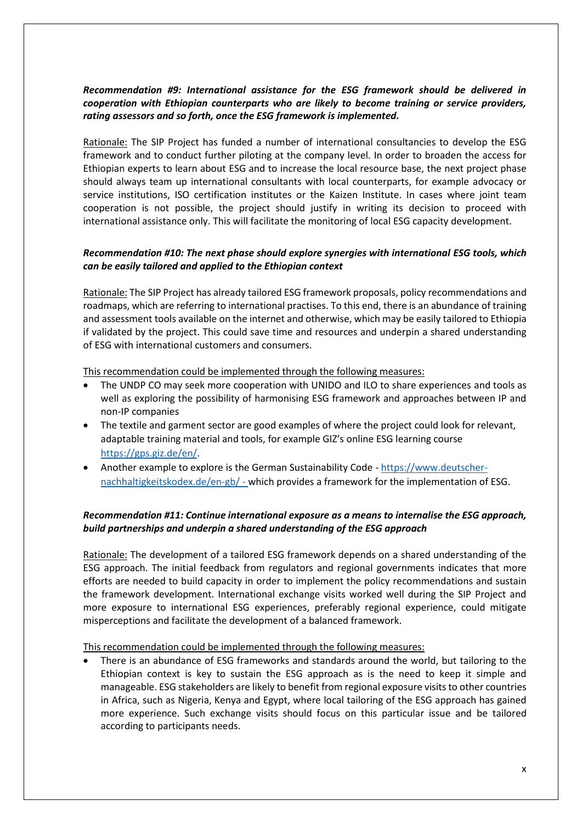## *Recommendation #9: International assistance for the ESG framework should be delivered in cooperation with Ethiopian counterparts who are likely to become training or service providers, rating assessors and so forth, once the ESG framework is implemented.*

Rationale: The SIP Project has funded a number of international consultancies to develop the ESG framework and to conduct further piloting at the company level. In order to broaden the access for Ethiopian experts to learn about ESG and to increase the local resource base, the next project phase should always team up international consultants with local counterparts, for example advocacy or service institutions, ISO certification institutes or the Kaizen Institute. In cases where joint team cooperation is not possible, the project should justify in writing its decision to proceed with international assistance only. This will facilitate the monitoring of local ESG capacity development.

## *Recommendation #10: The next phase should explore synergies with international ESG tools, which can be easily tailored and applied to the Ethiopian context*

Rationale: The SIP Project has already tailored ESG framework proposals, policy recommendations and roadmaps, which are referring to international practises. To this end, there is an abundance of training and assessment tools available on the internet and otherwise, which may be easily tailored to Ethiopia if validated by the project. This could save time and resources and underpin a shared understanding of ESG with international customers and consumers.

This recommendation could be implemented through the following measures:

- The UNDP CO may seek more cooperation with UNIDO and ILO to share experiences and tools as well as exploring the possibility of harmonising ESG framework and approaches between IP and non-IP companies
- The textile and garment sector are good examples of where the project could look for relevant, adaptable training material and tools, for example GIZ's online ESG learning course [https://gps.giz.de/en/.](https://gps.giz.de/en/)
- Another example to explore is the German Sustainability Code [https://www.deutscher](https://www.deutscher-nachhaltigkeitskodex.de/en-gb/)[nachhaltigkeitskodex.de/en-gb/](https://www.deutscher-nachhaltigkeitskodex.de/en-gb/) - which provides a framework for the implementation of ESG.

# *Recommendation #11: Continue international exposure as a means to internalise the ESG approach, build partnerships and underpin a shared understanding of the ESG approach*

Rationale: The development of a tailored ESG framework depends on a shared understanding of the ESG approach. The initial feedback from regulators and regional governments indicates that more efforts are needed to build capacity in order to implement the policy recommendations and sustain the framework development. International exchange visits worked well during the SIP Project and more exposure to international ESG experiences, preferably regional experience, could mitigate misperceptions and facilitate the development of a balanced framework.

This recommendation could be implemented through the following measures:

• There is an abundance of ESG frameworks and standards around the world, but tailoring to the Ethiopian context is key to sustain the ESG approach as is the need to keep it simple and manageable. ESG stakeholders are likely to benefit from regional exposure visits to other countries in Africa, such as Nigeria, Kenya and Egypt, where local tailoring of the ESG approach has gained more experience. Such exchange visits should focus on this particular issue and be tailored according to participants needs.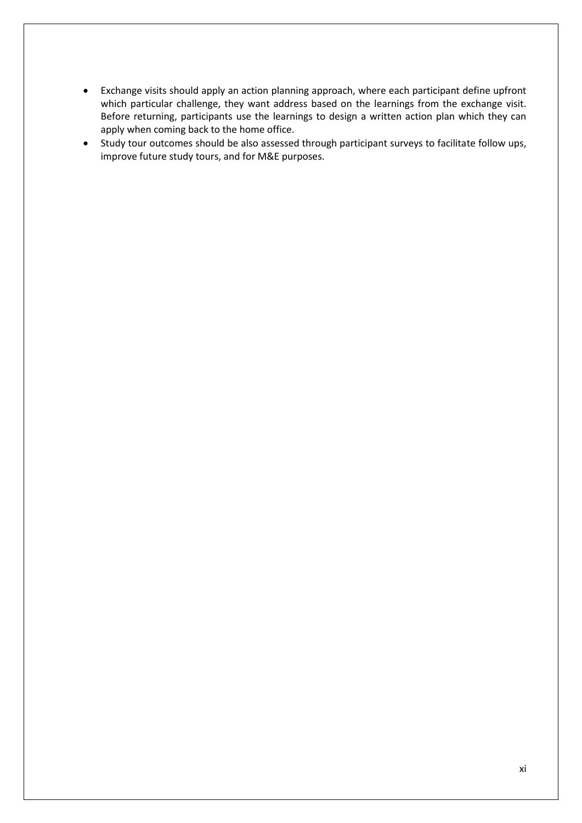- Exchange visits should apply an action planning approach, where each participant define upfront which particular challenge, they want address based on the learnings from the exchange visit. Before returning, participants use the learnings to design a written action plan which they can apply when coming back to the home office.
- Study tour outcomes should be also assessed through participant surveys to facilitate follow ups, improve future study tours, and for M&E purposes.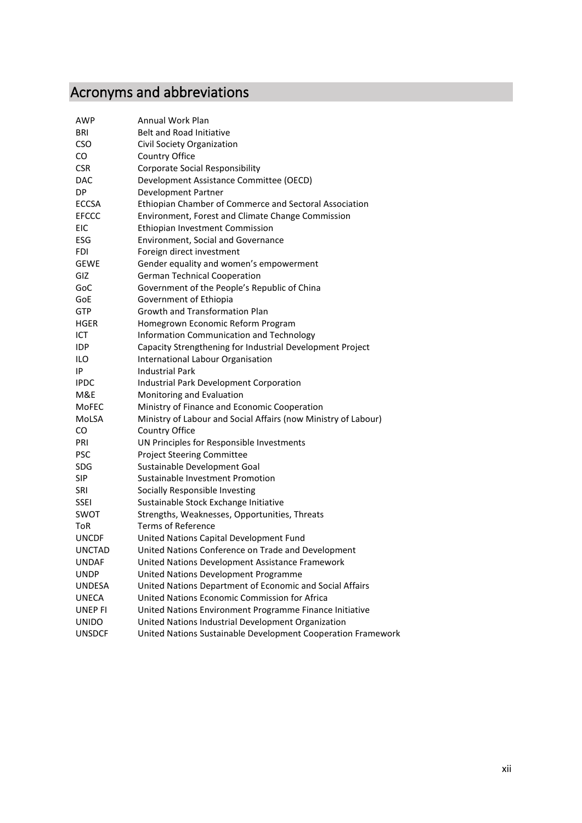# <span id="page-11-0"></span>Acronyms and abbreviations

| AWP            | <b>Annual Work Plan</b>                                        |
|----------------|----------------------------------------------------------------|
| BRI            | <b>Belt and Road Initiative</b>                                |
| CSO            | Civil Society Organization                                     |
| CO.            | Country Office                                                 |
| <b>CSR</b>     | <b>Corporate Social Responsibility</b>                         |
| <b>DAC</b>     | Development Assistance Committee (OECD)                        |
| DP             | Development Partner                                            |
| <b>ECCSA</b>   | Ethiopian Chamber of Commerce and Sectoral Association         |
| <b>EFCCC</b>   | Environment, Forest and Climate Change Commission              |
| <b>EIC</b>     | Ethiopian Investment Commission                                |
| ESG            | <b>Environment, Social and Governance</b>                      |
| FDI            | Foreign direct investment                                      |
| <b>GEWE</b>    | Gender equality and women's empowerment                        |
| GIZ            | <b>German Technical Cooperation</b>                            |
| GoC            | Government of the People's Republic of China                   |
| GoE            | Government of Ethiopia                                         |
| GTP            | <b>Growth and Transformation Plan</b>                          |
| HGER           | Homegrown Economic Reform Program                              |
| ICT            | Information Communication and Technology                       |
| IDP            | Capacity Strengthening for Industrial Development Project      |
| ILO            | International Labour Organisation                              |
| ١P             | <b>Industrial Park</b>                                         |
| <b>IPDC</b>    | Industrial Park Development Corporation                        |
| M&E            | Monitoring and Evaluation                                      |
| MoFEC          | Ministry of Finance and Economic Cooperation                   |
| MoLSA          | Ministry of Labour and Social Affairs (now Ministry of Labour) |
| CO             | Country Office                                                 |
| PRI            | UN Principles for Responsible Investments                      |
| <b>PSC</b>     | <b>Project Steering Committee</b>                              |
| <b>SDG</b>     | Sustainable Development Goal                                   |
| <b>SIP</b>     | Sustainable Investment Promotion                               |
| SRI            | Socially Responsible Investing                                 |
| <b>SSEI</b>    | Sustainable Stock Exchange Initiative                          |
| SWOT           | Strengths, Weaknesses, Opportunities, Threats                  |
| ToR            | <b>Terms of Reference</b>                                      |
| <b>UNCDF</b>   | United Nations Capital Development Fund                        |
| <b>UNCTAD</b>  | United Nations Conference on Trade and Development             |
| <b>UNDAF</b>   | United Nations Development Assistance Framework                |
| <b>UNDP</b>    | United Nations Development Programme                           |
| <b>UNDESA</b>  | United Nations Department of Economic and Social Affairs       |
| <b>UNECA</b>   | United Nations Economic Commission for Africa                  |
| <b>UNEP FI</b> | United Nations Environment Programme Finance Initiative        |
| <b>UNIDO</b>   | United Nations Industrial Development Organization             |
| <b>UNSDCF</b>  | United Nations Sustainable Development Cooperation Framework   |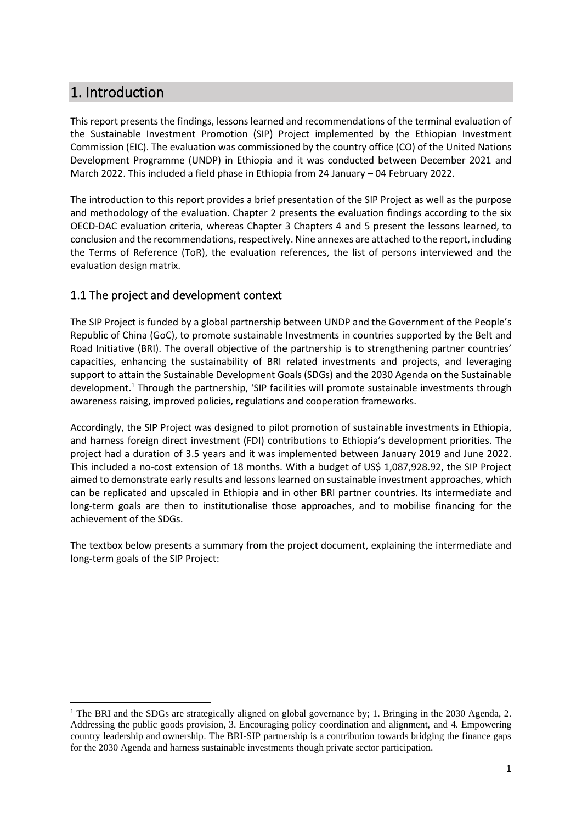# <span id="page-12-0"></span>1. Introduction

This report presents the findings, lessons learned and recommendations of the terminal evaluation of the Sustainable Investment Promotion (SIP) Project implemented by the Ethiopian Investment Commission (EIC). The evaluation was commissioned by the country office (CO) of the United Nations Development Programme (UNDP) in Ethiopia and it was conducted between December 2021 and March 2022. This included a field phase in Ethiopia from 24 January – 04 February 2022.

The introduction to this report provides a brief presentation of the SIP Project as well as the purpose and methodology of the evaluation. Chapter 2 presents the evaluation findings according to the six OECD-DAC evaluation criteria, whereas Chapter 3 Chapters 4 and 5 present the lessons learned, to conclusion and the recommendations, respectively. Nine annexes are attached to the report, including the Terms of Reference (ToR), the evaluation references, the list of persons interviewed and the evaluation design matrix.

# <span id="page-12-1"></span>1.1 The project and development context

The SIP Project is funded by a global partnership between UNDP and the Government of the People's Republic of China (GoC), to promote sustainable Investments in countries supported by the Belt and Road Initiative (BRI). The overall objective of the partnership is to strengthening partner countries' capacities, enhancing the sustainability of BRI related investments and projects, and leveraging support to attain the Sustainable Development Goals (SDGs) and the 2030 Agenda on the Sustainable development.<sup>1</sup> Through the partnership, 'SIP facilities will promote sustainable investments through awareness raising, improved policies, regulations and cooperation frameworks.

Accordingly, the SIP Project was designed to pilot promotion of sustainable investments in Ethiopia, and harness foreign direct investment (FDI) contributions to Ethiopia's development priorities. The project had a duration of 3.5 years and it was implemented between January 2019 and June 2022. This included a no-cost extension of 18 months. With a budget of US\$ 1,087,928.92, the SIP Project aimed to demonstrate early results and lessons learned on sustainable investment approaches, which can be replicated and upscaled in Ethiopia and in other BRI partner countries. Its intermediate and long-term goals are then to institutionalise those approaches, and to mobilise financing for the achievement of the SDGs.

The textbox below presents a summary from the project document, explaining the intermediate and long-term goals of the SIP Project:

<sup>&</sup>lt;sup>1</sup> The BRI and the SDGs are strategically aligned on global governance by; 1. Bringing in the 2030 Agenda, 2. Addressing the public goods provision, 3. Encouraging policy coordination and alignment, and 4. Empowering country leadership and ownership. The BRI-SIP partnership is a contribution towards bridging the finance gaps for the 2030 Agenda and harness sustainable investments though private sector participation.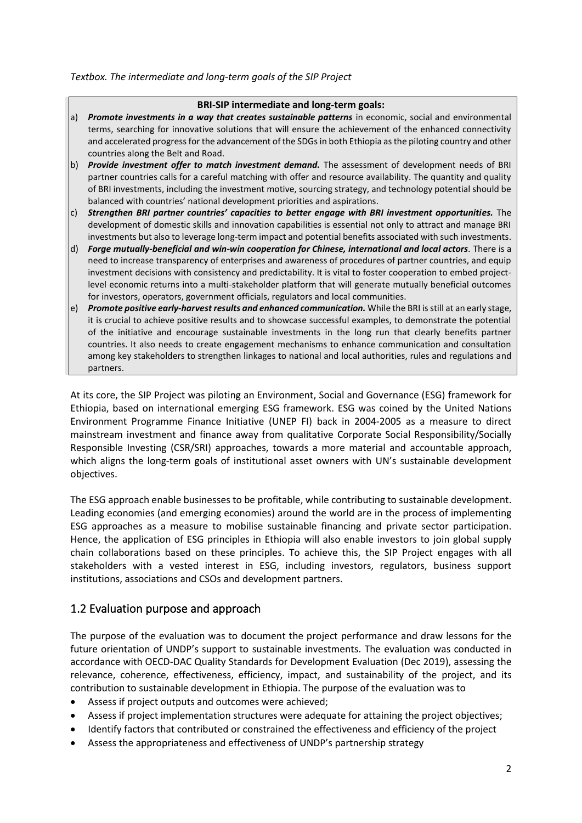#### *Textbox. The intermediate and long-term goals of the SIP Project*

#### **BRI-SIP intermediate and long-term goals:**

- a) *Promote investments in a way that creates sustainable patterns* in economic, social and environmental terms, searching for innovative solutions that will ensure the achievement of the enhanced connectivity and accelerated progress for the advancement of the SDGs in both Ethiopia as the piloting country and other countries along the Belt and Road.
- b) *Provide investment offer to match investment demand.* The assessment of development needs of BRI partner countries calls for a careful matching with offer and resource availability. The quantity and quality of BRI investments, including the investment motive, sourcing strategy, and technology potential should be balanced with countries' national development priorities and aspirations.
- c) *Strengthen BRI partner countries' capacities to better engage with BRI investment opportunities.* The development of domestic skills and innovation capabilities is essential not only to attract and manage BRI investments but also to leverage long-term impact and potential benefits associated with such investments.
- d) *Forge mutually-beneficial and win-win cooperation for Chinese, international and local actors.* There is a need to increase transparency of enterprises and awareness of procedures of partner countries, and equip investment decisions with consistency and predictability. It is vital to foster cooperation to embed projectlevel economic returns into a multi-stakeholder platform that will generate mutually beneficial outcomes for investors, operators, government officials, regulators and local communities.
- e) *Promote positive early-harvest results and enhanced communication.* While the BRI is still at an early stage, it is crucial to achieve positive results and to showcase successful examples, to demonstrate the potential of the initiative and encourage sustainable investments in the long run that clearly benefits partner countries. It also needs to create engagement mechanisms to enhance communication and consultation among key stakeholders to strengthen linkages to national and local authorities, rules and regulations and partners.

At its core, the SIP Project was piloting an Environment, Social and Governance (ESG) framework for Ethiopia, based on international emerging ESG framework. ESG was coined by the United Nations Environment Programme Finance Initiative (UNEP FI) back in 2004-2005 as a measure to direct mainstream investment and finance away from qualitative Corporate Social Responsibility/Socially Responsible Investing (CSR/SRI) approaches, towards a more material and accountable approach, which aligns the long-term goals of institutional asset owners with UN's sustainable development objectives.

The ESG approach enable businesses to be profitable, while contributing to sustainable development. Leading economies (and emerging economies) around the world are in the process of implementing ESG approaches as a measure to mobilise sustainable financing and private sector participation. Hence, the application of ESG principles in Ethiopia will also enable investors to join global supply chain collaborations based on these principles. To achieve this, the SIP Project engages with all stakeholders with a vested interest in ESG, including investors, regulators, business support institutions, associations and CSOs and development partners.

# <span id="page-13-0"></span>1.2 Evaluation purpose and approach

The purpose of the evaluation was to document the project performance and draw lessons for the future orientation of UNDP's support to sustainable investments. The evaluation was conducted in accordance with OECD-DAC Quality Standards for Development Evaluation (Dec 2019), assessing the relevance, coherence, effectiveness, efficiency, impact, and sustainability of the project, and its contribution to sustainable development in Ethiopia. The purpose of the evaluation was to

- Assess if project outputs and outcomes were achieved;
- Assess if project implementation structures were adequate for attaining the project objectives;
- Identify factors that contributed or constrained the effectiveness and efficiency of the project
- Assess the appropriateness and effectiveness of UNDP's partnership strategy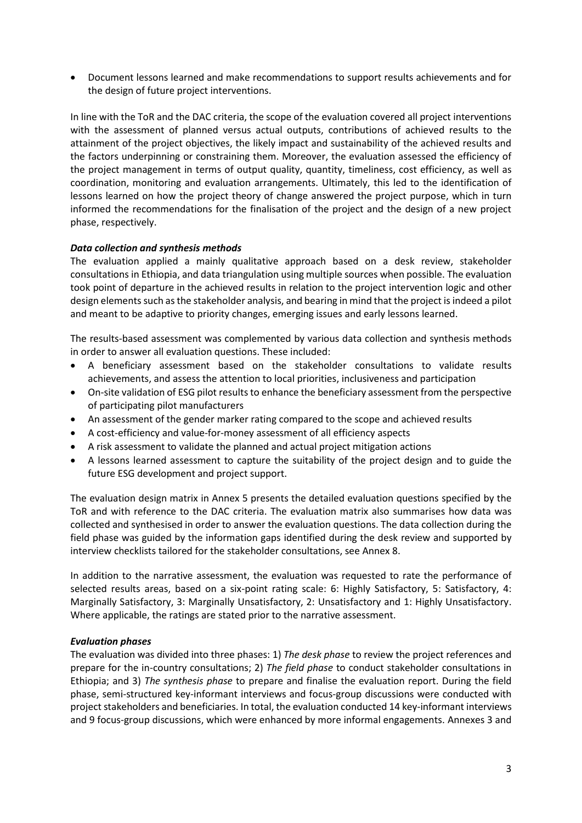• Document lessons learned and make recommendations to support results achievements and for the design of future project interventions.

In line with the ToR and the DAC criteria, the scope of the evaluation covered all project interventions with the assessment of planned versus actual outputs, contributions of achieved results to the attainment of the project objectives, the likely impact and sustainability of the achieved results and the factors underpinning or constraining them. Moreover, the evaluation assessed the efficiency of the project management in terms of output quality, quantity, timeliness, cost efficiency, as well as coordination, monitoring and evaluation arrangements. Ultimately, this led to the identification of lessons learned on how the project theory of change answered the project purpose, which in turn informed the recommendations for the finalisation of the project and the design of a new project phase, respectively.

#### *Data collection and synthesis methods*

The evaluation applied a mainly qualitative approach based on a desk review, stakeholder consultations in Ethiopia, and data triangulation using multiple sources when possible. The evaluation took point of departure in the achieved results in relation to the project intervention logic and other design elements such as the stakeholder analysis, and bearing in mind that the project is indeed a pilot and meant to be adaptive to priority changes, emerging issues and early lessons learned.

The results-based assessment was complemented by various data collection and synthesis methods in order to answer all evaluation questions. These included:

- A beneficiary assessment based on the stakeholder consultations to validate results achievements, and assess the attention to local priorities, inclusiveness and participation
- On-site validation of ESG pilot results to enhance the beneficiary assessment from the perspective of participating pilot manufacturers
- An assessment of the gender marker rating compared to the scope and achieved results
- A cost-efficiency and value-for-money assessment of all efficiency aspects
- A risk assessment to validate the planned and actual project mitigation actions
- A lessons learned assessment to capture the suitability of the project design and to guide the future ESG development and project support.

The evaluation design matrix in Annex 5 presents the detailed evaluation questions specified by the ToR and with reference to the DAC criteria. The evaluation matrix also summarises how data was collected and synthesised in order to answer the evaluation questions. The data collection during the field phase was guided by the information gaps identified during the desk review and supported by interview checklists tailored for the stakeholder consultations, see Annex 8.

In addition to the narrative assessment, the evaluation was requested to rate the performance of selected results areas, based on a six-point rating scale: 6: Highly Satisfactory, 5: Satisfactory, 4: Marginally Satisfactory, 3: Marginally Unsatisfactory, 2: Unsatisfactory and 1: Highly Unsatisfactory. Where applicable, the ratings are stated prior to the narrative assessment.

#### *Evaluation phases*

The evaluation was divided into three phases: 1) *The desk phase* to review the project references and prepare for the in-country consultations; 2) *The field phase* to conduct stakeholder consultations in Ethiopia; and 3) *The synthesis phase* to prepare and finalise the evaluation report. During the field phase, semi-structured key-informant interviews and focus-group discussions were conducted with project stakeholders and beneficiaries. In total, the evaluation conducted 14 key-informant interviews and 9 focus-group discussions, which were enhanced by more informal engagements. Annexes 3 and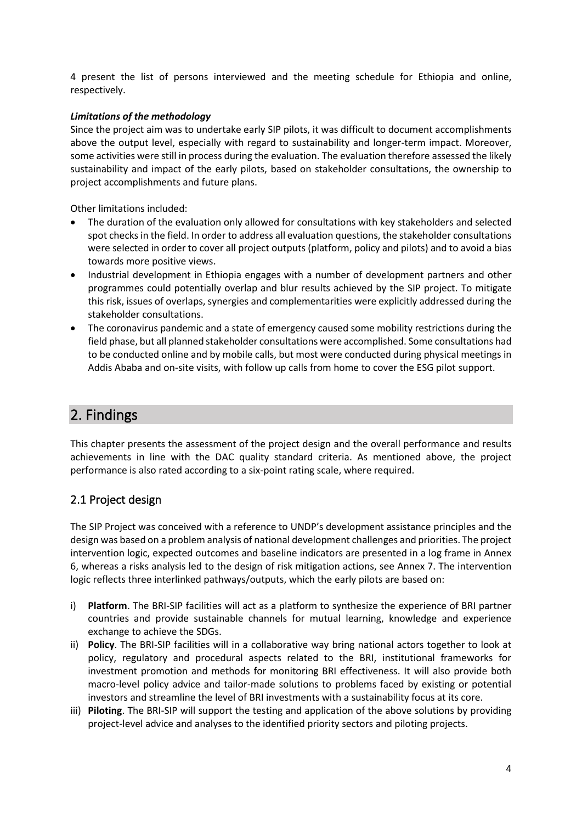4 present the list of persons interviewed and the meeting schedule for Ethiopia and online, respectively.

## *Limitations of the methodology*

Since the project aim was to undertake early SIP pilots, it was difficult to document accomplishments above the output level, especially with regard to sustainability and longer-term impact. Moreover, some activities were still in process during the evaluation. The evaluation therefore assessed the likely sustainability and impact of the early pilots, based on stakeholder consultations, the ownership to project accomplishments and future plans.

Other limitations included:

- The duration of the evaluation only allowed for consultations with key stakeholders and selected spot checks in the field. In order to address all evaluation questions, the stakeholder consultations were selected in order to cover all project outputs (platform, policy and pilots) and to avoid a bias towards more positive views.
- Industrial development in Ethiopia engages with a number of development partners and other programmes could potentially overlap and blur results achieved by the SIP project. To mitigate this risk, issues of overlaps, synergies and complementarities were explicitly addressed during the stakeholder consultations.
- The coronavirus pandemic and a state of emergency caused some mobility restrictions during the field phase, but all planned stakeholder consultations were accomplished. Some consultations had to be conducted online and by mobile calls, but most were conducted during physical meetings in Addis Ababa and on-site visits, with follow up calls from home to cover the ESG pilot support.

# <span id="page-15-0"></span>2. Findings

This chapter presents the assessment of the project design and the overall performance and results achievements in line with the DAC quality standard criteria. As mentioned above, the project performance is also rated according to a six-point rating scale, where required.

# <span id="page-15-1"></span>2.1 Project design

The SIP Project was conceived with a reference to UNDP's development assistance principles and the design was based on a problem analysis of national development challenges and priorities. The project intervention logic, expected outcomes and baseline indicators are presented in a log frame in Annex 6, whereas a risks analysis led to the design of risk mitigation actions, see Annex 7. The intervention logic reflects three interlinked pathways/outputs, which the early pilots are based on:

- i) **Platform**. The BRI-SIP facilities will act as a platform to synthesize the experience of BRI partner countries and provide sustainable channels for mutual learning, knowledge and experience exchange to achieve the SDGs.
- ii) **Policy**. The BRI-SIP facilities will in a collaborative way bring national actors together to look at policy, regulatory and procedural aspects related to the BRI, institutional frameworks for investment promotion and methods for monitoring BRI effectiveness. It will also provide both macro-level policy advice and tailor-made solutions to problems faced by existing or potential investors and streamline the level of BRI investments with a sustainability focus at its core.
- iii) **Piloting**. The BRI-SIP will support the testing and application of the above solutions by providing project-level advice and analyses to the identified priority sectors and piloting projects.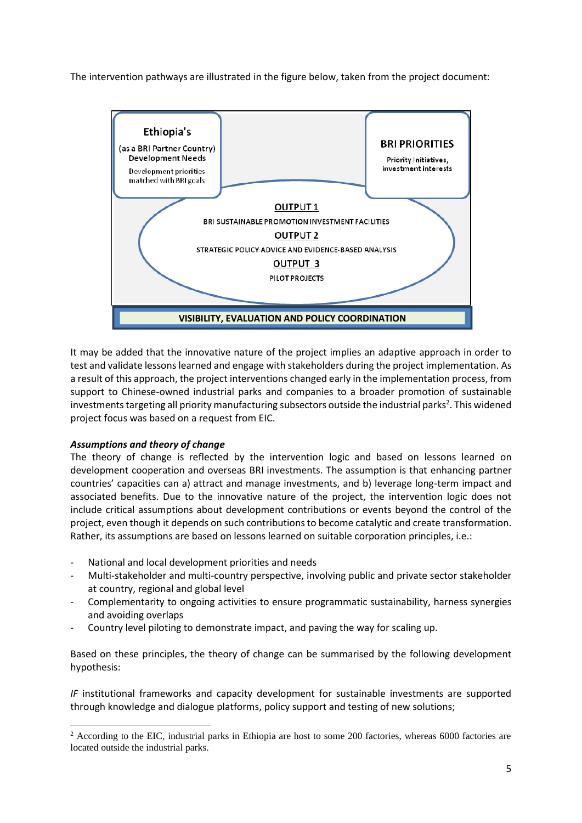The intervention pathways are illustrated in the figure below, taken from the project document:



It may be added that the innovative nature of the project implies an adaptive approach in order to test and validate lessons learned and engage with stakeholders during the project implementation. As a result of this approach, the project interventions changed early in the implementation process, from support to Chinese-owned industrial parks and companies to a broader promotion of sustainable investments targeting all priority manufacturing subsectors outside the industrial parks<sup>2</sup>. This widened project focus was based on a request from EIC.

## *Assumptions and theory of change*

The theory of change is reflected by the intervention logic and based on lessons learned on development cooperation and overseas BRI investments. The assumption is that enhancing partner countries' capacities can a) attract and manage investments, and b) leverage long-term impact and associated benefits. Due to the innovative nature of the project, the intervention logic does not include critical assumptions about development contributions or events beyond the control of the project, even though it depends on such contributions to become catalytic and create transformation. Rather, its assumptions are based on lessons learned on suitable corporation principles, i.e.:

- National and local development priorities and needs
- Multi-stakeholder and multi-country perspective, involving public and private sector stakeholder at country, regional and global level
- Complementarity to ongoing activities to ensure programmatic sustainability, harness synergies and avoiding overlaps
- Country level piloting to demonstrate impact, and paving the way for scaling up.

Based on these principles, the theory of change can be summarised by the following development hypothesis:

*IF* institutional frameworks and capacity development for sustainable investments are supported through knowledge and dialogue platforms, policy support and testing of new solutions;

<sup>&</sup>lt;sup>2</sup> According to the EIC, industrial parks in Ethiopia are host to some 200 factories, whereas 6000 factories are located outside the industrial parks.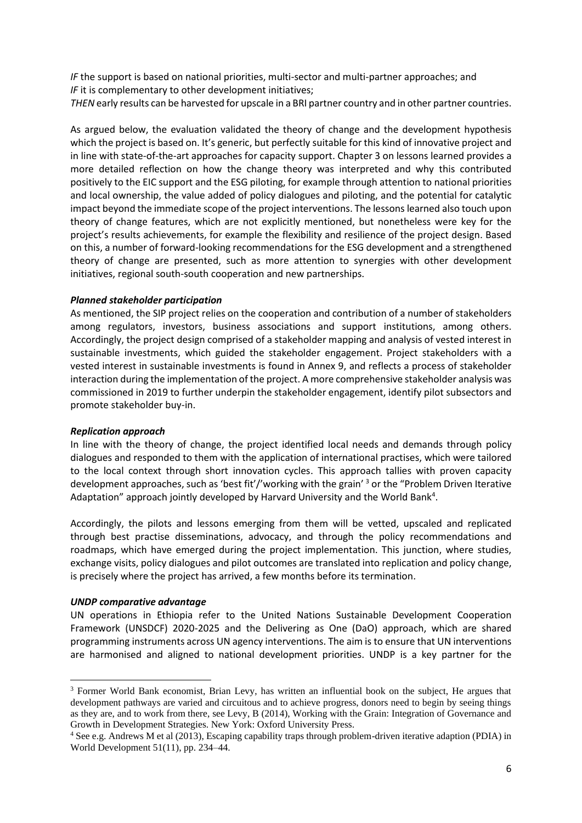*IF* the support is based on national priorities, multi-sector and multi-partner approaches; and *IF* it is complementary to other development initiatives;

*THEN* early results can be harvested for upscale in a BRI partner country and in other partner countries.

As argued below, the evaluation validated the theory of change and the development hypothesis which the project is based on. It's generic, but perfectly suitable for this kind of innovative project and in line with state-of-the-art approaches for capacity support. Chapter 3 on lessons learned provides a more detailed reflection on how the change theory was interpreted and why this contributed positively to the EIC support and the ESG piloting, for example through attention to national priorities and local ownership, the value added of policy dialogues and piloting, and the potential for catalytic impact beyond the immediate scope of the project interventions. The lessons learned also touch upon theory of change features, which are not explicitly mentioned, but nonetheless were key for the project's results achievements, for example the flexibility and resilience of the project design. Based on this, a number of forward-looking recommendations for the ESG development and a strengthened theory of change are presented, such as more attention to synergies with other development initiatives, regional south-south cooperation and new partnerships.

#### *Planned stakeholder participation*

As mentioned, the SIP project relies on the cooperation and contribution of a number of stakeholders among regulators, investors, business associations and support institutions, among others. Accordingly, the project design comprised of a stakeholder mapping and analysis of vested interest in sustainable investments, which guided the stakeholder engagement. Project stakeholders with a vested interest in sustainable investments is found in Annex 9, and reflects a process of stakeholder interaction during the implementation of the project. A more comprehensive stakeholder analysis was commissioned in 2019 to further underpin the stakeholder engagement, identify pilot subsectors and promote stakeholder buy-in.

#### *Replication approach*

In line with the theory of change, the project identified local needs and demands through policy dialogues and responded to them with the application of international practises, which were tailored to the local context through short innovation cycles. This approach tallies with proven capacity development approaches, such as 'best fit'/'working with the grain' <sup>3</sup> or the "Problem Driven Iterative Adaptation" approach jointly developed by Harvard University and the World Bank<sup>4</sup>.

Accordingly, the pilots and lessons emerging from them will be vetted, upscaled and replicated through best practise disseminations, advocacy, and through the policy recommendations and roadmaps, which have emerged during the project implementation. This junction, where studies, exchange visits, policy dialogues and pilot outcomes are translated into replication and policy change, is precisely where the project has arrived, a few months before its termination.

#### *UNDP comparative advantage*

UN operations in Ethiopia refer to the United Nations Sustainable Development Cooperation Framework (UNSDCF) 2020-2025 and the Delivering as One (DaO) approach, which are shared programming instruments across UN agency interventions. The aim is to ensure that UN interventions are harmonised and aligned to national development priorities. UNDP is a key partner for the

<sup>&</sup>lt;sup>3</sup> Former World Bank economist, Brian Levy, has written an influential book on the subject, He argues that development pathways are varied and circuitous and to achieve progress, donors need to begin by seeing things as they are, and to work from there, see Levy, B (2014), Working with the Grain: Integration of Governance and Growth in Development Strategies. New York: Oxford University Press.

<sup>4</sup> See e.g. Andrews M et al (2013), Escaping capability traps through problem-driven iterative adaption (PDIA) in World Development 51(11), pp. 234–44.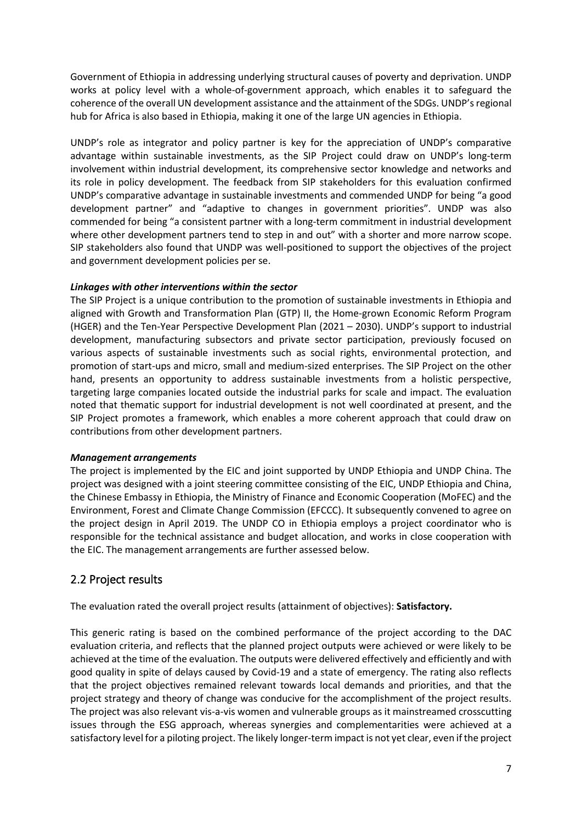Government of Ethiopia in addressing underlying structural causes of poverty and deprivation. UNDP works at policy level with a whole-of-government approach, which enables it to safeguard the coherence of the overall UN development assistance and the attainment of the SDGs. UNDP's regional hub for Africa is also based in Ethiopia, making it one of the large UN agencies in Ethiopia.

UNDP's role as integrator and policy partner is key for the appreciation of UNDP's comparative advantage within sustainable investments, as the SIP Project could draw on UNDP's long-term involvement within industrial development, its comprehensive sector knowledge and networks and its role in policy development. The feedback from SIP stakeholders for this evaluation confirmed UNDP's comparative advantage in sustainable investments and commended UNDP for being "a good development partner" and "adaptive to changes in government priorities". UNDP was also commended for being "a consistent partner with a long-term commitment in industrial development where other development partners tend to step in and out" with a shorter and more narrow scope. SIP stakeholders also found that UNDP was well-positioned to support the objectives of the project and government development policies per se.

#### *Linkages with other interventions within the sector*

The SIP Project is a unique contribution to the promotion of sustainable investments in Ethiopia and aligned with Growth and Transformation Plan (GTP) II, the Home-grown Economic Reform Program (HGER) and the Ten-Year Perspective Development Plan (2021 – 2030). UNDP's support to industrial development, manufacturing subsectors and private sector participation, previously focused on various aspects of sustainable investments such as social rights, environmental protection, and promotion of start-ups and micro, small and medium-sized enterprises. The SIP Project on the other hand, presents an opportunity to address sustainable investments from a holistic perspective, targeting large companies located outside the industrial parks for scale and impact. The evaluation noted that thematic support for industrial development is not well coordinated at present, and the SIP Project promotes a framework, which enables a more coherent approach that could draw on contributions from other development partners.

#### *Management arrangements*

The project is implemented by the EIC and joint supported by UNDP Ethiopia and UNDP China. The project was designed with a joint steering committee consisting of the EIC, UNDP Ethiopia and China, the Chinese Embassy in Ethiopia, the Ministry of Finance and Economic Cooperation (MoFEC) and the Environment, Forest and Climate Change Commission (EFCCC). It subsequently convened to agree on the project design in April 2019. The UNDP CO in Ethiopia employs a project coordinator who is responsible for the technical assistance and budget allocation, and works in close cooperation with the EIC. The management arrangements are further assessed below.

# <span id="page-18-0"></span>2.2 Project results

The evaluation rated the overall project results (attainment of objectives): **Satisfactory.**

This generic rating is based on the combined performance of the project according to the DAC evaluation criteria, and reflects that the planned project outputs were achieved or were likely to be achieved at the time of the evaluation. The outputs were delivered effectively and efficiently and with good quality in spite of delays caused by Covid-19 and a state of emergency. The rating also reflects that the project objectives remained relevant towards local demands and priorities, and that the project strategy and theory of change was conducive for the accomplishment of the project results. The project was also relevant vis-a-vis women and vulnerable groups as it mainstreamed crosscutting issues through the ESG approach, whereas synergies and complementarities were achieved at a satisfactory level for a piloting project. The likely longer-term impact is not yet clear, even if the project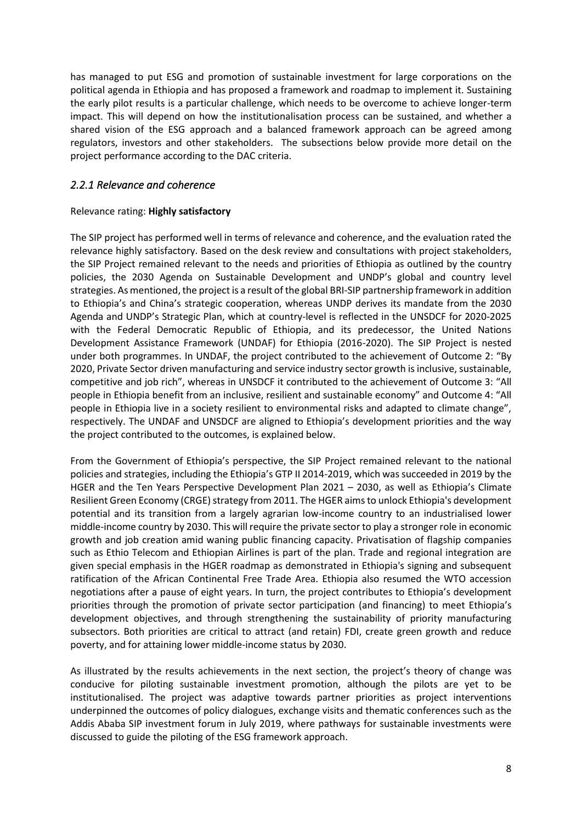has managed to put ESG and promotion of sustainable investment for large corporations on the political agenda in Ethiopia and has proposed a framework and roadmap to implement it. Sustaining the early pilot results is a particular challenge, which needs to be overcome to achieve longer-term impact. This will depend on how the institutionalisation process can be sustained, and whether a shared vision of the ESG approach and a balanced framework approach can be agreed among regulators, investors and other stakeholders. The subsections below provide more detail on the project performance according to the DAC criteria.

# <span id="page-19-0"></span>*2.2.1 Relevance and coherence*

#### Relevance rating: **Highly satisfactory**

The SIP project has performed well in terms of relevance and coherence, and the evaluation rated the relevance highly satisfactory. Based on the desk review and consultations with project stakeholders, the SIP Project remained relevant to the needs and priorities of Ethiopia as outlined by the country policies, the 2030 Agenda on Sustainable Development and UNDP's global and country level strategies. As mentioned, the project is a result of the global BRI-SIP partnership framework in addition to Ethiopia's and China's strategic cooperation, whereas UNDP derives its mandate from the 2030 Agenda and UNDP's Strategic Plan, which at country-level is reflected in the UNSDCF for 2020-2025 with the Federal Democratic Republic of Ethiopia, and its predecessor, the United Nations Development Assistance Framework (UNDAF) for Ethiopia (2016-2020). The SIP Project is nested under both programmes. In UNDAF, the project contributed to the achievement of Outcome 2: "By 2020, Private Sector driven manufacturing and service industry sector growth is inclusive, sustainable, competitive and job rich", whereas in UNSDCF it contributed to the achievement of Outcome 3: "All people in Ethiopia benefit from an inclusive, resilient and sustainable economy" and Outcome 4: "All people in Ethiopia live in a society resilient to environmental risks and adapted to climate change", respectively. The UNDAF and UNSDCF are aligned to Ethiopia's development priorities and the way the project contributed to the outcomes, is explained below.

From the Government of Ethiopia's perspective, the SIP Project remained relevant to the national policies and strategies, including the Ethiopia's GTP II 2014-2019, which was succeeded in 2019 by the HGER and the Ten Years Perspective Development Plan 2021 – 2030, as well as Ethiopia's Climate Resilient Green Economy (CRGE) strategy from 2011. The HGER aims to unlock Ethiopia's development potential and its transition from a largely agrarian low-income country to an industrialised lower middle-income country by 2030. This will require the private sector to play a stronger role in economic growth and job creation amid waning public financing capacity. Privatisation of flagship companies such as Ethio Telecom and Ethiopian Airlines is part of the plan. Trade and regional integration are given special emphasis in the HGER roadmap as demonstrated in Ethiopia's signing and subsequent ratification of the African Continental Free Trade Area. Ethiopia also resumed the WTO accession negotiations after a pause of eight years. In turn, the project contributes to Ethiopia's development priorities through the promotion of private sector participation (and financing) to meet Ethiopia's development objectives, and through strengthening the sustainability of priority manufacturing subsectors. Both priorities are critical to attract (and retain) FDI, create green growth and reduce poverty, and for attaining lower middle-income status by 2030.

As illustrated by the results achievements in the next section, the project's theory of change was conducive for piloting sustainable investment promotion, although the pilots are yet to be institutionalised. The project was adaptive towards partner priorities as project interventions underpinned the outcomes of policy dialogues, exchange visits and thematic conferences such as the Addis Ababa SIP investment forum in July 2019, where pathways for sustainable investments were discussed to guide the piloting of the ESG framework approach.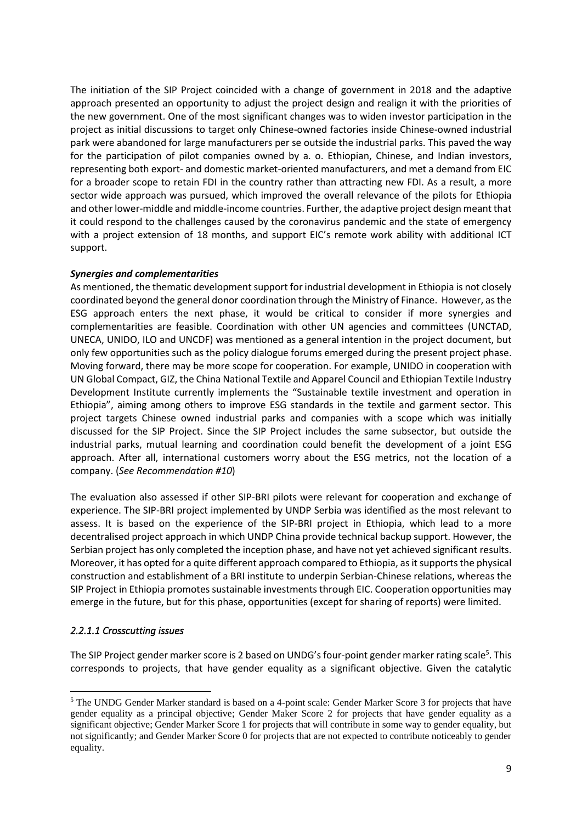The initiation of the SIP Project coincided with a change of government in 2018 and the adaptive approach presented an opportunity to adjust the project design and realign it with the priorities of the new government. One of the most significant changes was to widen investor participation in the project as initial discussions to target only Chinese-owned factories inside Chinese-owned industrial park were abandoned for large manufacturers per se outside the industrial parks. This paved the way for the participation of pilot companies owned by a. o. Ethiopian, Chinese, and Indian investors, representing both export- and domestic market-oriented manufacturers, and met a demand from EIC for a broader scope to retain FDI in the country rather than attracting new FDI. As a result, a more sector wide approach was pursued, which improved the overall relevance of the pilots for Ethiopia and other lower-middle and middle-income countries. Further, the adaptive project design meant that it could respond to the challenges caused by the coronavirus pandemic and the state of emergency with a project extension of 18 months, and support EIC's remote work ability with additional ICT support.

#### *Synergies and complementarities*

As mentioned, the thematic development support for industrial development in Ethiopia is not closely coordinated beyond the general donor coordination through the Ministry of Finance. However, as the ESG approach enters the next phase, it would be critical to consider if more synergies and complementarities are feasible. Coordination with other UN agencies and committees (UNCTAD, UNECA, UNIDO, ILO and UNCDF) was mentioned as a general intention in the project document, but only few opportunities such as the policy dialogue forums emerged during the present project phase. Moving forward, there may be more scope for cooperation. For example, UNIDO in cooperation with UN Global Compact, GIZ, the China National Textile and Apparel Council and Ethiopian Textile Industry Development Institute currently implements the "Sustainable textile investment and operation in Ethiopia", aiming among others to improve ESG standards in the textile and garment sector. This project targets Chinese owned industrial parks and companies with a scope which was initially discussed for the SIP Project. Since the SIP Project includes the same subsector, but outside the industrial parks, mutual learning and coordination could benefit the development of a joint ESG approach. After all, international customers worry about the ESG metrics, not the location of a company. (*See Recommendation #10*)

The evaluation also assessed if other SIP-BRI pilots were relevant for cooperation and exchange of experience. The SIP-BRI project implemented by UNDP Serbia was identified as the most relevant to assess. It is based on the experience of the SIP-BRI project in Ethiopia, which lead to a more decentralised project approach in which UNDP China provide technical backup support. However, the Serbian project has only completed the inception phase, and have not yet achieved significant results. Moreover, it has opted for a quite different approach compared to Ethiopia, as it supports the physical construction and establishment of a BRI institute to underpin Serbian-Chinese relations, whereas the SIP Project in Ethiopia promotes sustainable investments through EIC. Cooperation opportunities may emerge in the future, but for this phase, opportunities (except for sharing of reports) were limited.

## <span id="page-20-0"></span>*2.2.1.1 Crosscutting issues*

The SIP Project gender marker score is 2 based on UNDG's four-point gender marker rating scale<sup>5</sup>. This corresponds to projects, that have gender equality as a significant objective. Given the catalytic

<sup>5</sup> The UNDG Gender Marker standard is based on a 4-point scale: Gender Marker Score 3 for projects that have gender equality as a principal objective; Gender Maker Score 2 for projects that have gender equality as a significant objective; Gender Marker Score 1 for projects that will contribute in some way to gender equality, but not significantly; and Gender Marker Score 0 for projects that are not expected to contribute noticeably to gender equality.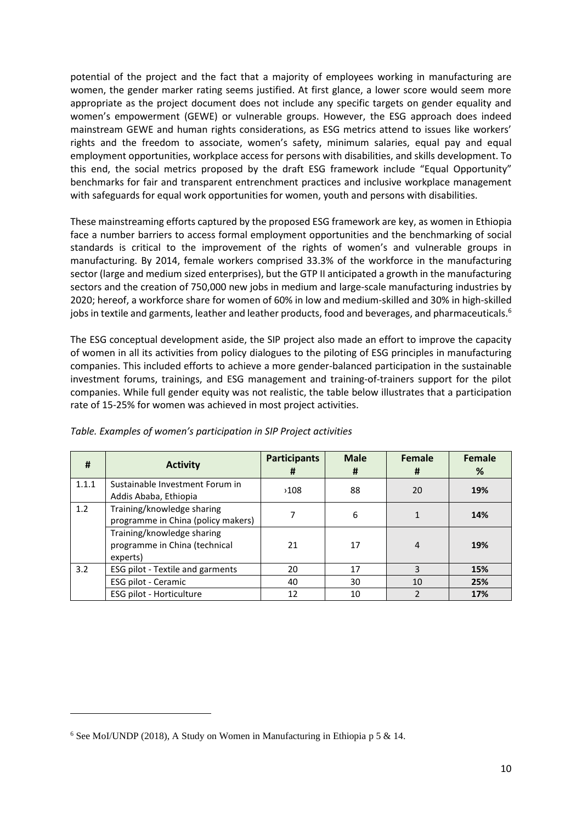potential of the project and the fact that a majority of employees working in manufacturing are women, the gender marker rating seems justified. At first glance, a lower score would seem more appropriate as the project document does not include any specific targets on gender equality and women's empowerment (GEWE) or vulnerable groups. However, the ESG approach does indeed mainstream GEWE and human rights considerations, as ESG metrics attend to issues like workers' rights and the freedom to associate, women's safety, minimum salaries, equal pay and equal employment opportunities, workplace access for persons with disabilities, and skills development. To this end, the social metrics proposed by the draft ESG framework include "Equal Opportunity" benchmarks for fair and transparent entrenchment practices and inclusive workplace management with safeguards for equal work opportunities for women, youth and persons with disabilities.

These mainstreaming efforts captured by the proposed ESG framework are key, as women in Ethiopia face a number barriers to access formal employment opportunities and the benchmarking of social standards is critical to the improvement of the rights of women's and vulnerable groups in manufacturing. By 2014, female workers comprised 33.3% of the workforce in the manufacturing sector (large and medium sized enterprises), but the GTP II anticipated a growth in the manufacturing sectors and the creation of 750,000 new jobs in medium and large-scale manufacturing industries by 2020; hereof, a workforce share for women of 60% in low and medium-skilled and 30% in high-skilled jobs in textile and garments, leather and leather products, food and beverages, and pharmaceuticals. $^6$ 

The ESG conceptual development aside, the SIP project also made an effort to improve the capacity of women in all its activities from policy dialogues to the piloting of ESG principles in manufacturing companies. This included efforts to achieve a more gender-balanced participation in the sustainable investment forums, trainings, and ESG management and training-of-trainers support for the pilot companies. While full gender equity was not realistic, the table below illustrates that a participation rate of 15-25% for women was achieved in most project activities.

| #     | <b>Activity</b>                                                         | <b>Participants</b><br># | <b>Male</b><br># | Female<br>Ħ    | Female<br>% |
|-------|-------------------------------------------------------------------------|--------------------------|------------------|----------------|-------------|
| 1.1.1 | Sustainable Investment Forum in<br>Addis Ababa, Ethiopia                | >108                     | 88               | 20             | 19%         |
| 1.2   | Training/knowledge sharing<br>programme in China (policy makers)        |                          | 6                |                | 14%         |
|       | Training/knowledge sharing<br>programme in China (technical<br>experts) | 21                       | 17               | $\overline{4}$ | 19%         |
| 3.2   | ESG pilot - Textile and garments                                        | 20                       | 17               | 3              | 15%         |
|       | ESG pilot - Ceramic                                                     | 40                       | 30               | 10             | 25%         |
|       | ESG pilot - Horticulture                                                | 12                       | 10               |                | 17%         |

*Table. Examples of women's participation in SIP Project activities* 

 $6$  See MoI/UNDP (2018), A Study on Women in Manufacturing in Ethiopia p 5 & 14.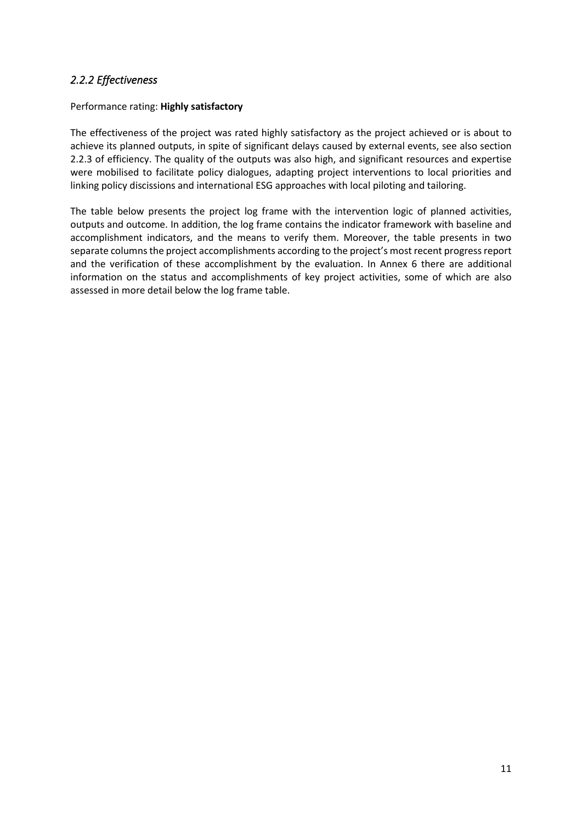# <span id="page-22-0"></span>*2.2.2 Effectiveness*

## Performance rating: **Highly satisfactory**

The effectiveness of the project was rated highly satisfactory as the project achieved or is about to achieve its planned outputs, in spite of significant delays caused by external events, see also section 2.2.3 of efficiency. The quality of the outputs was also high, and significant resources and expertise were mobilised to facilitate policy dialogues, adapting project interventions to local priorities and linking policy discissions and international ESG approaches with local piloting and tailoring.

The table below presents the project log frame with the intervention logic of planned activities, outputs and outcome. In addition, the log frame contains the indicator framework with baseline and accomplishment indicators, and the means to verify them. Moreover, the table presents in two separate columns the project accomplishments according to the project's most recent progress report and the verification of these accomplishment by the evaluation. In Annex 6 there are additional information on the status and accomplishments of key project activities, some of which are also assessed in more detail below the log frame table.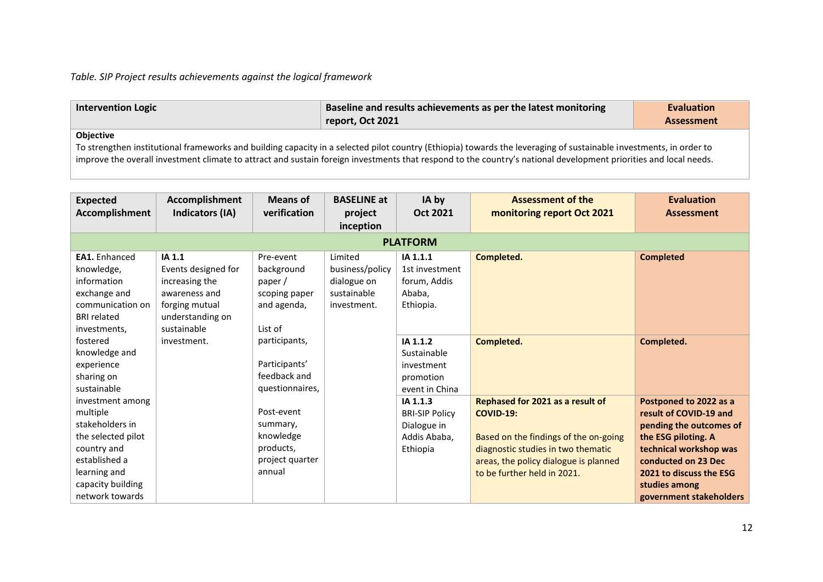*Table. SIP Project results achievements against the logical framework*

| <b>Intervention Logic</b> | Baseline and results achievements as per the latest monitoring<br>report, Oct 2021 | <b>Evaluation</b><br><b>Assessment</b> |
|---------------------------|------------------------------------------------------------------------------------|----------------------------------------|
| Ohiective                 |                                                                                    |                                        |

**Objective** 

To strengthen institutional frameworks and building capacity in a selected pilot country (Ethiopia) towards the leveraging of sustainable investments, in order to improve the overall investment climate to attract and sustain foreign investments that respond to the country's national development priorities and local needs.

| <b>Expected</b><br>Accomplishment                                                                                                                             | Accomplishment<br>Indicators (IA)                                                                                     | <b>Means of</b><br>verification                                               | <b>BASELINE at</b><br>project<br>inception                              | IA by<br>Oct 2021                                                            | <b>Assessment of the</b><br>monitoring report Oct 2021                                                                                                                                                      | <b>Evaluation</b><br><b>Assessment</b>                                                                                                                                                                                     |  |  |
|---------------------------------------------------------------------------------------------------------------------------------------------------------------|-----------------------------------------------------------------------------------------------------------------------|-------------------------------------------------------------------------------|-------------------------------------------------------------------------|------------------------------------------------------------------------------|-------------------------------------------------------------------------------------------------------------------------------------------------------------------------------------------------------------|----------------------------------------------------------------------------------------------------------------------------------------------------------------------------------------------------------------------------|--|--|
| <b>PLATFORM</b>                                                                                                                                               |                                                                                                                       |                                                                               |                                                                         |                                                                              |                                                                                                                                                                                                             |                                                                                                                                                                                                                            |  |  |
| EA1. Enhanced<br>knowledge,<br>information<br>exchange and<br>communication on<br><b>BRI</b> related<br>investments,                                          | IA 1.1<br>Events designed for<br>increasing the<br>awareness and<br>forging mutual<br>understanding on<br>sustainable | Pre-event<br>background<br>paper /<br>scoping paper<br>and agenda,<br>List of | Limited<br>business/policy<br>dialogue on<br>sustainable<br>investment. | IA 1.1.1<br>1st investment<br>forum, Addis<br>Ababa,<br>Ethiopia.            | Completed.                                                                                                                                                                                                  | <b>Completed</b>                                                                                                                                                                                                           |  |  |
| fostered<br>knowledge and<br>experience<br>sharing on<br>sustainable                                                                                          | investment.                                                                                                           | participants,<br>Participants'<br>feedback and<br>questionnaires,             |                                                                         | IA 1.1.2<br>Sustainable<br>investment<br>promotion<br>event in China         | Completed.                                                                                                                                                                                                  | Completed.                                                                                                                                                                                                                 |  |  |
| investment among<br>multiple<br>stakeholders in<br>the selected pilot<br>country and<br>established a<br>learning and<br>capacity building<br>network towards |                                                                                                                       | Post-event<br>summary,<br>knowledge<br>products,<br>project quarter<br>annual |                                                                         | IA 1.1.3<br><b>BRI-SIP Policy</b><br>Dialogue in<br>Addis Ababa,<br>Ethiopia | Rephased for 2021 as a result of<br><b>COVID-19:</b><br>Based on the findings of the on-going<br>diagnostic studies in two thematic<br>areas, the policy dialogue is planned<br>to be further held in 2021. | Postponed to 2022 as a<br>result of COVID-19 and<br>pending the outcomes of<br>the ESG piloting. A<br>technical workshop was<br>conducted on 23 Dec<br>2021 to discuss the ESG<br>studies among<br>government stakeholders |  |  |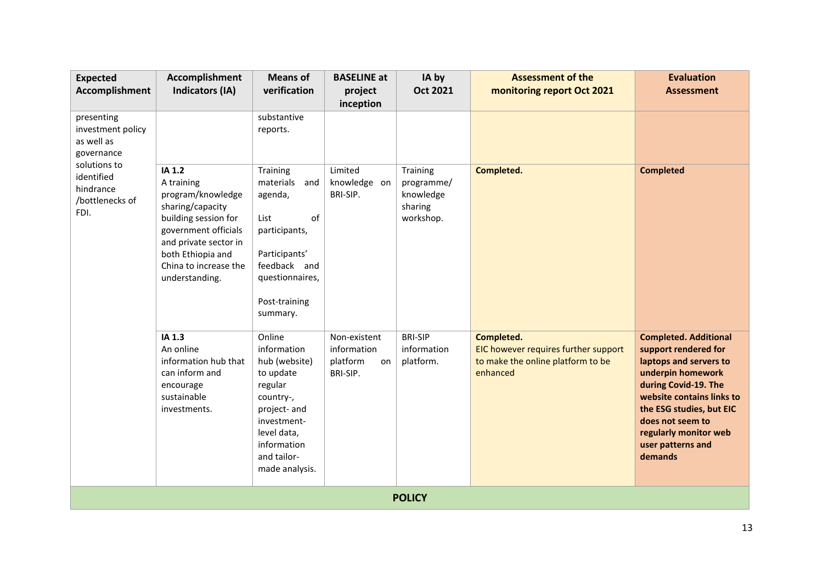| <b>Expected</b><br><b>Accomplishment</b>                           | Accomplishment<br><b>Indicators (IA)</b>                                                                                                                                                               | <b>Means of</b><br>verification                                                                                                                                           | <b>BASELINE at</b><br>project<br>inception                | IA by<br><b>Oct 2021</b>                                    | <b>Assessment of the</b><br>monitoring report Oct 2021                                              | <b>Evaluation</b><br><b>Assessment</b>                                                                                                                                                                                                                            |
|--------------------------------------------------------------------|--------------------------------------------------------------------------------------------------------------------------------------------------------------------------------------------------------|---------------------------------------------------------------------------------------------------------------------------------------------------------------------------|-----------------------------------------------------------|-------------------------------------------------------------|-----------------------------------------------------------------------------------------------------|-------------------------------------------------------------------------------------------------------------------------------------------------------------------------------------------------------------------------------------------------------------------|
| presenting<br>investment policy<br>as well as<br>governance        |                                                                                                                                                                                                        | substantive<br>reports.                                                                                                                                                   |                                                           |                                                             |                                                                                                     |                                                                                                                                                                                                                                                                   |
| solutions to<br>identified<br>hindrance<br>/bottlenecks of<br>FDI. | IA 1.2<br>A training<br>program/knowledge<br>sharing/capacity<br>building session for<br>government officials<br>and private sector in<br>both Ethiopia and<br>China to increase the<br>understanding. | Training<br>materials<br>and<br>agenda,<br>of<br>List<br>participants,<br>Participants'<br>feedback and<br>questionnaires,<br>Post-training<br>summary.                   | Limited<br>knowledge on<br>BRI-SIP.                       | Training<br>programme/<br>knowledge<br>sharing<br>workshop. | Completed.                                                                                          | <b>Completed</b>                                                                                                                                                                                                                                                  |
|                                                                    | IA 1.3<br>An online<br>information hub that<br>can inform and<br>encourage<br>sustainable<br>investments.                                                                                              | Online<br>information<br>hub (website)<br>to update<br>regular<br>country-,<br>project- and<br>investment-<br>level data,<br>information<br>and tailor-<br>made analysis. | Non-existent<br>information<br>platform<br>on<br>BRI-SIP. | <b>BRI-SIP</b><br>information<br>platform.                  | Completed.<br>EIC however requires further support<br>to make the online platform to be<br>enhanced | <b>Completed. Additional</b><br>support rendered for<br>laptops and servers to<br>underpin homework<br>during Covid-19. The<br>website contains links to<br>the ESG studies, but EIC<br>does not seem to<br>regularly monitor web<br>user patterns and<br>demands |
|                                                                    |                                                                                                                                                                                                        |                                                                                                                                                                           |                                                           | <b>POLICY</b>                                               |                                                                                                     |                                                                                                                                                                                                                                                                   |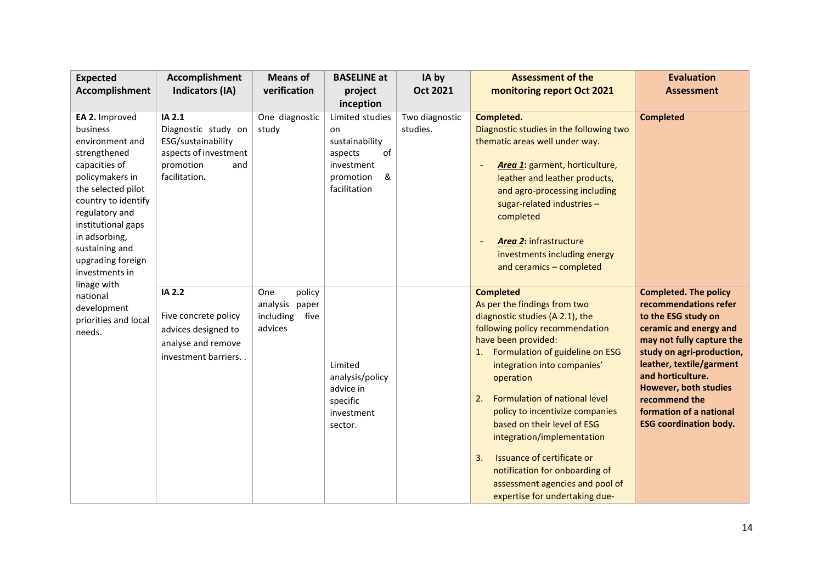| <b>Expected</b>                                                                                                                                                                                                                                                                 | Accomplishment                                                                                                    | <b>Means of</b>                                                    | <b>BASELINE at</b>                                                                                       | IA by                      | <b>Assessment of the</b>                                                                                                                                                                                                                                                                                                                                                                                                                                                                                             | <b>Evaluation</b>                                                                                                                                                                                                                                                                                                       |
|---------------------------------------------------------------------------------------------------------------------------------------------------------------------------------------------------------------------------------------------------------------------------------|-------------------------------------------------------------------------------------------------------------------|--------------------------------------------------------------------|----------------------------------------------------------------------------------------------------------|----------------------------|----------------------------------------------------------------------------------------------------------------------------------------------------------------------------------------------------------------------------------------------------------------------------------------------------------------------------------------------------------------------------------------------------------------------------------------------------------------------------------------------------------------------|-------------------------------------------------------------------------------------------------------------------------------------------------------------------------------------------------------------------------------------------------------------------------------------------------------------------------|
| <b>Accomplishment</b>                                                                                                                                                                                                                                                           | Indicators (IA)                                                                                                   | verification                                                       | project<br>inception                                                                                     | <b>Oct 2021</b>            | monitoring report Oct 2021                                                                                                                                                                                                                                                                                                                                                                                                                                                                                           | <b>Assessment</b>                                                                                                                                                                                                                                                                                                       |
| EA 2. Improved<br>business<br>environment and<br>strengthened<br>capacities of<br>policymakers in<br>the selected pilot<br>country to identify<br>regulatory and<br>institutional gaps<br>in adsorbing,<br>sustaining and<br>upgrading foreign<br>investments in<br>linage with | IA 2.1<br>Diagnostic study on<br>ESG/sustainability<br>aspects of investment<br>promotion<br>and<br>facilitation. | One diagnostic<br>study                                            | Limited studies<br>on<br>sustainability<br>of<br>aspects<br>investment<br>&<br>promotion<br>facilitation | Two diagnostic<br>studies. | Completed.<br>Diagnostic studies in the following two<br>thematic areas well under way.<br>Area 1: garment, horticulture,<br>leather and leather products,<br>and agro-processing including<br>sugar-related industries -<br>completed<br><b>Area 2: infrastructure</b><br>investments including energy<br>and ceramics - completed                                                                                                                                                                                  | <b>Completed</b>                                                                                                                                                                                                                                                                                                        |
| national<br>development<br>priorities and local<br>needs.                                                                                                                                                                                                                       | IA 2.2<br>Five concrete policy<br>advices designed to<br>analyse and remove<br>investment barriers                | One<br>policy<br>analysis<br>paper<br>including<br>five<br>advices | Limited<br>analysis/policy<br>advice in<br>specific<br>investment<br>sector.                             |                            | <b>Completed</b><br>As per the findings from two<br>diagnostic studies (A 2.1), the<br>following policy recommendation<br>have been provided:<br>Formulation of guideline on ESG<br>1.<br>integration into companies'<br>operation<br>Formulation of national level<br>2.<br>policy to incentivize companies<br>based on their level of ESG<br>integration/implementation<br>Issuance of certificate or<br>3.<br>notification for onboarding of<br>assessment agencies and pool of<br>expertise for undertaking due- | <b>Completed. The policy</b><br>recommendations refer<br>to the ESG study on<br>ceramic and energy and<br>may not fully capture the<br>study on agri-production,<br>leather, textile/garment<br>and horticulture.<br>However, both studies<br>recommend the<br>formation of a national<br><b>ESG coordination body.</b> |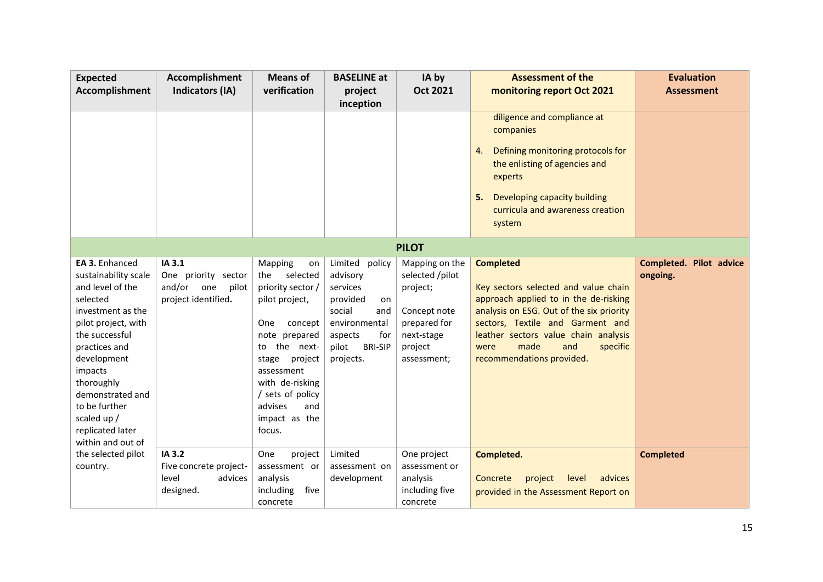| <b>Expected</b>                                                                                                                                                                                                                                                                            | Accomplishment                                                              | <b>Means of</b>                                                                                                                                                                                                                                  | <b>BASELINE at</b>                                                                                                                                      | IA by                                                                                                                 | <b>Assessment of the</b>                                                                                                                                                                                                                                                                  | <b>Evaluation</b>                   |
|--------------------------------------------------------------------------------------------------------------------------------------------------------------------------------------------------------------------------------------------------------------------------------------------|-----------------------------------------------------------------------------|--------------------------------------------------------------------------------------------------------------------------------------------------------------------------------------------------------------------------------------------------|---------------------------------------------------------------------------------------------------------------------------------------------------------|-----------------------------------------------------------------------------------------------------------------------|-------------------------------------------------------------------------------------------------------------------------------------------------------------------------------------------------------------------------------------------------------------------------------------------|-------------------------------------|
| <b>Accomplishment</b>                                                                                                                                                                                                                                                                      | Indicators (IA)                                                             | verification                                                                                                                                                                                                                                     | project<br>inception                                                                                                                                    | <b>Oct 2021</b>                                                                                                       | monitoring report Oct 2021                                                                                                                                                                                                                                                                | <b>Assessment</b>                   |
|                                                                                                                                                                                                                                                                                            |                                                                             |                                                                                                                                                                                                                                                  |                                                                                                                                                         |                                                                                                                       | diligence and compliance at<br>companies<br>Defining monitoring protocols for<br>4.<br>the enlisting of agencies and<br>experts<br>Developing capacity building<br>5.<br>curricula and awareness creation                                                                                 |                                     |
|                                                                                                                                                                                                                                                                                            |                                                                             |                                                                                                                                                                                                                                                  |                                                                                                                                                         |                                                                                                                       | system                                                                                                                                                                                                                                                                                    |                                     |
|                                                                                                                                                                                                                                                                                            |                                                                             |                                                                                                                                                                                                                                                  |                                                                                                                                                         | <b>PILOT</b>                                                                                                          |                                                                                                                                                                                                                                                                                           |                                     |
| EA 3. Enhanced<br>sustainability scale<br>and level of the<br>selected<br>investment as the<br>pilot project, with<br>the successful<br>practices and<br>development<br>impacts<br>thoroughly<br>demonstrated and<br>to be further<br>scaled up /<br>replicated later<br>within and out of | IA 3.1<br>One priority sector<br>and/or one<br>pilot<br>project identified. | Mapping<br>on<br>selected<br>the<br>priority sector /<br>pilot project,<br>One<br>concept<br>note prepared<br>to the next-<br>stage<br>project<br>assessment<br>with de-risking<br>/ sets of policy<br>advises<br>and<br>impact as the<br>focus. | Limited<br>policy<br>advisory<br>services<br>provided<br>on<br>social<br>and<br>environmental<br>for<br>aspects<br>pilot<br><b>BRI-SIP</b><br>projects. | Mapping on the<br>selected /pilot<br>project;<br>Concept note<br>prepared for<br>next-stage<br>project<br>assessment; | <b>Completed</b><br>Key sectors selected and value chain<br>approach applied to in the de-risking<br>analysis on ESG. Out of the six priority<br>sectors, Textile and Garment and<br>leather sectors value chain analysis<br>made<br>and<br>specific<br>were<br>recommendations provided. | Completed. Pilot advice<br>ongoing. |
| the selected pilot<br>country.                                                                                                                                                                                                                                                             | IA 3.2<br>Five concrete project-<br>level<br>advices<br>designed.           | One<br>project<br>assessment or<br>analysis<br>including<br>five<br>concrete                                                                                                                                                                     | Limited<br>assessment on<br>development                                                                                                                 | One project<br>assessment or<br>analysis<br>including five<br>concrete                                                | Completed.<br>level<br>advices<br>Concrete<br>project<br>provided in the Assessment Report on                                                                                                                                                                                             | <b>Completed</b>                    |
|                                                                                                                                                                                                                                                                                            |                                                                             |                                                                                                                                                                                                                                                  |                                                                                                                                                         |                                                                                                                       |                                                                                                                                                                                                                                                                                           |                                     |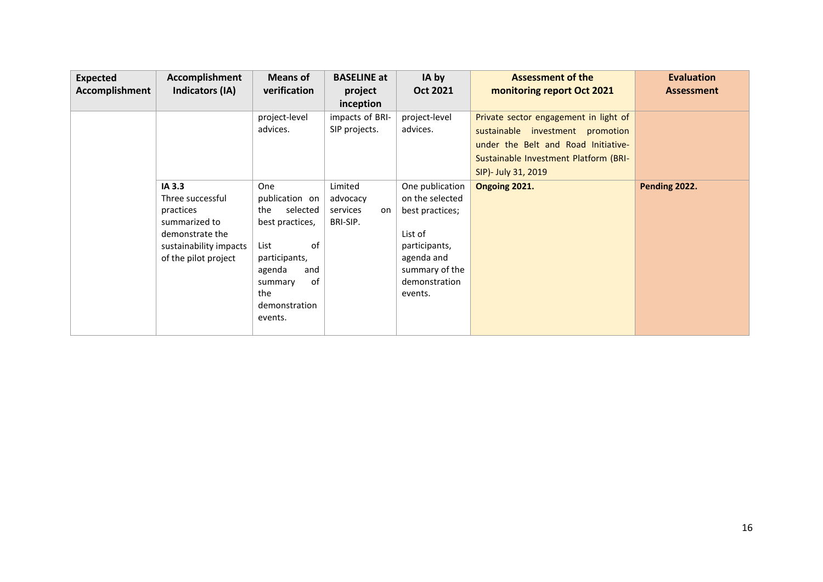| <b>Expected</b><br><b>Accomplishment</b> | Accomplishment<br>Indicators (IA)                                                                                             | <b>Means of</b><br>verification                                                                                                                                 | <b>BASELINE at</b><br>project<br>inception        | IA by<br>Oct 2021                                                                                                                             | <b>Assessment of the</b><br>monitoring report Oct 2021                                                                                                                           | <b>Evaluation</b><br><b>Assessment</b> |
|------------------------------------------|-------------------------------------------------------------------------------------------------------------------------------|-----------------------------------------------------------------------------------------------------------------------------------------------------------------|---------------------------------------------------|-----------------------------------------------------------------------------------------------------------------------------------------------|----------------------------------------------------------------------------------------------------------------------------------------------------------------------------------|----------------------------------------|
|                                          |                                                                                                                               | project-level<br>advices.                                                                                                                                       | impacts of BRI-<br>SIP projects.                  | project-level<br>advices.                                                                                                                     | Private sector engagement in light of<br>sustainable investment promotion<br>under the Belt and Road Initiative-<br>Sustainable Investment Platform (BRI-<br>SIP)- July 31, 2019 |                                        |
|                                          | IA 3.3<br>Three successful<br>practices<br>summarized to<br>demonstrate the<br>sustainability impacts<br>of the pilot project | One<br>publication on<br>selected<br>the<br>best practices,<br>of<br>List<br>participants,<br>agenda<br>and<br>0f<br>summary<br>the<br>demonstration<br>events. | Limited<br>advocacy<br>services<br>on<br>BRI-SIP. | One publication<br>on the selected<br>best practices;<br>List of<br>participants,<br>agenda and<br>summary of the<br>demonstration<br>events. | Ongoing 2021.                                                                                                                                                                    | Pending 2022.                          |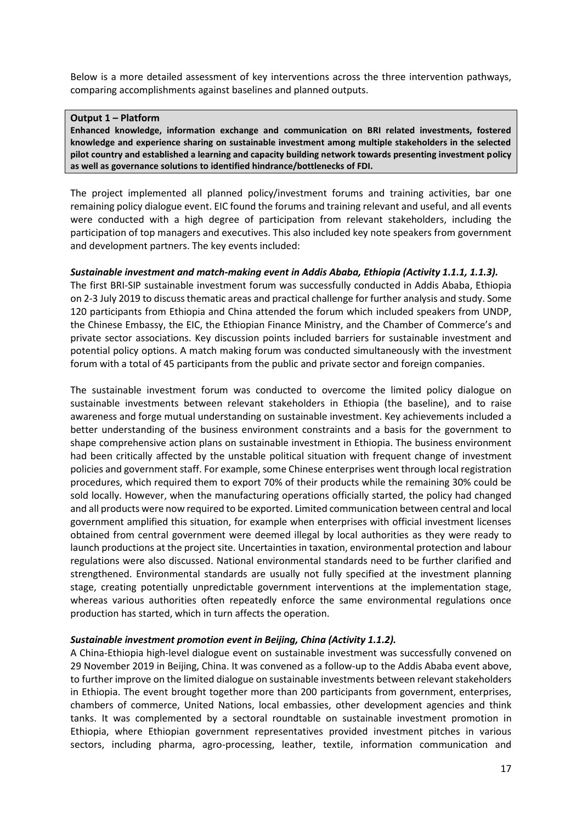Below is a more detailed assessment of key interventions across the three intervention pathways, comparing accomplishments against baselines and planned outputs.

#### **Output 1 – Platform**

**Enhanced knowledge, information exchange and communication on BRI related investments, fostered knowledge and experience sharing on sustainable investment among multiple stakeholders in the selected pilot country and established a learning and capacity building network towards presenting investment policy as well as governance solutions to identified hindrance/bottlenecks of FDI.**

The project implemented all planned policy/investment forums and training activities, bar one remaining policy dialogue event. EIC found the forums and training relevant and useful, and all events were conducted with a high degree of participation from relevant stakeholders, including the participation of top managers and executives. This also included key note speakers from government and development partners. The key events included:

#### *Sustainable investment and match-making event in Addis Ababa, Ethiopia (Activity 1.1.1, 1.1.3).*

The first BRI-SIP sustainable investment forum was successfully conducted in Addis Ababa, Ethiopia on 2-3 July 2019 to discussthematic areas and practical challenge for further analysis and study. Some 120 participants from Ethiopia and China attended the forum which included speakers from UNDP, the Chinese Embassy, the EIC, the Ethiopian Finance Ministry, and the Chamber of Commerce's and private sector associations. Key discussion points included barriers for sustainable investment and potential policy options. A match making forum was conducted simultaneously with the investment forum with a total of 45 participants from the public and private sector and foreign companies.

The sustainable investment forum was conducted to overcome the limited policy dialogue on sustainable investments between relevant stakeholders in Ethiopia (the baseline), and to raise awareness and forge mutual understanding on sustainable investment. Key achievements included a better understanding of the business environment constraints and a basis for the government to shape comprehensive action plans on sustainable investment in Ethiopia. The business environment had been critically affected by the unstable political situation with frequent change of investment policies and government staff. For example, some Chinese enterprises went through local registration procedures, which required them to export 70% of their products while the remaining 30% could be sold locally. However, when the manufacturing operations officially started, the policy had changed and all products were now required to be exported. Limited communication between central and local government amplified this situation, for example when enterprises with official investment licenses obtained from central government were deemed illegal by local authorities as they were ready to launch productions at the project site. Uncertainties in taxation, environmental protection and labour regulations were also discussed. National environmental standards need to be further clarified and strengthened. Environmental standards are usually not fully specified at the investment planning stage, creating potentially unpredictable government interventions at the implementation stage, whereas various authorities often repeatedly enforce the same environmental regulations once production has started, which in turn affects the operation.

#### *Sustainable investment promotion event in Beijing, China (Activity 1.1.2).*

A China-Ethiopia high-level dialogue event on sustainable investment was successfully convened on 29 November 2019 in Beijing, China. It was convened as a follow-up to the Addis Ababa event above, to further improve on the limited dialogue on sustainable investments between relevant stakeholders in Ethiopia. The event brought together more than 200 participants from government, enterprises, chambers of commerce, United Nations, local embassies, other development agencies and think tanks. It was complemented by a sectoral roundtable on sustainable investment promotion in Ethiopia, where Ethiopian government representatives provided investment pitches in various sectors, including pharma, agro-processing, leather, textile, information communication and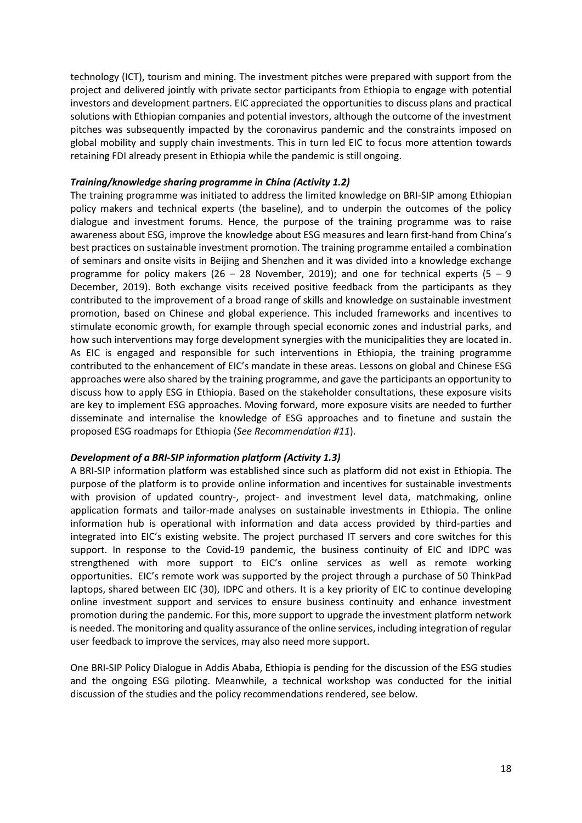technology (ICT), tourism and mining. The investment pitches were prepared with support from the project and delivered jointly with private sector participants from Ethiopia to engage with potential investors and development partners. EIC appreciated the opportunities to discuss plans and practical solutions with Ethiopian companies and potential investors, although the outcome of the investment pitches was subsequently impacted by the coronavirus pandemic and the constraints imposed on global mobility and supply chain investments. This in turn led EIC to focus more attention towards retaining FDI already present in Ethiopia while the pandemic is still ongoing.

#### *Training/knowledge sharing programme in China (Activity 1.2)*

The training programme was initiated to address the limited knowledge on BRI-SIP among Ethiopian policy makers and technical experts (the baseline), and to underpin the outcomes of the policy dialogue and investment forums. Hence, the purpose of the training programme was to raise awareness about ESG, improve the knowledge about ESG measures and learn first-hand from China's best practices on sustainable investment promotion. The training programme entailed a combination of seminars and onsite visits in Beijing and Shenzhen and it was divided into a knowledge exchange programme for policy makers (26 – 28 November, 2019); and one for technical experts (5 – 9 December, 2019). Both exchange visits received positive feedback from the participants as they contributed to the improvement of a broad range of skills and knowledge on sustainable investment promotion, based on Chinese and global experience. This included frameworks and incentives to stimulate economic growth, for example through special economic zones and industrial parks, and how such interventions may forge development synergies with the municipalities they are located in. As EIC is engaged and responsible for such interventions in Ethiopia, the training programme contributed to the enhancement of EIC's mandate in these areas. Lessons on global and Chinese ESG approaches were also shared by the training programme, and gave the participants an opportunity to discuss how to apply ESG in Ethiopia. Based on the stakeholder consultations, these exposure visits are key to implement ESG approaches. Moving forward, more exposure visits are needed to further disseminate and internalise the knowledge of ESG approaches and to finetune and sustain the proposed ESG roadmaps for Ethiopia (*See Recommendation #11*).

#### *Development of a BRI-SIP information platform (Activity 1.3)*

A BRI-SIP information platform was established since such as platform did not exist in Ethiopia. The purpose of the platform is to provide online information and incentives for sustainable investments with provision of updated country-, project- and investment level data, matchmaking, online application formats and tailor-made analyses on sustainable investments in Ethiopia. The online information hub is operational with information and data access provided by third-parties and integrated into EIC's existing website. The project purchased IT servers and core switches for this support. In response to the Covid-19 pandemic, the business continuity of EIC and IDPC was strengthened with more support to EIC's online services as well as remote working opportunities. EIC's remote work was supported by the project through a purchase of 50 ThinkPad laptops, shared between EIC (30), IDPC and others. It is a key priority of EIC to continue developing online investment support and services to ensure business continuity and enhance investment promotion during the pandemic. For this, more support to upgrade the investment platform network is needed. The monitoring and quality assurance of the online services, including integration of regular user feedback to improve the services, may also need more support.

One BRI-SIP Policy Dialogue in Addis Ababa, Ethiopia is pending for the discussion of the ESG studies and the ongoing ESG piloting. Meanwhile, a technical workshop was conducted for the initial discussion of the studies and the policy recommendations rendered, see below.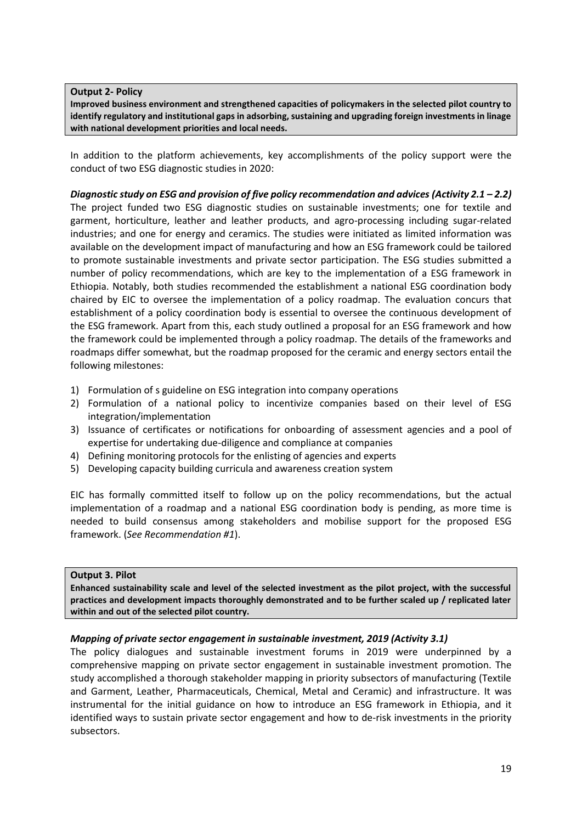**Output 2- Policy**

**Improved business environment and strengthened capacities of policymakers in the selected pilot country to identify regulatory and institutional gaps in adsorbing, sustaining and upgrading foreign investments in linage with national development priorities and local needs.**

In addition to the platform achievements, key accomplishments of the policy support were the conduct of two ESG diagnostic studies in 2020:

*Diagnostic study on ESG and provision of five policy recommendation and advices (Activity 2.1 – 2.2)* The project funded two ESG diagnostic studies on sustainable investments; one for textile and garment, horticulture, leather and leather products, and agro-processing including sugar-related industries; and one for energy and ceramics. The studies were initiated as limited information was available on the development impact of manufacturing and how an ESG framework could be tailored to promote sustainable investments and private sector participation. The ESG studies submitted a number of policy recommendations, which are key to the implementation of a ESG framework in Ethiopia. Notably, both studies recommended the establishment a national ESG coordination body chaired by EIC to oversee the implementation of a policy roadmap. The evaluation concurs that establishment of a policy coordination body is essential to oversee the continuous development of the ESG framework. Apart from this, each study outlined a proposal for an ESG framework and how the framework could be implemented through a policy roadmap. The details of the frameworks and roadmaps differ somewhat, but the roadmap proposed for the ceramic and energy sectors entail the following milestones:

- 1) Formulation of s guideline on ESG integration into company operations
- 2) Formulation of a national policy to incentivize companies based on their level of ESG integration/implementation
- 3) Issuance of certificates or notifications for onboarding of assessment agencies and a pool of expertise for undertaking due-diligence and compliance at companies
- 4) Defining monitoring protocols for the enlisting of agencies and experts
- 5) Developing capacity building curricula and awareness creation system

EIC has formally committed itself to follow up on the policy recommendations, but the actual implementation of a roadmap and a national ESG coordination body is pending, as more time is needed to build consensus among stakeholders and mobilise support for the proposed ESG framework. (*See Recommendation #1*).

#### **Output 3. Pilot**

**Enhanced sustainability scale and level of the selected investment as the pilot project, with the successful practices and development impacts thoroughly demonstrated and to be further scaled up / replicated later within and out of the selected pilot country.** 

#### *Mapping of private sector engagement in sustainable investment, 2019 (Activity 3.1)*

The policy dialogues and sustainable investment forums in 2019 were underpinned by a comprehensive mapping on private sector engagement in sustainable investment promotion. The study accomplished a thorough stakeholder mapping in priority subsectors of manufacturing (Textile and Garment, Leather, Pharmaceuticals, Chemical, Metal and Ceramic) and infrastructure. It was instrumental for the initial guidance on how to introduce an ESG framework in Ethiopia, and it identified ways to sustain private sector engagement and how to de-risk investments in the priority subsectors.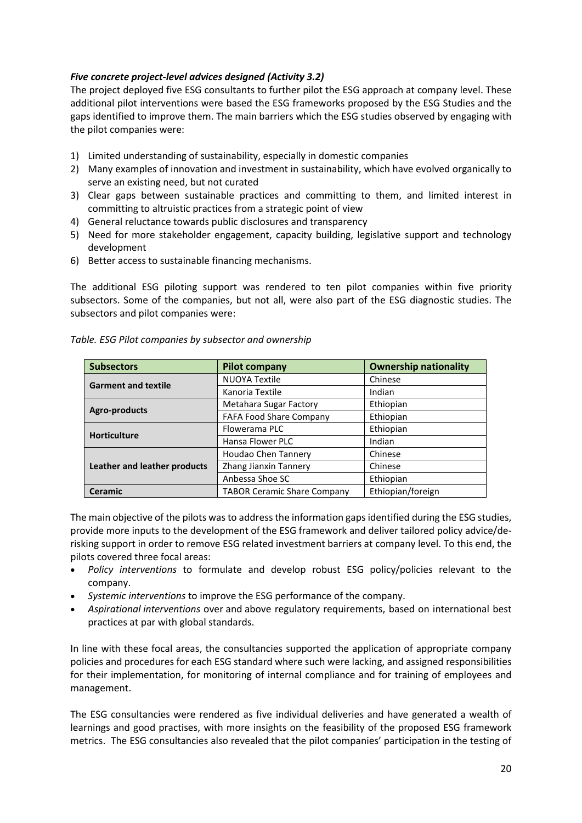#### *Five concrete project-level advices designed (Activity 3.2)*

The project deployed five ESG consultants to further pilot the ESG approach at company level. These additional pilot interventions were based the ESG frameworks proposed by the ESG Studies and the gaps identified to improve them. The main barriers which the ESG studies observed by engaging with the pilot companies were:

- 1) Limited understanding of sustainability, especially in domestic companies
- 2) Many examples of innovation and investment in sustainability, which have evolved organically to serve an existing need, but not curated
- 3) Clear gaps between sustainable practices and committing to them, and limited interest in committing to altruistic practices from a strategic point of view
- 4) General reluctance towards public disclosures and transparency
- 5) Need for more stakeholder engagement, capacity building, legislative support and technology development
- 6) Better access to sustainable financing mechanisms.

The additional ESG piloting support was rendered to ten pilot companies within five priority subsectors. Some of the companies, but not all, were also part of the ESG diagnostic studies. The subsectors and pilot companies were:

| <b>Subsectors</b>            | <b>Pilot company</b>               | <b>Ownership nationality</b> |
|------------------------------|------------------------------------|------------------------------|
| <b>Garment and textile</b>   | <b>NUOYA Textile</b>               | Chinese                      |
|                              | Kanoria Textile                    | Indian                       |
| Agro-products                | <b>Metahara Sugar Factory</b>      | Ethiopian                    |
|                              | <b>FAFA Food Share Company</b>     | Ethiopian                    |
| <b>Horticulture</b>          | Flowerama PLC                      | Ethiopian                    |
|                              | Hansa Flower PLC                   | Indian                       |
|                              | Houdao Chen Tannery                | Chinese                      |
| Leather and leather products | Zhang Jianxin Tannery              | Chinese                      |
|                              | Anbessa Shoe SC                    | Ethiopian                    |
| <b>Ceramic</b>               | <b>TABOR Ceramic Share Company</b> | Ethiopian/foreign            |

|  |  | Table. ESG Pilot companies by subsector and ownership |
|--|--|-------------------------------------------------------|
|  |  |                                                       |

The main objective of the pilots was to address the information gaps identified during the ESG studies, provide more inputs to the development of the ESG framework and deliver tailored policy advice/derisking support in order to remove ESG related investment barriers at company level. To this end, the pilots covered three focal areas:

- *Policy interventions* to formulate and develop robust ESG policy/policies relevant to the company.
- *Systemic interventions* to improve the ESG performance of the company.
- *Aspirational interventions* over and above regulatory requirements, based on international best practices at par with global standards.

In line with these focal areas, the consultancies supported the application of appropriate company policies and procedures for each ESG standard where such were lacking, and assigned responsibilities for their implementation, for monitoring of internal compliance and for training of employees and management.

The ESG consultancies were rendered as five individual deliveries and have generated a wealth of learnings and good practises, with more insights on the feasibility of the proposed ESG framework metrics. The ESG consultancies also revealed that the pilot companies' participation in the testing of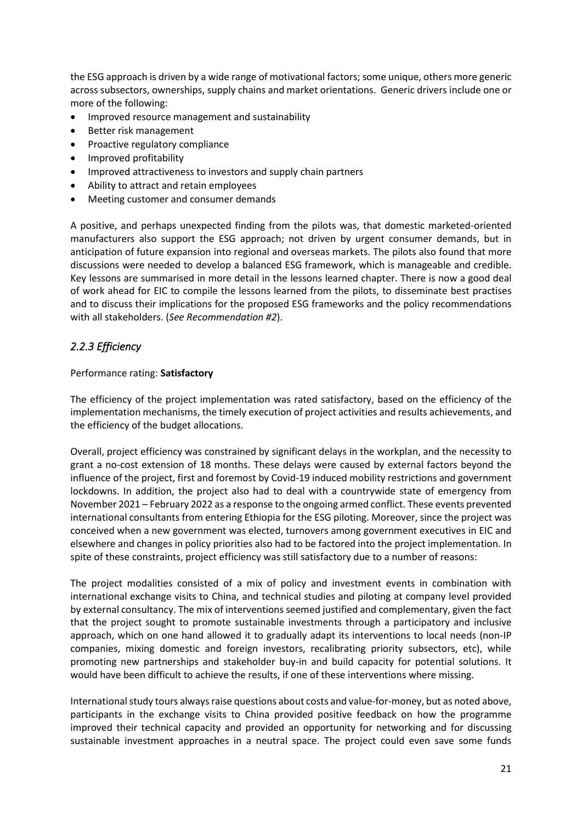the ESG approach is driven by a wide range of motivational factors; some unique, others more generic across subsectors, ownerships, supply chains and market orientations. Generic drivers include one or more of the following:

- Improved resource management and sustainability
- Better risk management
- Proactive regulatory compliance
- Improved profitability
- Improved attractiveness to investors and supply chain partners
- Ability to attract and retain employees
- Meeting customer and consumer demands

A positive, and perhaps unexpected finding from the pilots was, that domestic marketed-oriented manufacturers also support the ESG approach; not driven by urgent consumer demands, but in anticipation of future expansion into regional and overseas markets. The pilots also found that more discussions were needed to develop a balanced ESG framework, which is manageable and credible. Key lessons are summarised in more detail in the lessons learned chapter. There is now a good deal of work ahead for EIC to compile the lessons learned from the pilots, to disseminate best practises and to discuss their implications for the proposed ESG frameworks and the policy recommendations with all stakeholders. (*See Recommendation #2*).

# <span id="page-32-0"></span>*2.2.3 Efficiency*

#### Performance rating: **Satisfactory**

The efficiency of the project implementation was rated satisfactory, based on the efficiency of the implementation mechanisms, the timely execution of project activities and results achievements, and the efficiency of the budget allocations.

Overall, project efficiency was constrained by significant delays in the workplan, and the necessity to grant a no-cost extension of 18 months. These delays were caused by external factors beyond the influence of the project, first and foremost by Covid-19 induced mobility restrictions and government lockdowns. In addition, the project also had to deal with a countrywide state of emergency from November 2021 – February 2022 as a response to the ongoing armed conflict. These events prevented international consultants from entering Ethiopia for the ESG piloting. Moreover, since the project was conceived when a new government was elected, turnovers among government executives in EIC and elsewhere and changes in policy priorities also had to be factored into the project implementation. In spite of these constraints, project efficiency was still satisfactory due to a number of reasons:

The project modalities consisted of a mix of policy and investment events in combination with international exchange visits to China, and technical studies and piloting at company level provided by external consultancy. The mix of interventions seemed justified and complementary, given the fact that the project sought to promote sustainable investments through a participatory and inclusive approach, which on one hand allowed it to gradually adapt its interventions to local needs (non-IP companies, mixing domestic and foreign investors, recalibrating priority subsectors, etc), while promoting new partnerships and stakeholder buy-in and build capacity for potential solutions. It would have been difficult to achieve the results, if one of these interventions where missing.

International study tours always raise questions about costs and value-for-money, but as noted above, participants in the exchange visits to China provided positive feedback on how the programme improved their technical capacity and provided an opportunity for networking and for discussing sustainable investment approaches in a neutral space. The project could even save some funds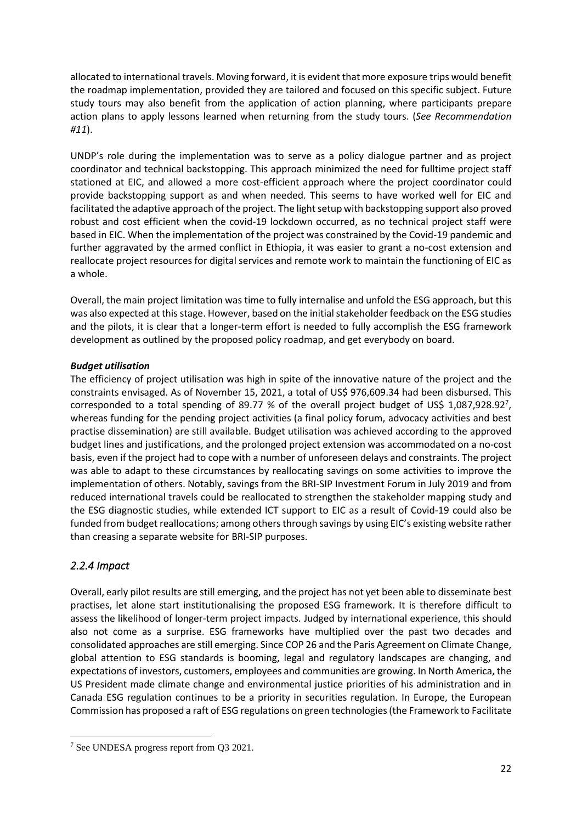allocated to international travels. Moving forward, it is evident that more exposure trips would benefit the roadmap implementation, provided they are tailored and focused on this specific subject. Future study tours may also benefit from the application of action planning, where participants prepare action plans to apply lessons learned when returning from the study tours. (*See Recommendation #11*).

UNDP's role during the implementation was to serve as a policy dialogue partner and as project coordinator and technical backstopping. This approach minimized the need for fulltime project staff stationed at EIC, and allowed a more cost-efficient approach where the project coordinator could provide backstopping support as and when needed. This seems to have worked well for EIC and facilitated the adaptive approach of the project. The light setup with backstopping support also proved robust and cost efficient when the covid-19 lockdown occurred, as no technical project staff were based in EIC. When the implementation of the project was constrained by the Covid-19 pandemic and further aggravated by the armed conflict in Ethiopia, it was easier to grant a no-cost extension and reallocate project resources for digital services and remote work to maintain the functioning of EIC as a whole.

Overall, the main project limitation was time to fully internalise and unfold the ESG approach, but this was also expected at this stage. However, based on the initial stakeholder feedback on the ESG studies and the pilots, it is clear that a longer-term effort is needed to fully accomplish the ESG framework development as outlined by the proposed policy roadmap, and get everybody on board.

## *Budget utilisation*

The efficiency of project utilisation was high in spite of the innovative nature of the project and the constraints envisaged. As of November 15, 2021, a total of US\$ 976,609.34 had been disbursed. This corresponded to a total spending of 89.77 % of the overall project budget of US\$ 1,087,928.92<sup>7</sup>, whereas funding for the pending project activities (a final policy forum, advocacy activities and best practise dissemination) are still available. Budget utilisation was achieved according to the approved budget lines and justifications, and the prolonged project extension was accommodated on a no-cost basis, even if the project had to cope with a number of unforeseen delays and constraints. The project was able to adapt to these circumstances by reallocating savings on some activities to improve the implementation of others. Notably, savings from the BRI-SIP Investment Forum in July 2019 and from reduced international travels could be reallocated to strengthen the stakeholder mapping study and the ESG diagnostic studies, while extended ICT support to EIC as a result of Covid-19 could also be funded from budget reallocations; among others through savings by using EIC's existing website rather than creasing a separate website for BRI-SIP purposes.

# <span id="page-33-0"></span>*2.2.4 Impact*

Overall, early pilot results are still emerging, and the project has not yet been able to disseminate best practises, let alone start institutionalising the proposed ESG framework. It is therefore difficult to assess the likelihood of longer-term project impacts. Judged by international experience, this should also not come as a surprise. ESG frameworks have multiplied over the past two decades and consolidated approaches are still emerging. Since COP 26 and the Paris Agreement on Climate Change, global attention to ESG standards is booming, legal and regulatory landscapes are changing, and expectations of investors, customers, employees and communities are growing. In North America, the US President made climate change and environmental justice priorities of his administration and in Canada ESG regulation continues to be a priority in securities regulation. In Europe, the European Commission has proposed a raft of ESG regulations on green technologies (the Framework to Facilitate

<sup>7</sup> See UNDESA progress report from Q3 2021.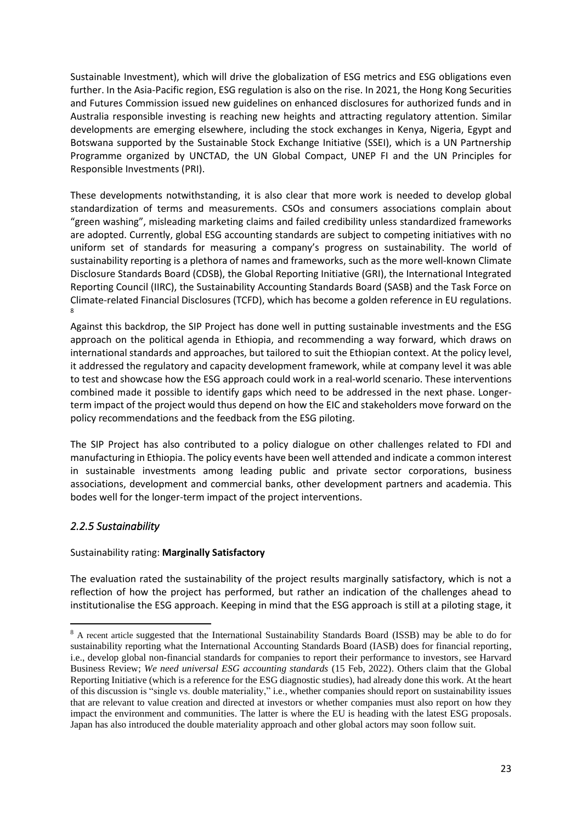Sustainable Investment), which will drive the globalization of ESG metrics and ESG obligations even further. In the Asia-Pacific region, ESG regulation is also on the rise. In 2021, the Hong Kong Securities and Futures Commission issued new guidelines on enhanced disclosures for authorized funds and in Australia responsible investing is reaching new heights and attracting regulatory attention. Similar developments are emerging elsewhere, including the stock exchanges in Kenya, Nigeria, Egypt and Botswana supported by the Sustainable Stock Exchange Initiative (SSEI), which is a UN Partnership Programme organized by UNCTAD, the UN Global Compact, UNEP FI and the UN Principles for Responsible Investments (PRI).

These developments notwithstanding, it is also clear that more work is needed to develop global standardization of terms and measurements. CSOs and consumers associations complain about "green washing", misleading marketing claims and failed credibility unless standardized frameworks are adopted. Currently, global ESG accounting standards are subject to competing initiatives with no uniform set of standards for measuring a company's progress on sustainability. The world of sustainability reporting is a plethora of names and frameworks, such as the more well-known Climate Disclosure Standards Board (CDSB), the Global Reporting Initiative (GRI), the International Integrated Reporting Council (IIRC), the Sustainability Accounting Standards Board (SASB) and the Task Force on Climate-related Financial Disclosures (TCFD), which has become a golden reference in EU regulations. 8

Against this backdrop, the SIP Project has done well in putting sustainable investments and the ESG approach on the political agenda in Ethiopia, and recommending a way forward, which draws on international standards and approaches, but tailored to suit the Ethiopian context. At the policy level, it addressed the regulatory and capacity development framework, while at company level it was able to test and showcase how the ESG approach could work in a real-world scenario. These interventions combined made it possible to identify gaps which need to be addressed in the next phase. Longerterm impact of the project would thus depend on how the EIC and stakeholders move forward on the policy recommendations and the feedback from the ESG piloting.

The SIP Project has also contributed to a policy dialogue on other challenges related to FDI and manufacturing in Ethiopia. The policy events have been well attended and indicate a common interest in sustainable investments among leading public and private sector corporations, business associations, development and commercial banks, other development partners and academia. This bodes well for the longer-term impact of the project interventions.

# <span id="page-34-0"></span>*2.2.5 Sustainability*

## Sustainability rating: **Marginally Satisfactory**

The evaluation rated the sustainability of the project results marginally satisfactory, which is not a reflection of how the project has performed, but rather an indication of the challenges ahead to institutionalise the ESG approach. Keeping in mind that the ESG approach is still at a piloting stage, it

<sup>8</sup> A recent article suggested that the International Sustainability Standards Board (ISSB) may be able to do for sustainability reporting what the International Accounting Standards Board (IASB) does for financial reporting, i.e., develop global non-financial standards for companies to report their performance to investors, see Harvard Business Review; *We need universal ESG accounting standards* (15 Feb, 2022). Others claim that the Global Reporting Initiative (which is a reference for the ESG diagnostic studies), had already done this work. At the heart of this discussion is "single vs. double materiality," i.e., whether companies should report on sustainability issues that are relevant to value creation and directed at investors or whether companies must also report on how they impact the environment and communities. The latter is where the EU is heading with the latest ESG proposals. Japan has also introduced the double materiality approach and other global actors may soon follow suit.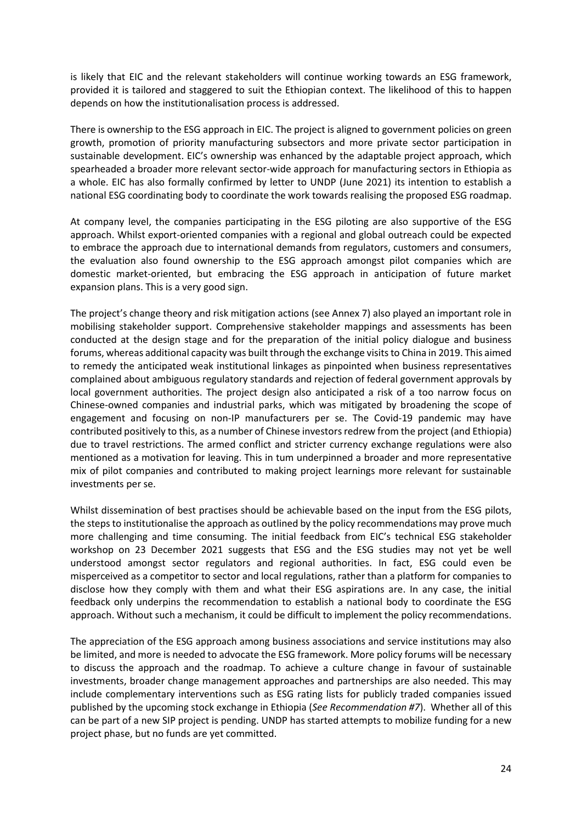is likely that EIC and the relevant stakeholders will continue working towards an ESG framework, provided it is tailored and staggered to suit the Ethiopian context. The likelihood of this to happen depends on how the institutionalisation process is addressed.

There is ownership to the ESG approach in EIC. The project is aligned to government policies on green growth, promotion of priority manufacturing subsectors and more private sector participation in sustainable development. EIC's ownership was enhanced by the adaptable project approach, which spearheaded a broader more relevant sector-wide approach for manufacturing sectors in Ethiopia as a whole. EIC has also formally confirmed by letter to UNDP (June 2021) its intention to establish a national ESG coordinating body to coordinate the work towards realising the proposed ESG roadmap.

At company level, the companies participating in the ESG piloting are also supportive of the ESG approach. Whilst export-oriented companies with a regional and global outreach could be expected to embrace the approach due to international demands from regulators, customers and consumers, the evaluation also found ownership to the ESG approach amongst pilot companies which are domestic market-oriented, but embracing the ESG approach in anticipation of future market expansion plans. This is a very good sign.

The project's change theory and risk mitigation actions (see Annex 7) also played an important role in mobilising stakeholder support. Comprehensive stakeholder mappings and assessments has been conducted at the design stage and for the preparation of the initial policy dialogue and business forums, whereas additional capacity was built through the exchange visits to China in 2019. This aimed to remedy the anticipated weak institutional linkages as pinpointed when business representatives complained about ambiguous regulatory standards and rejection of federal government approvals by local government authorities. The project design also anticipated a risk of a too narrow focus on Chinese-owned companies and industrial parks, which was mitigated by broadening the scope of engagement and focusing on non-IP manufacturers per se. The Covid-19 pandemic may have contributed positively to this, as a number of Chinese investors redrew from the project (and Ethiopia) due to travel restrictions. The armed conflict and stricter currency exchange regulations were also mentioned as a motivation for leaving. This in tum underpinned a broader and more representative mix of pilot companies and contributed to making project learnings more relevant for sustainable investments per se.

Whilst dissemination of best practises should be achievable based on the input from the ESG pilots, the steps to institutionalise the approach as outlined by the policy recommendations may prove much more challenging and time consuming. The initial feedback from EIC's technical ESG stakeholder workshop on 23 December 2021 suggests that ESG and the ESG studies may not yet be well understood amongst sector regulators and regional authorities. In fact, ESG could even be misperceived as a competitor to sector and local regulations, rather than a platform for companies to disclose how they comply with them and what their ESG aspirations are. In any case, the initial feedback only underpins the recommendation to establish a national body to coordinate the ESG approach. Without such a mechanism, it could be difficult to implement the policy recommendations.

The appreciation of the ESG approach among business associations and service institutions may also be limited, and more is needed to advocate the ESG framework. More policy forums will be necessary to discuss the approach and the roadmap. To achieve a culture change in favour of sustainable investments, broader change management approaches and partnerships are also needed. This may include complementary interventions such as ESG rating lists for publicly traded companies issued published by the upcoming stock exchange in Ethiopia (*See Recommendation #7*). Whether all of this can be part of a new SIP project is pending. UNDP has started attempts to mobilize funding for a new project phase, but no funds are yet committed.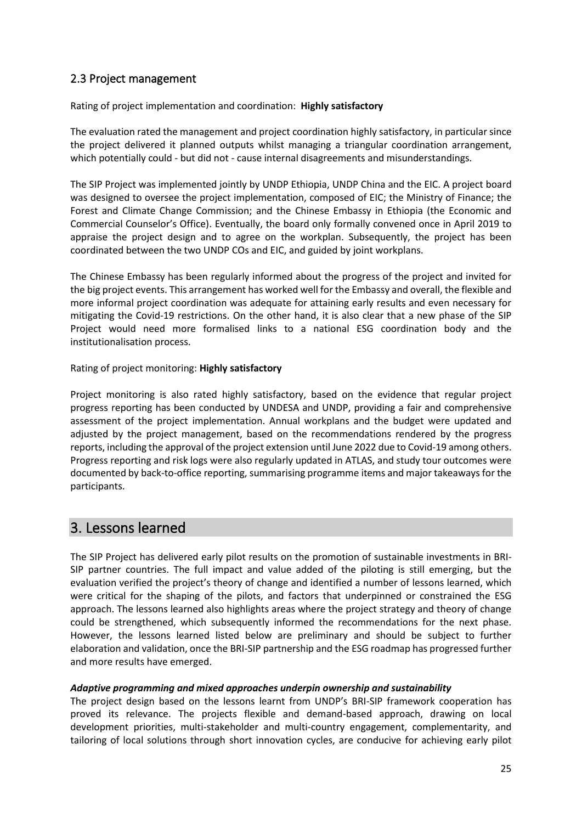# 2.3 Project management

Rating of project implementation and coordination: **Highly satisfactory**

The evaluation rated the management and project coordination highly satisfactory, in particular since the project delivered it planned outputs whilst managing a triangular coordination arrangement, which potentially could - but did not - cause internal disagreements and misunderstandings.

The SIP Project was implemented jointly by UNDP Ethiopia, UNDP China and the EIC. A project board was designed to oversee the project implementation, composed of EIC; the Ministry of Finance; the Forest and Climate Change Commission; and the Chinese Embassy in Ethiopia (the Economic and Commercial Counselor's Office). Eventually, the board only formally convened once in April 2019 to appraise the project design and to agree on the workplan. Subsequently, the project has been coordinated between the two UNDP COs and EIC, and guided by joint workplans.

The Chinese Embassy has been regularly informed about the progress of the project and invited for the big project events. This arrangement has worked well for the Embassy and overall, the flexible and more informal project coordination was adequate for attaining early results and even necessary for mitigating the Covid-19 restrictions. On the other hand, it is also clear that a new phase of the SIP Project would need more formalised links to a national ESG coordination body and the institutionalisation process.

## Rating of project monitoring: **Highly satisfactory**

Project monitoring is also rated highly satisfactory, based on the evidence that regular project progress reporting has been conducted by UNDESA and UNDP, providing a fair and comprehensive assessment of the project implementation. Annual workplans and the budget were updated and adjusted by the project management, based on the recommendations rendered by the progress reports, including the approval of the project extension until June 2022 due to Covid-19 among others. Progress reporting and risk logs were also regularly updated in ATLAS, and study tour outcomes were documented by back-to-office reporting, summarising programme items and major takeaways for the participants.

# 3. Lessons learned

The SIP Project has delivered early pilot results on the promotion of sustainable investments in BRI-SIP partner countries. The full impact and value added of the piloting is still emerging, but the evaluation verified the project's theory of change and identified a number of lessons learned, which were critical for the shaping of the pilots, and factors that underpinned or constrained the ESG approach. The lessons learned also highlights areas where the project strategy and theory of change could be strengthened, which subsequently informed the recommendations for the next phase. However, the lessons learned listed below are preliminary and should be subject to further elaboration and validation, once the BRI-SIP partnership and the ESG roadmap has progressed further and more results have emerged.

#### *Adaptive programming and mixed approaches underpin ownership and sustainability*

The project design based on the lessons learnt from UNDP's BRI-SIP framework cooperation has proved its relevance. The projects flexible and demand-based approach, drawing on local development priorities, multi-stakeholder and multi-country engagement, complementarity, and tailoring of local solutions through short innovation cycles, are conducive for achieving early pilot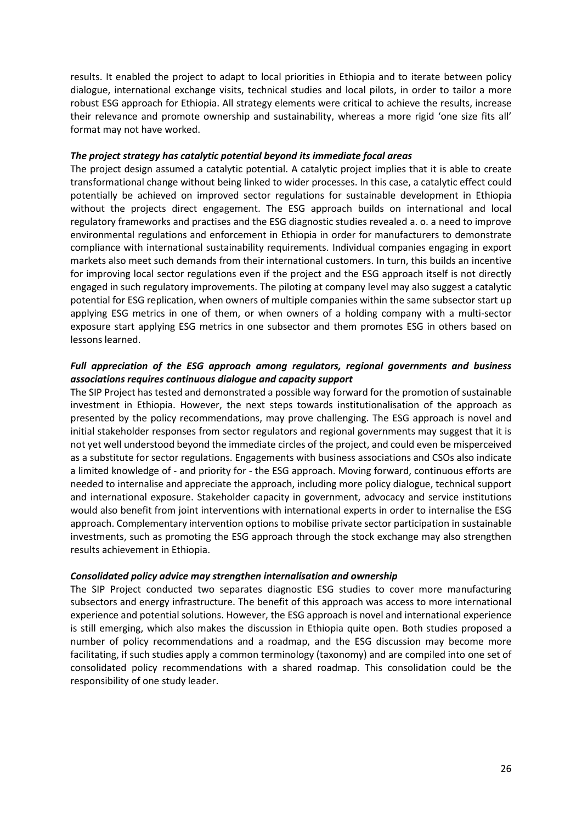results. It enabled the project to adapt to local priorities in Ethiopia and to iterate between policy dialogue, international exchange visits, technical studies and local pilots, in order to tailor a more robust ESG approach for Ethiopia. All strategy elements were critical to achieve the results, increase their relevance and promote ownership and sustainability, whereas a more rigid 'one size fits all' format may not have worked.

#### *The project strategy has catalytic potential beyond its immediate focal areas*

The project design assumed a catalytic potential. A catalytic project implies that it is able to create transformational change without being linked to wider processes. In this case, a catalytic effect could potentially be achieved on improved sector regulations for sustainable development in Ethiopia without the projects direct engagement. The ESG approach builds on international and local regulatory frameworks and practises and the ESG diagnostic studies revealed a. o. a need to improve environmental regulations and enforcement in Ethiopia in order for manufacturers to demonstrate compliance with international sustainability requirements. Individual companies engaging in export markets also meet such demands from their international customers. In turn, this builds an incentive for improving local sector regulations even if the project and the ESG approach itself is not directly engaged in such regulatory improvements. The piloting at company level may also suggest a catalytic potential for ESG replication, when owners of multiple companies within the same subsector start up applying ESG metrics in one of them, or when owners of a holding company with a multi-sector exposure start applying ESG metrics in one subsector and them promotes ESG in others based on lessons learned.

#### *Full appreciation of the ESG approach among regulators, regional governments and business associations requires continuous dialogue and capacity support*

The SIP Project has tested and demonstrated a possible way forward for the promotion of sustainable investment in Ethiopia. However, the next steps towards institutionalisation of the approach as presented by the policy recommendations, may prove challenging. The ESG approach is novel and initial stakeholder responses from sector regulators and regional governments may suggest that it is not yet well understood beyond the immediate circles of the project, and could even be misperceived as a substitute for sector regulations. Engagements with business associations and CSOs also indicate a limited knowledge of - and priority for - the ESG approach. Moving forward, continuous efforts are needed to internalise and appreciate the approach, including more policy dialogue, technical support and international exposure. Stakeholder capacity in government, advocacy and service institutions would also benefit from joint interventions with international experts in order to internalise the ESG approach. Complementary intervention options to mobilise private sector participation in sustainable investments, such as promoting the ESG approach through the stock exchange may also strengthen results achievement in Ethiopia.

#### *Consolidated policy advice may strengthen internalisation and ownership*

The SIP Project conducted two separates diagnostic ESG studies to cover more manufacturing subsectors and energy infrastructure. The benefit of this approach was access to more international experience and potential solutions. However, the ESG approach is novel and international experience is still emerging, which also makes the discussion in Ethiopia quite open. Both studies proposed a number of policy recommendations and a roadmap, and the ESG discussion may become more facilitating, if such studies apply a common terminology (taxonomy) and are compiled into one set of consolidated policy recommendations with a shared roadmap. This consolidation could be the responsibility of one study leader.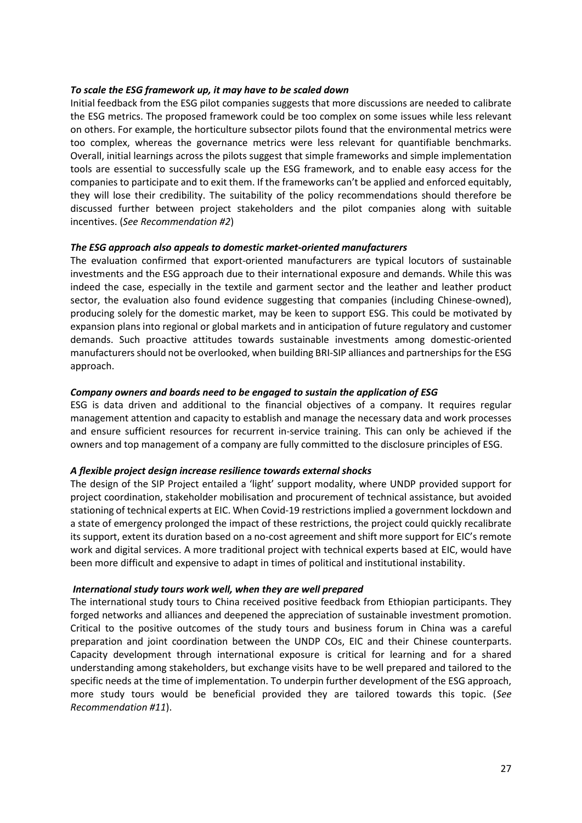#### *To scale the ESG framework up, it may have to be scaled down*

Initial feedback from the ESG pilot companies suggests that more discussions are needed to calibrate the ESG metrics. The proposed framework could be too complex on some issues while less relevant on others. For example, the horticulture subsector pilots found that the environmental metrics were too complex, whereas the governance metrics were less relevant for quantifiable benchmarks. Overall, initial learnings across the pilots suggest that simple frameworks and simple implementation tools are essential to successfully scale up the ESG framework, and to enable easy access for the companies to participate and to exit them. If the frameworks can't be applied and enforced equitably, they will lose their credibility. The suitability of the policy recommendations should therefore be discussed further between project stakeholders and the pilot companies along with suitable incentives. (*See Recommendation #2*)

#### *The ESG approach also appeals to domestic market-oriented manufacturers*

The evaluation confirmed that export-oriented manufacturers are typical locutors of sustainable investments and the ESG approach due to their international exposure and demands. While this was indeed the case, especially in the textile and garment sector and the leather and leather product sector, the evaluation also found evidence suggesting that companies (including Chinese-owned), producing solely for the domestic market, may be keen to support ESG. This could be motivated by expansion plans into regional or global markets and in anticipation of future regulatory and customer demands. Such proactive attitudes towards sustainable investments among domestic-oriented manufacturers should not be overlooked, when building BRI-SIP alliances and partnerships for the ESG approach.

#### *Company owners and boards need to be engaged to sustain the application of ESG*

ESG is data driven and additional to the financial objectives of a company. It requires regular management attention and capacity to establish and manage the necessary data and work processes and ensure sufficient resources for recurrent in-service training. This can only be achieved if the owners and top management of a company are fully committed to the disclosure principles of ESG.

#### *A flexible project design increase resilience towards external shocks*

The design of the SIP Project entailed a 'light' support modality, where UNDP provided support for project coordination, stakeholder mobilisation and procurement of technical assistance, but avoided stationing of technical experts at EIC. When Covid-19 restrictions implied a government lockdown and a state of emergency prolonged the impact of these restrictions, the project could quickly recalibrate its support, extent its duration based on a no-cost agreement and shift more support for EIC's remote work and digital services. A more traditional project with technical experts based at EIC, would have been more difficult and expensive to adapt in times of political and institutional instability.

#### *International study tours work well, when they are well prepared*

The international study tours to China received positive feedback from Ethiopian participants. They forged networks and alliances and deepened the appreciation of sustainable investment promotion. Critical to the positive outcomes of the study tours and business forum in China was a careful preparation and joint coordination between the UNDP COs, EIC and their Chinese counterparts. Capacity development through international exposure is critical for learning and for a shared understanding among stakeholders, but exchange visits have to be well prepared and tailored to the specific needs at the time of implementation. To underpin further development of the ESG approach, more study tours would be beneficial provided they are tailored towards this topic. (*See Recommendation #11*).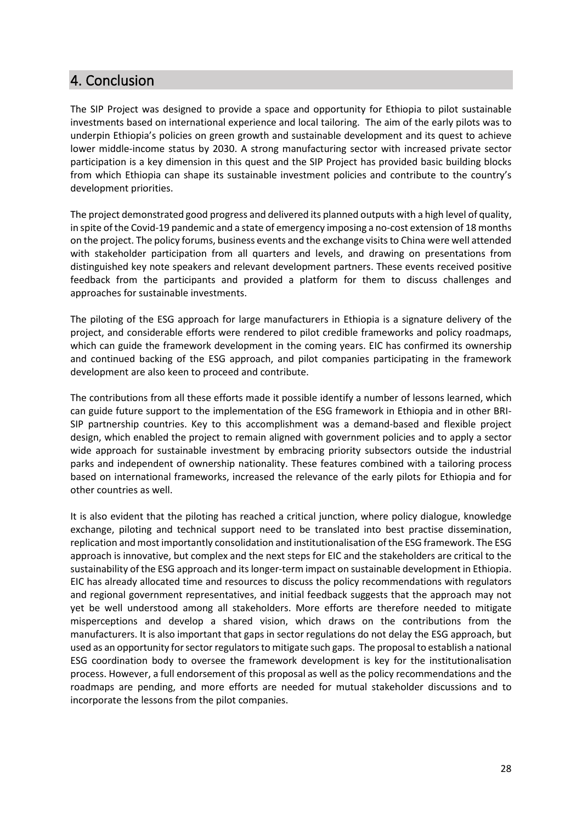# 4. Conclusion

The SIP Project was designed to provide a space and opportunity for Ethiopia to pilot sustainable investments based on international experience and local tailoring. The aim of the early pilots was to underpin Ethiopia's policies on green growth and sustainable development and its quest to achieve lower middle-income status by 2030. A strong manufacturing sector with increased private sector participation is a key dimension in this quest and the SIP Project has provided basic building blocks from which Ethiopia can shape its sustainable investment policies and contribute to the country's development priorities.

The project demonstrated good progress and delivered its planned outputs with a high level of quality, in spite of the Covid-19 pandemic and a state of emergency imposing a no-cost extension of 18 months on the project. The policy forums, business events and the exchange visits to China were well attended with stakeholder participation from all quarters and levels, and drawing on presentations from distinguished key note speakers and relevant development partners. These events received positive feedback from the participants and provided a platform for them to discuss challenges and approaches for sustainable investments.

The piloting of the ESG approach for large manufacturers in Ethiopia is a signature delivery of the project, and considerable efforts were rendered to pilot credible frameworks and policy roadmaps, which can guide the framework development in the coming years. EIC has confirmed its ownership and continued backing of the ESG approach, and pilot companies participating in the framework development are also keen to proceed and contribute.

The contributions from all these efforts made it possible identify a number of lessons learned, which can guide future support to the implementation of the ESG framework in Ethiopia and in other BRI-SIP partnership countries. Key to this accomplishment was a demand-based and flexible project design, which enabled the project to remain aligned with government policies and to apply a sector wide approach for sustainable investment by embracing priority subsectors outside the industrial parks and independent of ownership nationality. These features combined with a tailoring process based on international frameworks, increased the relevance of the early pilots for Ethiopia and for other countries as well.

It is also evident that the piloting has reached a critical junction, where policy dialogue, knowledge exchange, piloting and technical support need to be translated into best practise dissemination, replication and most importantly consolidation and institutionalisation of the ESG framework. The ESG approach is innovative, but complex and the next steps for EIC and the stakeholders are critical to the sustainability of the ESG approach and its longer-term impact on sustainable development in Ethiopia. EIC has already allocated time and resources to discuss the policy recommendations with regulators and regional government representatives, and initial feedback suggests that the approach may not yet be well understood among all stakeholders. More efforts are therefore needed to mitigate misperceptions and develop a shared vision, which draws on the contributions from the manufacturers. It is also important that gaps in sector regulations do not delay the ESG approach, but used as an opportunity for sector regulators to mitigate such gaps. The proposal to establish a national ESG coordination body to oversee the framework development is key for the institutionalisation process. However, a full endorsement of this proposal as well as the policy recommendations and the roadmaps are pending, and more efforts are needed for mutual stakeholder discussions and to incorporate the lessons from the pilot companies.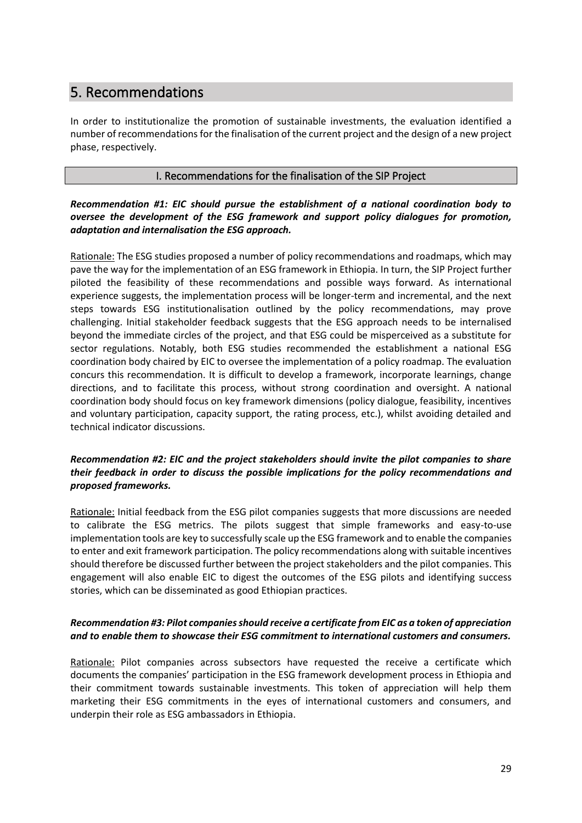# 5. Recommendations

In order to institutionalize the promotion of sustainable investments, the evaluation identified a number of recommendations for the finalisation of the current project and the design of a new project phase, respectively.

## I. Recommendations for the finalisation of the SIP Project

# *Recommendation #1: EIC should pursue the establishment of a national coordination body to oversee the development of the ESG framework and support policy dialogues for promotion, adaptation and internalisation the ESG approach.*

Rationale: The ESG studies proposed a number of policy recommendations and roadmaps, which may pave the way for the implementation of an ESG framework in Ethiopia. In turn, the SIP Project further piloted the feasibility of these recommendations and possible ways forward. As international experience suggests, the implementation process will be longer-term and incremental, and the next steps towards ESG institutionalisation outlined by the policy recommendations, may prove challenging. Initial stakeholder feedback suggests that the ESG approach needs to be internalised beyond the immediate circles of the project, and that ESG could be misperceived as a substitute for sector regulations. Notably, both ESG studies recommended the establishment a national ESG coordination body chaired by EIC to oversee the implementation of a policy roadmap. The evaluation concurs this recommendation. It is difficult to develop a framework, incorporate learnings, change directions, and to facilitate this process, without strong coordination and oversight. A national coordination body should focus on key framework dimensions (policy dialogue, feasibility, incentives and voluntary participation, capacity support, the rating process, etc.), whilst avoiding detailed and technical indicator discussions.

# *Recommendation #2: EIC and the project stakeholders should invite the pilot companies to share their feedback in order to discuss the possible implications for the policy recommendations and proposed frameworks.*

Rationale: Initial feedback from the ESG pilot companies suggests that more discussions are needed to calibrate the ESG metrics. The pilots suggest that simple frameworks and easy-to-use implementation tools are key to successfully scale up the ESG framework and to enable the companies to enter and exit framework participation. The policy recommendations along with suitable incentives should therefore be discussed further between the project stakeholders and the pilot companies. This engagement will also enable EIC to digest the outcomes of the ESG pilots and identifying success stories, which can be disseminated as good Ethiopian practices.

# *Recommendation #3: Pilot companies should receive a certificate from EIC as a token of appreciation and to enable them to showcase their ESG commitment to international customers and consumers.*

Rationale: Pilot companies across subsectors have requested the receive a certificate which documents the companies' participation in the ESG framework development process in Ethiopia and their commitment towards sustainable investments. This token of appreciation will help them marketing their ESG commitments in the eyes of international customers and consumers, and underpin their role as ESG ambassadors in Ethiopia.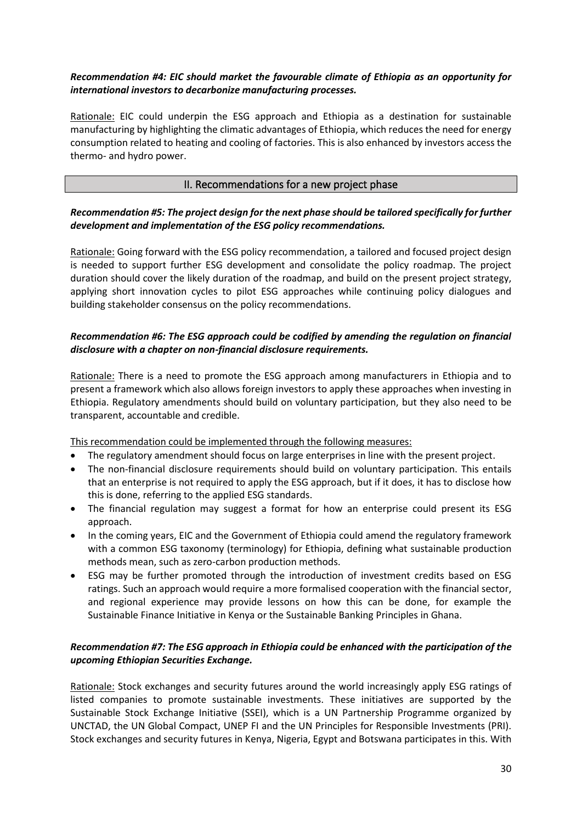# *Recommendation #4: EIC should market the favourable climate of Ethiopia as an opportunity for international investors to decarbonize manufacturing processes.*

Rationale: EIC could underpin the ESG approach and Ethiopia as a destination for sustainable manufacturing by highlighting the climatic advantages of Ethiopia, which reduces the need for energy consumption related to heating and cooling of factories. This is also enhanced by investors access the thermo- and hydro power.

## II. Recommendations for a new project phase

## *Recommendation #5: The project design for the next phase should be tailored specifically for further development and implementation of the ESG policy recommendations.*

Rationale: Going forward with the ESG policy recommendation, a tailored and focused project design is needed to support further ESG development and consolidate the policy roadmap. The project duration should cover the likely duration of the roadmap, and build on the present project strategy, applying short innovation cycles to pilot ESG approaches while continuing policy dialogues and building stakeholder consensus on the policy recommendations.

# *Recommendation #6: The ESG approach could be codified by amending the regulation on financial disclosure with a chapter on non-financial disclosure requirements.*

Rationale: There is a need to promote the ESG approach among manufacturers in Ethiopia and to present a framework which also allows foreign investors to apply these approaches when investing in Ethiopia. Regulatory amendments should build on voluntary participation, but they also need to be transparent, accountable and credible.

This recommendation could be implemented through the following measures:

- The regulatory amendment should focus on large enterprises in line with the present project.
- The non-financial disclosure requirements should build on voluntary participation. This entails that an enterprise is not required to apply the ESG approach, but if it does, it has to disclose how this is done, referring to the applied ESG standards.
- The financial regulation may suggest a format for how an enterprise could present its ESG approach.
- In the coming years, EIC and the Government of Ethiopia could amend the regulatory framework with a common ESG taxonomy (terminology) for Ethiopia, defining what sustainable production methods mean, such as zero-carbon production methods.
- ESG may be further promoted through the introduction of investment credits based on ESG ratings. Such an approach would require a more formalised cooperation with the financial sector, and regional experience may provide lessons on how this can be done, for example the Sustainable Finance Initiative in Kenya or the Sustainable Banking Principles in Ghana.

# *Recommendation #7: The ESG approach in Ethiopia could be enhanced with the participation of the upcoming Ethiopian Securities Exchange.*

Rationale: Stock exchanges and security futures around the world increasingly apply ESG ratings of listed companies to promote sustainable investments. These initiatives are supported by the Sustainable Stock Exchange Initiative (SSEI), which is a UN Partnership Programme organized by UNCTAD, the UN Global Compact, UNEP FI and the UN Principles for Responsible Investments (PRI). Stock exchanges and security futures in Kenya, Nigeria, Egypt and Botswana participates in this. With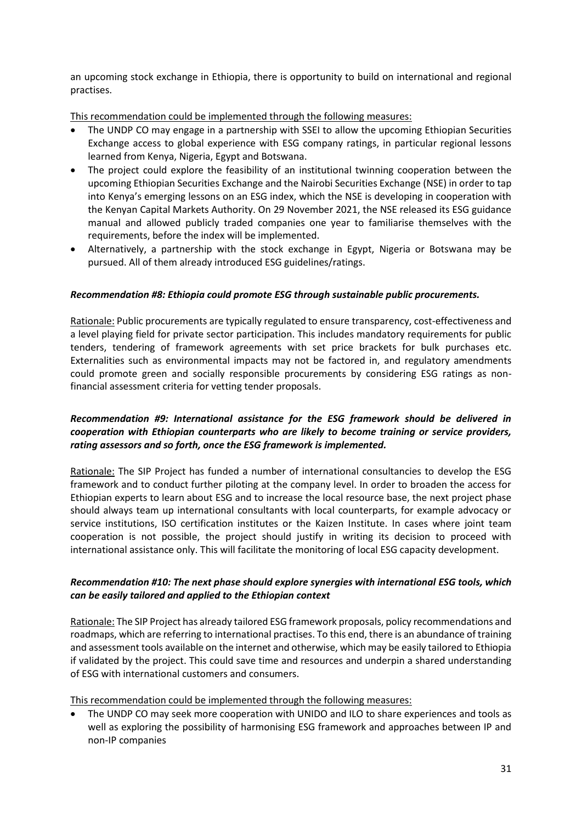an upcoming stock exchange in Ethiopia, there is opportunity to build on international and regional practises.

This recommendation could be implemented through the following measures:

- The UNDP CO may engage in a partnership with SSEI to allow the upcoming Ethiopian Securities Exchange access to global experience with ESG company ratings, in particular regional lessons learned from Kenya, Nigeria, Egypt and Botswana.
- The project could explore the feasibility of an institutional twinning cooperation between the upcoming Ethiopian Securities Exchange and the Nairobi Securities Exchange (NSE) in order to tap into Kenya's emerging lessons on an ESG index, which the NSE is developing in cooperation with the Kenyan Capital Markets Authority. On 29 November 2021, the NSE released its ESG guidance manual and allowed publicly traded companies one year to familiarise themselves with the requirements, before the index will be implemented.
- Alternatively, a partnership with the stock exchange in Egypt, Nigeria or Botswana may be pursued. All of them already introduced ESG guidelines/ratings.

## *Recommendation #8: Ethiopia could promote ESG through sustainable public procurements.*

Rationale: Public procurements are typically regulated to ensure transparency, cost-effectiveness and a level playing field for private sector participation. This includes mandatory requirements for public tenders, tendering of framework agreements with set price brackets for bulk purchases etc. Externalities such as environmental impacts may not be factored in, and regulatory amendments could promote green and socially responsible procurements by considering ESG ratings as nonfinancial assessment criteria for vetting tender proposals.

# *Recommendation #9: International assistance for the ESG framework should be delivered in cooperation with Ethiopian counterparts who are likely to become training or service providers, rating assessors and so forth, once the ESG framework is implemented.*

Rationale: The SIP Project has funded a number of international consultancies to develop the ESG framework and to conduct further piloting at the company level. In order to broaden the access for Ethiopian experts to learn about ESG and to increase the local resource base, the next project phase should always team up international consultants with local counterparts, for example advocacy or service institutions, ISO certification institutes or the Kaizen Institute. In cases where joint team cooperation is not possible, the project should justify in writing its decision to proceed with international assistance only. This will facilitate the monitoring of local ESG capacity development.

# *Recommendation #10: The next phase should explore synergies with international ESG tools, which can be easily tailored and applied to the Ethiopian context*

Rationale: The SIP Project has already tailored ESG framework proposals, policy recommendations and roadmaps, which are referring to international practises. To this end, there is an abundance of training and assessment tools available on the internet and otherwise, which may be easily tailored to Ethiopia if validated by the project. This could save time and resources and underpin a shared understanding of ESG with international customers and consumers.

This recommendation could be implemented through the following measures:

• The UNDP CO may seek more cooperation with UNIDO and ILO to share experiences and tools as well as exploring the possibility of harmonising ESG framework and approaches between IP and non-IP companies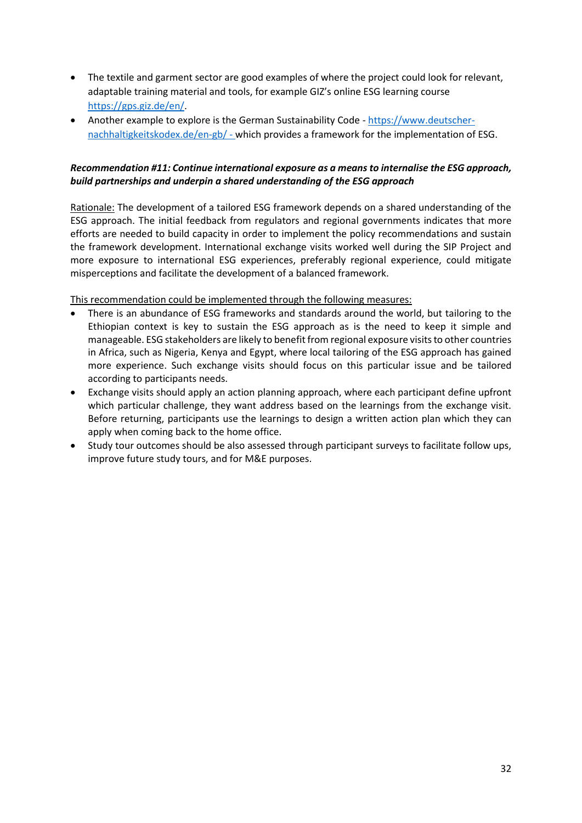- The textile and garment sector are good examples of where the project could look for relevant, adaptable training material and tools, for example GIZ's online ESG learning course [https://gps.giz.de/en/.](https://gps.giz.de/en/)
- Another example to explore is the German Sustainability Code [https://www.deutscher](https://www.deutscher-nachhaltigkeitskodex.de/en-gb/)[nachhaltigkeitskodex.de/en-gb/](https://www.deutscher-nachhaltigkeitskodex.de/en-gb/) - which provides a framework for the implementation of ESG.

# *Recommendation #11: Continue international exposure as a means to internalise the ESG approach, build partnerships and underpin a shared understanding of the ESG approach*

Rationale: The development of a tailored ESG framework depends on a shared understanding of the ESG approach. The initial feedback from regulators and regional governments indicates that more efforts are needed to build capacity in order to implement the policy recommendations and sustain the framework development. International exchange visits worked well during the SIP Project and more exposure to international ESG experiences, preferably regional experience, could mitigate misperceptions and facilitate the development of a balanced framework.

This recommendation could be implemented through the following measures:

- There is an abundance of ESG frameworks and standards around the world, but tailoring to the Ethiopian context is key to sustain the ESG approach as is the need to keep it simple and manageable. ESG stakeholders are likely to benefit from regional exposure visits to other countries in Africa, such as Nigeria, Kenya and Egypt, where local tailoring of the ESG approach has gained more experience. Such exchange visits should focus on this particular issue and be tailored according to participants needs.
- Exchange visits should apply an action planning approach, where each participant define upfront which particular challenge, they want address based on the learnings from the exchange visit. Before returning, participants use the learnings to design a written action plan which they can apply when coming back to the home office.
- Study tour outcomes should be also assessed through participant surveys to facilitate follow ups, improve future study tours, and for M&E purposes.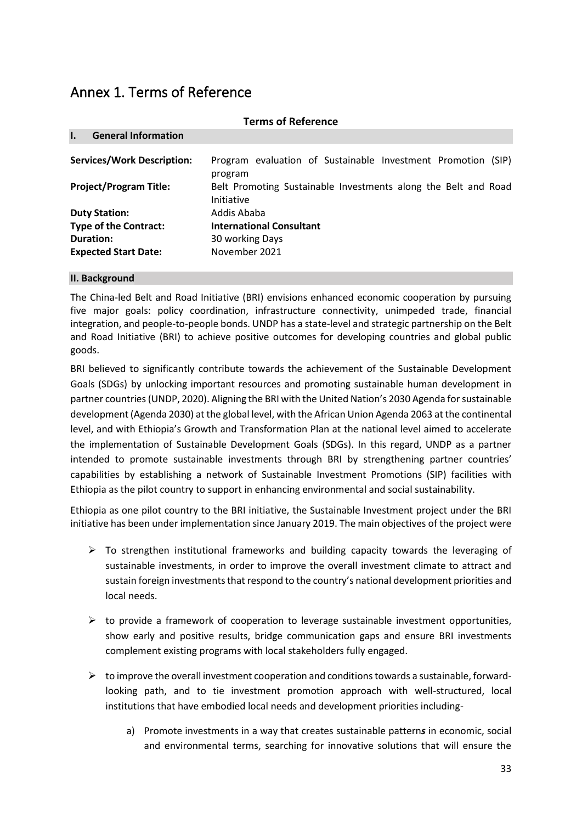# Annex 1. Terms of Reference

|                                            | <b>Terms of Reference</b>                                                    |  |  |  |  |  |
|--------------------------------------------|------------------------------------------------------------------------------|--|--|--|--|--|
| <b>General Information</b><br>$\mathbf{L}$ |                                                                              |  |  |  |  |  |
| <b>Services/Work Description:</b>          | Program evaluation of Sustainable Investment Promotion (SIP)<br>program      |  |  |  |  |  |
| <b>Project/Program Title:</b>              | Belt Promoting Sustainable Investments along the Belt and Road<br>Initiative |  |  |  |  |  |
| <b>Duty Station:</b>                       | Addis Ababa                                                                  |  |  |  |  |  |
| <b>Type of the Contract:</b>               | <b>International Consultant</b>                                              |  |  |  |  |  |
| Duration:                                  | 30 working Days                                                              |  |  |  |  |  |
| <b>Expected Start Date:</b>                | November 2021                                                                |  |  |  |  |  |

#### **II. Background**

The China-led Belt and Road Initiative (BRI) envisions enhanced economic cooperation by pursuing five major goals: policy coordination, infrastructure connectivity, unimpeded trade, financial integration, and people-to-people bonds. UNDP has a state-level and strategic partnership on the Belt and Road Initiative (BRI) to achieve positive outcomes for developing countries and global public goods.

BRI believed to significantly contribute towards the achievement of the Sustainable Development Goals (SDGs) by unlocking important resources and promoting sustainable human development in partner countries (UNDP, 2020). Aligning the BRI with the United Nation's 2030 Agenda for sustainable development (Agenda 2030) at the global level, with the African Union Agenda 2063 at the continental level, and with Ethiopia's Growth and Transformation Plan at the national level aimed to accelerate the implementation of Sustainable Development Goals (SDGs). In this regard, UNDP as a partner intended to promote sustainable investments through BRI by strengthening partner countries' capabilities by establishing a network of Sustainable Investment Promotions (SIP) facilities with Ethiopia as the pilot country to support in enhancing environmental and social sustainability.

Ethiopia as one pilot country to the BRI initiative, the Sustainable Investment project under the BRI initiative has been under implementation since January 2019. The main objectives of the project were

- $\triangleright$  To strengthen institutional frameworks and building capacity towards the leveraging of sustainable investments, in order to improve the overall investment climate to attract and sustain foreign investments that respond to the country's national development priorities and local needs.
- $\triangleright$  to provide a framework of cooperation to leverage sustainable investment opportunities, show early and positive results, bridge communication gaps and ensure BRI investments complement existing programs with local stakeholders fully engaged.
- $\triangleright$  to improve the overall investment cooperation and conditions towards a sustainable, forwardlooking path, and to tie investment promotion approach with well-structured, local institutions that have embodied local needs and development priorities including
	- a) Promote investments in a way that creates sustainable pattern*s* in economic, social and environmental terms, searching for innovative solutions that will ensure the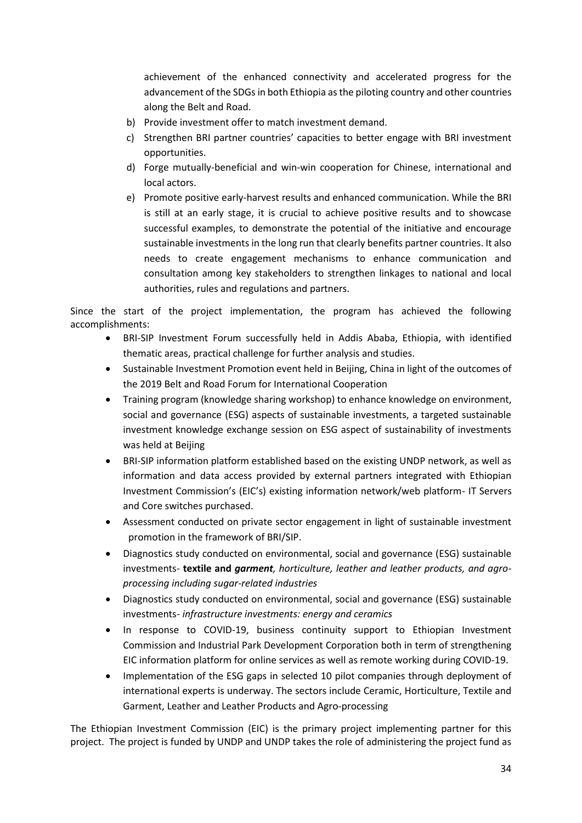achievement of the enhanced connectivity and accelerated progress for the advancement of the SDGs in both Ethiopia as the piloting country and other countries along the Belt and Road.

- b) Provide investment offer to match investment demand.
- c) Strengthen BRI partner countries' capacities to better engage with BRI investment opportunities.
- d) Forge mutually-beneficial and win-win cooperation for Chinese, international and local actors.
- e) Promote positive early-harvest results and enhanced communication. While the BRI is still at an early stage, it is crucial to achieve positive results and to showcase successful examples, to demonstrate the potential of the initiative and encourage sustainable investments in the long run that clearly benefits partner countries. It also needs to create engagement mechanisms to enhance communication and consultation among key stakeholders to strengthen linkages to national and local authorities, rules and regulations and partners.

Since the start of the project implementation, the program has achieved the following accomplishments:

- BRI-SIP Investment Forum successfully held in Addis Ababa, Ethiopia, with identified thematic areas, practical challenge for further analysis and studies.
- Sustainable Investment Promotion event held in Beijing, China in light of the outcomes of the 2019 Belt and Road Forum for International Cooperation
- Training program (knowledge sharing workshop) to enhance knowledge on environment, social and governance (ESG) aspects of sustainable investments, a targeted sustainable investment knowledge exchange session on ESG aspect of sustainability of investments was held at Beijing
- BRI-SIP information platform established based on the existing UNDP network, as well as information and data access provided by external partners integrated with Ethiopian Investment Commission's (EIC's) existing information network/web platform- IT Servers and Core switches purchased.
- Assessment conducted on private sector engagement in light of sustainable investment promotion in the framework of BRI/SIP.
- Diagnostics study conducted on environmental, social and governance (ESG) sustainable investments- **textile and** *garment, horticulture, leather and leather products, and agroprocessing including sugar-related industries*
- Diagnostics study conducted on environmental, social and governance (ESG) sustainable investments- *infrastructure investments: energy and ceramics*
- In response to COVID-19, business continuity support to Ethiopian Investment Commission and Industrial Park Development Corporation both in term of strengthening EIC information platform for online services as well as remote working during COVID-19.
- Implementation of the ESG gaps in selected 10 pilot companies through deployment of international experts is underway. The sectors include Ceramic, Horticulture, Textile and Garment, Leather and Leather Products and Agro-processing

The Ethiopian Investment Commission (EIC) is the primary project implementing partner for this project. The project is funded by UNDP and UNDP takes the role of administering the project fund as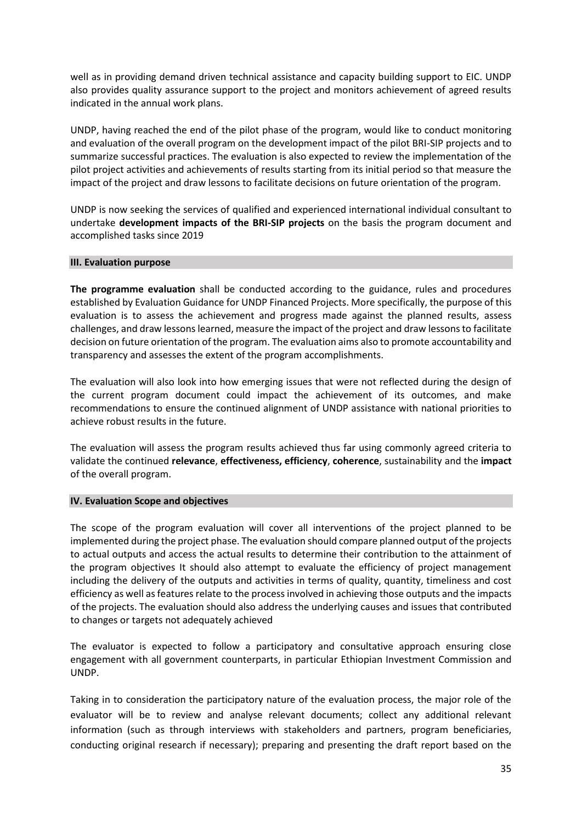well as in providing demand driven technical assistance and capacity building support to EIC. UNDP also provides quality assurance support to the project and monitors achievement of agreed results indicated in the annual work plans.

UNDP, having reached the end of the pilot phase of the program, would like to conduct monitoring and evaluation of the overall program on the development impact of the pilot BRI-SIP projects and to summarize successful practices. The evaluation is also expected to review the implementation of the pilot project activities and achievements of results starting from its initial period so that measure the impact of the project and draw lessons to facilitate decisions on future orientation of the program.

UNDP is now seeking the services of qualified and experienced international individual consultant to undertake **development impacts of the BRI-SIP projects** on the basis the program document and accomplished tasks since 2019

#### **III. Evaluation purpose**

**The programme evaluation** shall be conducted according to the guidance, rules and procedures established by Evaluation Guidance for UNDP Financed Projects. More specifically, the purpose of this evaluation is to assess the achievement and progress made against the planned results, assess challenges, and draw lessons learned, measure the impact of the project and draw lessons to facilitate decision on future orientation of the program. The evaluation aims also to promote accountability and transparency and assesses the extent of the program accomplishments.

The evaluation will also look into how emerging issues that were not reflected during the design of the current program document could impact the achievement of its outcomes, and make recommendations to ensure the continued alignment of UNDP assistance with national priorities to achieve robust results in the future.

The evaluation will assess the program results achieved thus far using commonly agreed criteria to validate the continued **relevance**, **effectiveness, efficiency**, **coherence**, sustainability and the **impact**  of the overall program.

#### **IV. Evaluation Scope and objectives**

The scope of the program evaluation will cover all interventions of the project planned to be implemented during the project phase. The evaluation should compare planned output of the projects to actual outputs and access the actual results to determine their contribution to the attainment of the program objectives It should also attempt to evaluate the efficiency of project management including the delivery of the outputs and activities in terms of quality, quantity, timeliness and cost efficiency as well as features relate to the process involved in achieving those outputs and the impacts of the projects. The evaluation should also address the underlying causes and issues that contributed to changes or targets not adequately achieved

The evaluator is expected to follow a participatory and consultative approach ensuring close engagement with all government counterparts, in particular Ethiopian Investment Commission and UNDP.

Taking in to consideration the participatory nature of the evaluation process, the major role of the evaluator will be to review and analyse relevant documents; collect any additional relevant information (such as through interviews with stakeholders and partners, program beneficiaries, conducting original research if necessary); preparing and presenting the draft report based on the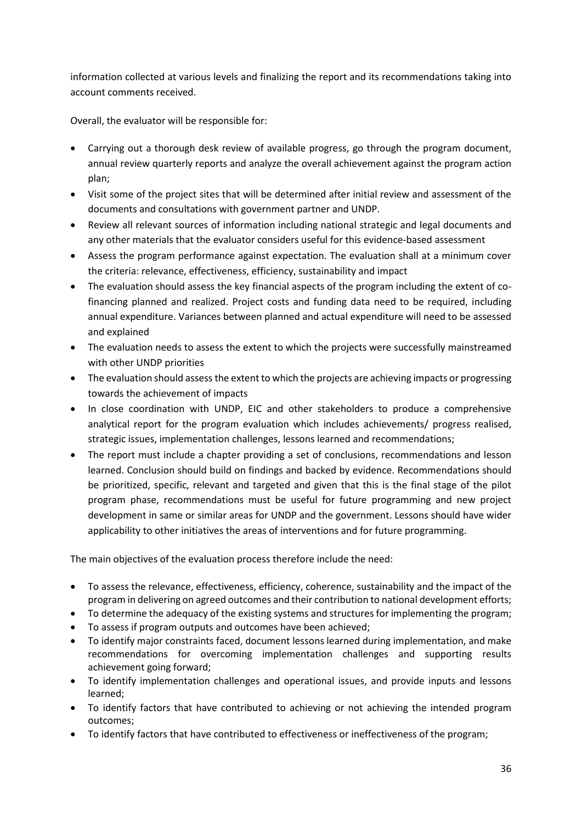information collected at various levels and finalizing the report and its recommendations taking into account comments received.

Overall, the evaluator will be responsible for:

- Carrying out a thorough desk review of available progress, go through the program document, annual review quarterly reports and analyze the overall achievement against the program action plan;
- Visit some of the project sites that will be determined after initial review and assessment of the documents and consultations with government partner and UNDP.
- Review all relevant sources of information including national strategic and legal documents and any other materials that the evaluator considers useful for this evidence-based assessment
- Assess the program performance against expectation. The evaluation shall at a minimum cover the criteria: relevance, effectiveness, efficiency, sustainability and impact
- The evaluation should assess the key financial aspects of the program including the extent of cofinancing planned and realized. Project costs and funding data need to be required, including annual expenditure. Variances between planned and actual expenditure will need to be assessed and explained
- The evaluation needs to assess the extent to which the projects were successfully mainstreamed with other UNDP priorities
- The evaluation should assess the extent to which the projects are achieving impacts or progressing towards the achievement of impacts
- In close coordination with UNDP, EIC and other stakeholders to produce a comprehensive analytical report for the program evaluation which includes achievements/ progress realised, strategic issues, implementation challenges, lessons learned and recommendations;
- The report must include a chapter providing a set of conclusions, recommendations and lesson learned. Conclusion should build on findings and backed by evidence. Recommendations should be prioritized, specific, relevant and targeted and given that this is the final stage of the pilot program phase, recommendations must be useful for future programming and new project development in same or similar areas for UNDP and the government. Lessons should have wider applicability to other initiatives the areas of interventions and for future programming.

The main objectives of the evaluation process therefore include the need:

- To assess the relevance, effectiveness, efficiency, coherence, sustainability and the impact of the program in delivering on agreed outcomes and their contribution to national development efforts;
- To determine the adequacy of the existing systems and structures for implementing the program;
- To assess if program outputs and outcomes have been achieved;
- To identify major constraints faced, document lessons learned during implementation, and make recommendations for overcoming implementation challenges and supporting results achievement going forward;
- To identify implementation challenges and operational issues, and provide inputs and lessons learned;
- To identify factors that have contributed to achieving or not achieving the intended program outcomes;
- To identify factors that have contributed to effectiveness or ineffectiveness of the program;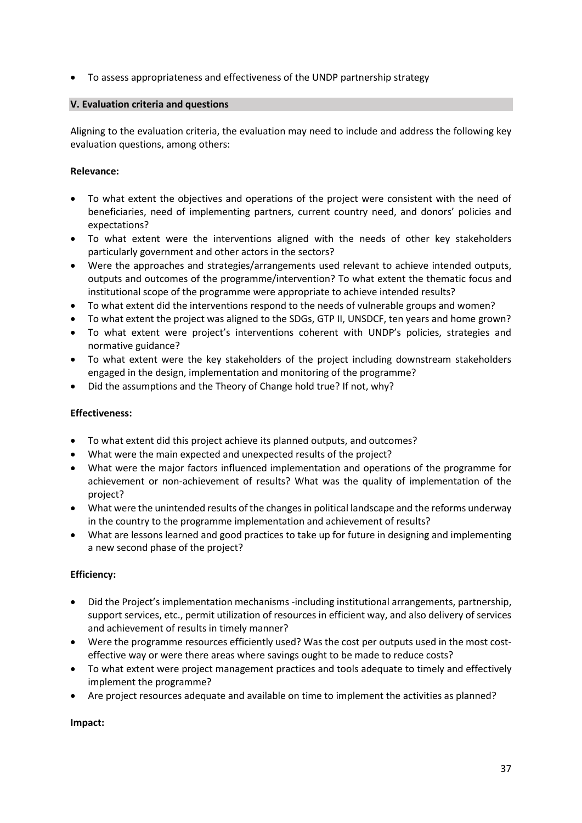• To assess appropriateness and effectiveness of the UNDP partnership strategy

# **V. Evaluation criteria and questions**

Aligning to the evaluation criteria, the evaluation may need to include and address the following key evaluation questions, among others:

# **Relevance:**

- To what extent the objectives and operations of the project were consistent with the need of beneficiaries, need of implementing partners, current country need, and donors' policies and expectations?
- To what extent were the interventions aligned with the needs of other key stakeholders particularly government and other actors in the sectors?
- Were the approaches and strategies/arrangements used relevant to achieve intended outputs, outputs and outcomes of the programme/intervention? To what extent the thematic focus and institutional scope of the programme were appropriate to achieve intended results?
- To what extent did the interventions respond to the needs of vulnerable groups and women?
- To what extent the project was aligned to the SDGs, GTP II, UNSDCF, ten years and home grown?
- To what extent were project's interventions coherent with UNDP's policies, strategies and normative guidance?
- To what extent were the key stakeholders of the project including downstream stakeholders engaged in the design, implementation and monitoring of the programme?
- Did the assumptions and the Theory of Change hold true? If not, why?

# **Effectiveness:**

- To what extent did this project achieve its planned outputs, and outcomes?
- What were the main expected and unexpected results of the project?
- What were the major factors influenced implementation and operations of the programme for achievement or non-achievement of results? What was the quality of implementation of the project?
- What were the unintended results of the changes in political landscape and the reforms underway in the country to the programme implementation and achievement of results?
- What are lessons learned and good practices to take up for future in designing and implementing a new second phase of the project?

# **Efficiency:**

- Did the Project's implementation mechanisms -including institutional arrangements, partnership, support services, etc., permit utilization of resources in efficient way, and also delivery of services and achievement of results in timely manner?
- Were the programme resources efficiently used? Was the cost per outputs used in the most costeffective way or were there areas where savings ought to be made to reduce costs?
- To what extent were project management practices and tools adequate to timely and effectively implement the programme?
- Are project resources adequate and available on time to implement the activities as planned?

# **Impact:**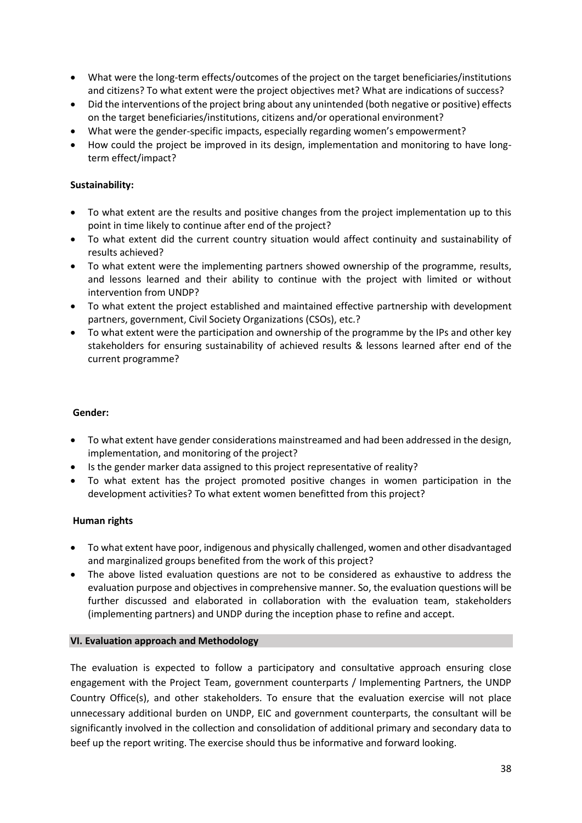- What were the long-term effects/outcomes of the project on the target beneficiaries/institutions and citizens? To what extent were the project objectives met? What are indications of success?
- Did the interventions of the project bring about any unintended (both negative or positive) effects on the target beneficiaries/institutions, citizens and/or operational environment?
- What were the gender-specific impacts, especially regarding women's empowerment?
- How could the project be improved in its design, implementation and monitoring to have longterm effect/impact?

#### **Sustainability:**

- To what extent are the results and positive changes from the project implementation up to this point in time likely to continue after end of the project?
- To what extent did the current country situation would affect continuity and sustainability of results achieved?
- To what extent were the implementing partners showed ownership of the programme, results, and lessons learned and their ability to continue with the project with limited or without intervention from UNDP?
- To what extent the project established and maintained effective partnership with development partners, government, Civil Society Organizations (CSOs), etc.?
- To what extent were the participation and ownership of the programme by the IPs and other key stakeholders for ensuring sustainability of achieved results & lessons learned after end of the current programme?

#### **Gender:**

- To what extent have gender considerations mainstreamed and had been addressed in the design, implementation, and monitoring of the project?
- Is the gender marker data assigned to this project representative of reality?
- To what extent has the project promoted positive changes in women participation in the development activities? To what extent women benefitted from this project?

#### **Human rights**

- To what extent have poor, indigenous and physically challenged, women and other disadvantaged and marginalized groups benefited from the work of this project?
- The above listed evaluation questions are not to be considered as exhaustive to address the evaluation purpose and objectives in comprehensive manner. So, the evaluation questions will be further discussed and elaborated in collaboration with the evaluation team, stakeholders (implementing partners) and UNDP during the inception phase to refine and accept.

#### **VI. Evaluation approach and Methodology**

The evaluation is expected to follow a participatory and consultative approach ensuring close engagement with the Project Team, government counterparts / Implementing Partners, the UNDP Country Office(s), and other stakeholders. To ensure that the evaluation exercise will not place unnecessary additional burden on UNDP, EIC and government counterparts, the consultant will be significantly involved in the collection and consolidation of additional primary and secondary data to beef up the report writing. The exercise should thus be informative and forward looking.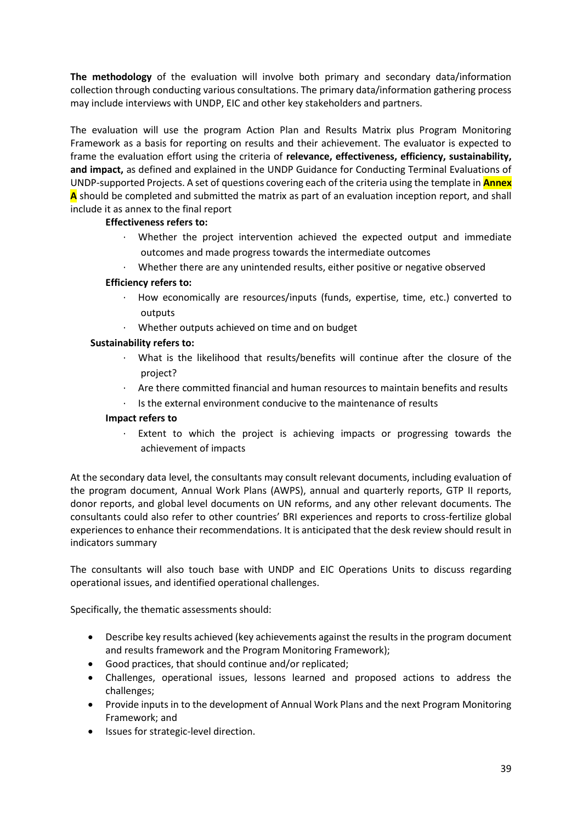**The methodology** of the evaluation will involve both primary and secondary data/information collection through conducting various consultations. The primary data/information gathering process may include interviews with UNDP, EIC and other key stakeholders and partners.

The evaluation will use the program Action Plan and Results Matrix plus Program Monitoring Framework as a basis for reporting on results and their achievement. The evaluator is expected to frame the evaluation effort using the criteria of **relevance, effectiveness, efficiency, sustainability, and impact,** as defined and explained in the UNDP Guidance for Conducting Terminal Evaluations of UNDP-supported Projects. A set of questions covering each of the criteria using the template in **Annex A** should be completed and submitted the matrix as part of an evaluation inception report, and shall include it as annex to the final report

# **Effectiveness refers to:**

- Whether the project intervention achieved the expected output and immediate outcomes and made progress towards the intermediate outcomes
- · Whether there are any unintended results, either positive or negative observed

## **Efficiency refers to:**

- · How economically are resources/inputs (funds, expertise, time, etc.) converted to outputs
- Whether outputs achieved on time and on budget

## **Sustainability refers to:**

- · What is the likelihood that results/benefits will continue after the closure of the project?
- · Are there committed financial and human resources to maintain benefits and results
- Is the external environment conducive to the maintenance of results

#### **Impact refers to**

· Extent to which the project is achieving impacts or progressing towards the achievement of impacts

At the secondary data level, the consultants may consult relevant documents, including evaluation of the program document, Annual Work Plans (AWPS), annual and quarterly reports, GTP II reports, donor reports, and global level documents on UN reforms, and any other relevant documents. The consultants could also refer to other countries' BRI experiences and reports to cross-fertilize global experiences to enhance their recommendations. It is anticipated that the desk review should result in indicators summary

The consultants will also touch base with UNDP and EIC Operations Units to discuss regarding operational issues, and identified operational challenges.

Specifically, the thematic assessments should:

- Describe key results achieved (key achievements against the results in the program document and results framework and the Program Monitoring Framework);
- Good practices, that should continue and/or replicated;
- Challenges, operational issues, lessons learned and proposed actions to address the challenges;
- Provide inputs in to the development of Annual Work Plans and the next Program Monitoring Framework; and
- Issues for strategic-level direction.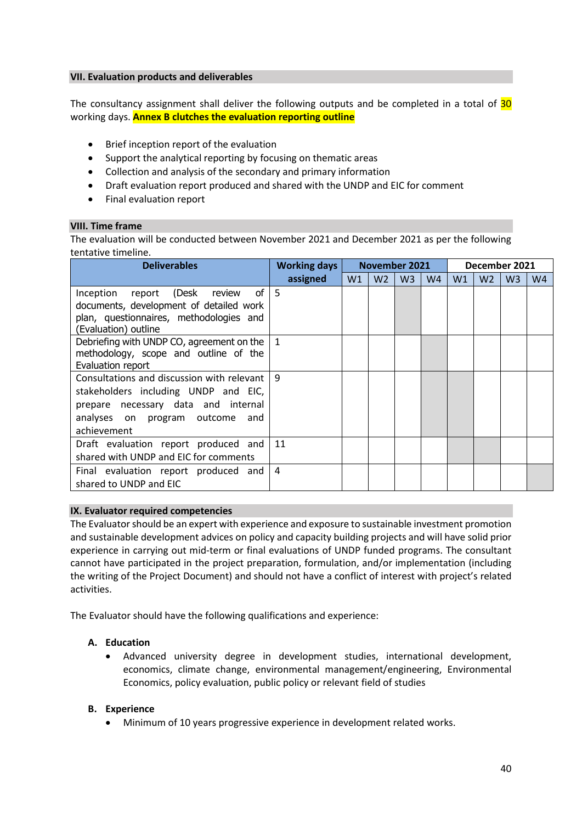#### **VII. Evaluation products and deliverables**

The consultancy assignment shall deliver the following outputs and be completed in a total of  $30$ working days. **Annex B clutches the evaluation reporting outline**

- Brief inception report of the evaluation
- Support the analytical reporting by focusing on thematic areas
- Collection and analysis of the secondary and primary information
- Draft evaluation report produced and shared with the UNDP and EIC for comment
- Final evaluation report

#### **VIII. Time frame**

The evaluation will be conducted between November 2021 and December 2021 as per the following tentative timeline.

| <b>Deliverables</b>                         | <b>Working days</b> | <b>November 2021</b> |                |                |                | December 2021 |                |                |                |
|---------------------------------------------|---------------------|----------------------|----------------|----------------|----------------|---------------|----------------|----------------|----------------|
|                                             | assigned            | W1                   | W <sub>2</sub> | W <sub>3</sub> | W <sub>4</sub> | W1            | W <sub>2</sub> | W <sub>3</sub> | W <sub>4</sub> |
| of I<br>report (Desk<br>Inception<br>review | - 5                 |                      |                |                |                |               |                |                |                |
| documents, development of detailed work     |                     |                      |                |                |                |               |                |                |                |
| plan, questionnaires, methodologies and     |                     |                      |                |                |                |               |                |                |                |
| (Evaluation) outline                        |                     |                      |                |                |                |               |                |                |                |
| Debriefing with UNDP CO, agreement on the   | $\mathbf{1}$        |                      |                |                |                |               |                |                |                |
| methodology, scope and outline of the       |                     |                      |                |                |                |               |                |                |                |
| Evaluation report                           |                     |                      |                |                |                |               |                |                |                |
| Consultations and discussion with relevant  | q                   |                      |                |                |                |               |                |                |                |
| stakeholders including UNDP and EIC,        |                     |                      |                |                |                |               |                |                |                |
| prepare necessary data and internal         |                     |                      |                |                |                |               |                |                |                |
| analyses on program outcome<br>and          |                     |                      |                |                |                |               |                |                |                |
| achievement                                 |                     |                      |                |                |                |               |                |                |                |
| Draft evaluation report produced and        | 11                  |                      |                |                |                |               |                |                |                |
| shared with UNDP and EIC for comments       |                     |                      |                |                |                |               |                |                |                |
| Final evaluation report produced and        | 4                   |                      |                |                |                |               |                |                |                |
| shared to UNDP and EIC                      |                     |                      |                |                |                |               |                |                |                |

#### **IX. Evaluator required competencies**

The Evaluator should be an expert with experience and exposure to sustainable investment promotion and sustainable development advices on policy and capacity building projects and will have solid prior experience in carrying out mid-term or final evaluations of UNDP funded programs. The consultant cannot have participated in the project preparation, formulation, and/or implementation (including the writing of the Project Document) and should not have a conflict of interest with project's related activities.

The Evaluator should have the following qualifications and experience:

#### **A. Education**

• Advanced university degree in development studies, international development, economics, climate change, environmental management/engineering, Environmental Economics, policy evaluation, public policy or relevant field of studies

#### **B. Experience**

• Minimum of 10 years progressive experience in development related works.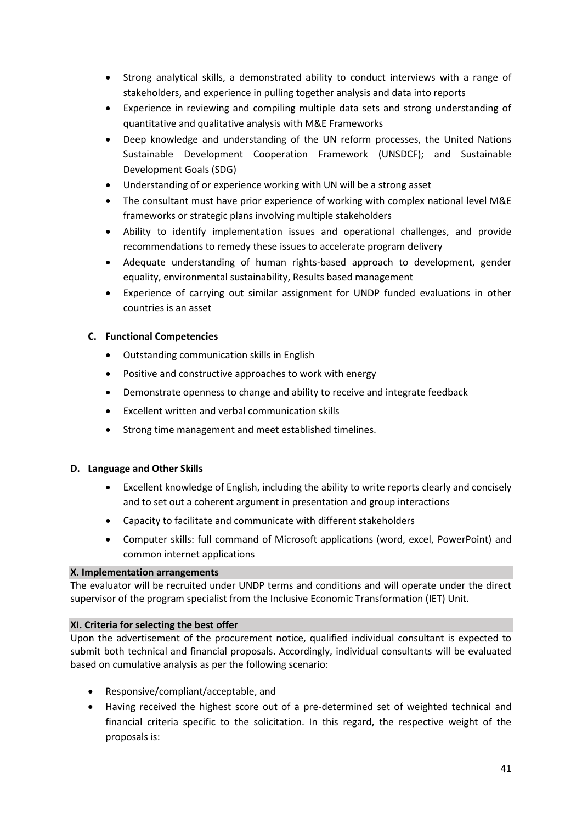- Strong analytical skills, a demonstrated ability to conduct interviews with a range of stakeholders, and experience in pulling together analysis and data into reports
- Experience in reviewing and compiling multiple data sets and strong understanding of quantitative and qualitative analysis with M&E Frameworks
- Deep knowledge and understanding of the UN reform processes, the United Nations Sustainable Development Cooperation Framework (UNSDCF); and Sustainable Development Goals (SDG)
- Understanding of or experience working with UN will be a strong asset
- The consultant must have prior experience of working with complex national level M&E frameworks or strategic plans involving multiple stakeholders
- Ability to identify implementation issues and operational challenges, and provide recommendations to remedy these issues to accelerate program delivery
- Adequate understanding of human rights-based approach to development, gender equality, environmental sustainability, Results based management
- Experience of carrying out similar assignment for UNDP funded evaluations in other countries is an asset

# **C. Functional Competencies**

- Outstanding communication skills in English
- Positive and constructive approaches to work with energy
- Demonstrate openness to change and ability to receive and integrate feedback
- Excellent written and verbal communication skills
- Strong time management and meet established timelines.

# **D. Language and Other Skills**

- Excellent knowledge of English, including the ability to write reports clearly and concisely and to set out a coherent argument in presentation and group interactions
- Capacity to facilitate and communicate with different stakeholders
- Computer skills: full command of Microsoft applications (word, excel, PowerPoint) and common internet applications

# **X. Implementation arrangements**

The evaluator will be recruited under UNDP terms and conditions and will operate under the direct supervisor of the program specialist from the Inclusive Economic Transformation (IET) Unit.

# **XI. Criteria for selecting the best offer**

Upon the advertisement of the procurement notice, qualified individual consultant is expected to submit both technical and financial proposals. Accordingly, individual consultants will be evaluated based on cumulative analysis as per the following scenario:

- Responsive/compliant/acceptable, and
- Having received the highest score out of a pre-determined set of weighted technical and financial criteria specific to the solicitation. In this regard, the respective weight of the proposals is: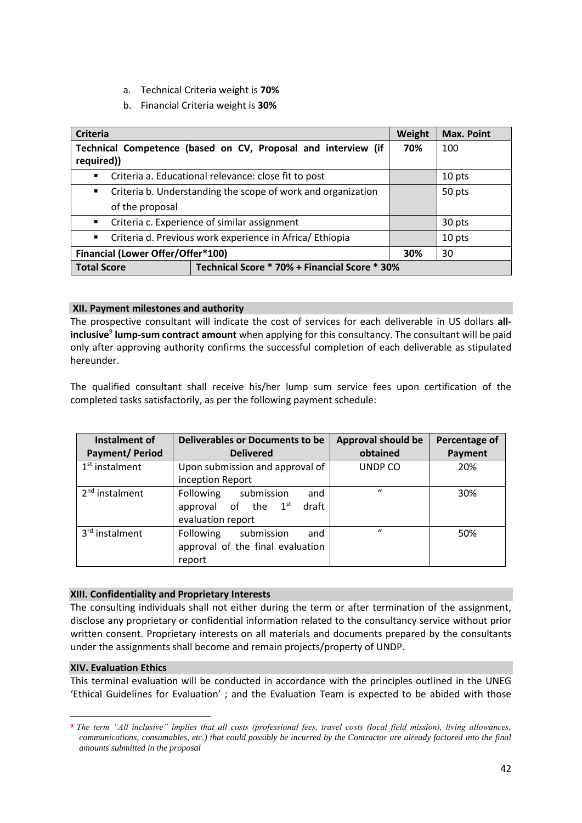- a. Technical Criteria weight is **70%**
- b. Financial Criteria weight is **30%**

| <b>Criteria</b>                                                     | Weight                                                       | <b>Max. Point</b> |        |
|---------------------------------------------------------------------|--------------------------------------------------------------|-------------------|--------|
| Technical Competence (based on CV, Proposal and interview (if       | 70%                                                          | 100               |        |
| required))                                                          |                                                              |                   |        |
| $\blacksquare$                                                      | Criteria a. Educational relevance: close fit to post         |                   | 10 pts |
| $\blacksquare$                                                      | Criteria b. Understanding the scope of work and organization |                   |        |
| of the proposal                                                     |                                                              |                   |        |
| $\mathbf{E}$ .                                                      | Criteria c. Experience of similar assignment                 |                   | 30 pts |
| $\blacksquare$                                                      | Criteria d. Previous work experience in Africa/ Ethiopia     |                   | 10 pts |
| Financial (Lower Offer/Offer*100)                                   |                                                              |                   | 30     |
| Technical Score * 70% + Financial Score * 30%<br><b>Total Score</b> |                                                              |                   |        |

#### **XII. Payment milestones and authority**

The prospective consultant will indicate the cost of services for each deliverable in US dollars **allinclusive<sup>9</sup> lump-sum contract amount** when applying for this consultancy. The consultant will be paid only after approving authority confirms the successful completion of each deliverable as stipulated hereunder.

The qualified consultant shall receive his/her lump sum service fees upon certification of the completed tasks satisfactorily, as per the following payment schedule:

| Instalment of              | <b>Deliverables or Documents to be</b>   | <b>Approval should be</b> | Percentage of |
|----------------------------|------------------------------------------|---------------------------|---------------|
| <b>Payment/Period</b>      | <b>Delivered</b>                         | obtained                  | Payment       |
| $1st$ instalment           | Upon submission and approval of          | UNDP CO                   | 20%           |
|                            | inception Report                         |                           |               |
| 2 <sup>nd</sup> instalment | Following submission<br>and              | $\mathbf{u}$              | 30%           |
|                            | approval of the 1 <sup>st</sup><br>draft |                           |               |
|                            | evaluation report                        |                           |               |
| 3 <sup>rd</sup> instalment | <b>Following</b><br>submission<br>and    | $\mathbf{u}$              | 50%           |
|                            | approval of the final evaluation         |                           |               |
|                            | report                                   |                           |               |

#### **XIII. Confidentiality and Proprietary Interests**

The consulting individuals shall not either during the term or after termination of the assignment, disclose any proprietary or confidential information related to the consultancy service without prior written consent. Proprietary interests on all materials and documents prepared by the consultants under the assignments shall become and remain projects/property of UNDP.

#### **XIV. Evaluation Ethics**

This terminal evaluation will be conducted in accordance with the principles outlined in the UNEG 'Ethical Guidelines for Evaluation' ; and the Evaluation Team is expected to be abided with those

**<sup>9</sup>** *The term "All inclusive" implies that all costs (professional fees, travel costs (local field mission), living allowances, communications, consumables, etc.) that could possibly be incurred by the Contractor are already factored into the final amounts submitted in the proposal*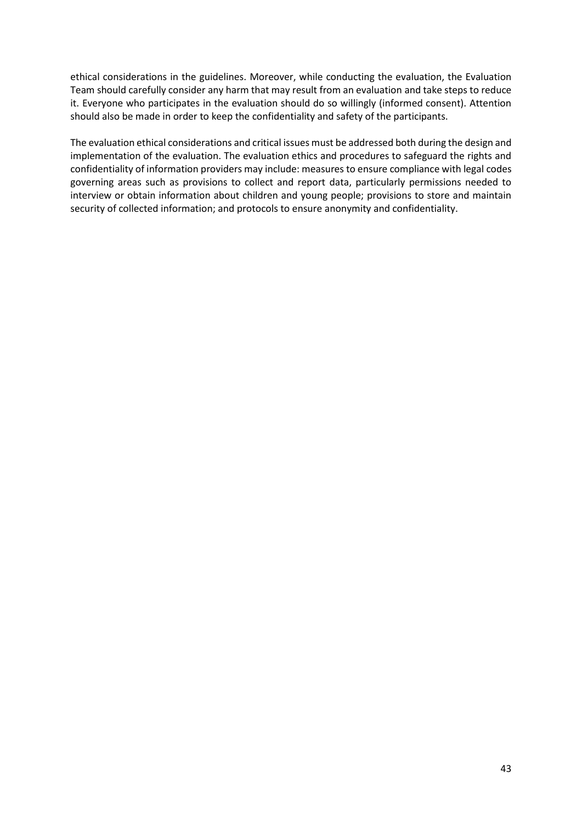ethical considerations in the guidelines. Moreover, while conducting the evaluation, the Evaluation Team should carefully consider any harm that may result from an evaluation and take steps to reduce it. Everyone who participates in the evaluation should do so willingly (informed consent). Attention should also be made in order to keep the confidentiality and safety of the participants.

The evaluation ethical considerations and critical issues must be addressed both during the design and implementation of the evaluation. The evaluation ethics and procedures to safeguard the rights and confidentiality of information providers may include: measures to ensure compliance with legal codes governing areas such as provisions to collect and report data, particularly permissions needed to interview or obtain information about children and young people; provisions to store and maintain security of collected information; and protocols to ensure anonymity and confidentiality.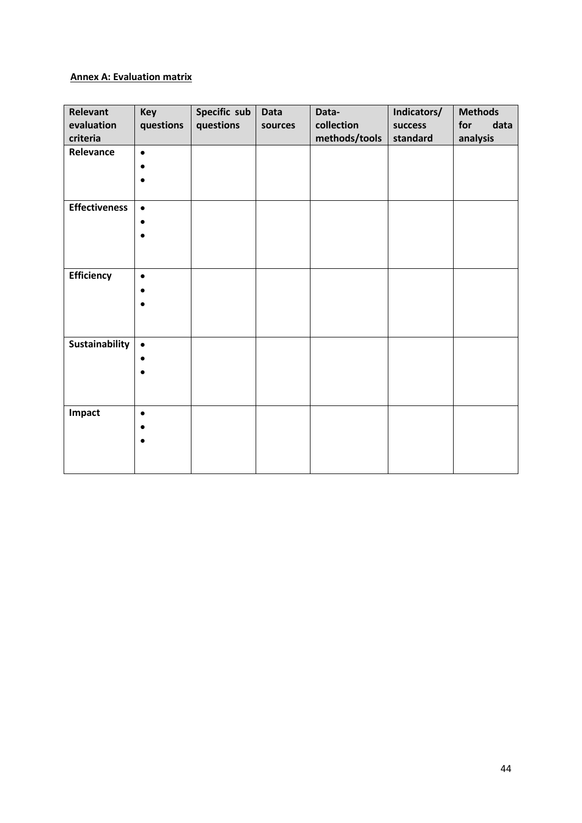# **Annex A: Evaluation matrix**

| Relevant<br>evaluation<br>criteria | <b>Key</b><br>questions | Specific sub<br>questions | <b>Data</b><br>sources | Data-<br>collection<br>methods/tools | Indicators/<br>success<br>standard | <b>Methods</b><br>for<br>data<br>analysis |
|------------------------------------|-------------------------|---------------------------|------------------------|--------------------------------------|------------------------------------|-------------------------------------------|
| Relevance                          | $\bullet$<br>٠          |                           |                        |                                      |                                    |                                           |
| <b>Effectiveness</b>               | $\bullet$<br>$\bullet$  |                           |                        |                                      |                                    |                                           |
| Efficiency                         | $\bullet$               |                           |                        |                                      |                                    |                                           |
| <b>Sustainability</b>              | $\bullet$<br>$\bullet$  |                           |                        |                                      |                                    |                                           |
| Impact                             | $\bullet$<br>$\bullet$  |                           |                        |                                      |                                    |                                           |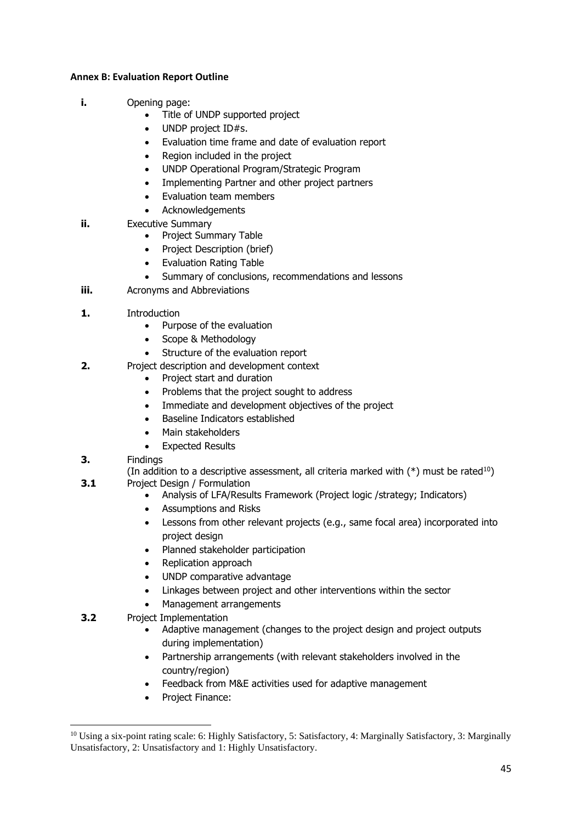## **Annex B: Evaluation Report Outline**

- **i.** Opening page:
	- Title of UNDP supported project
	- UNDP project ID#s.
	- Evaluation time frame and date of evaluation report
	- Region included in the project
	- UNDP Operational Program/Strategic Program
	- Implementing Partner and other project partners
	- Evaluation team members
	- **Acknowledgements**
- **ii.** Executive Summary
	- Project Summary Table
	- Project Description (brief)
	- Evaluation Rating Table
	- Summary of conclusions, recommendations and lessons
- **iii.** Acronyms and Abbreviations
- **1.** Introduction
	- Purpose of the evaluation
	- Scope & Methodology
	- Structure of the evaluation report
- **2.** Project description and development context
	- Project start and duration
	- Problems that the project sought to address
	- Immediate and development objectives of the project
	- Baseline Indicators established
	- Main stakeholders
	- **Expected Results**
- **3.** Findings

(In addition to a descriptive assessment, all criteria marked with  $(*)$  must be rated<sup>10</sup>) **3.1** Project Design / Formulation

- Analysis of LFA/Results Framework (Project logic /strategy; Indicators)
- Assumptions and Risks
- Lessons from other relevant projects (e.g., same focal area) incorporated into project design
- Planned stakeholder participation
- Replication approach
- UNDP comparative advantage
- Linkages between project and other interventions within the sector
- Management arrangements
- **3.2** Project Implementation
	- Adaptive management (changes to the project design and project outputs during implementation)
	- Partnership arrangements (with relevant stakeholders involved in the country/region)
	- Feedback from M&E activities used for adaptive management
	- Project Finance:

<sup>&</sup>lt;sup>10</sup> Using a six-point rating scale: 6: Highly Satisfactory, 5: Satisfactory, 4: Marginally Satisfactory, 3: Marginally Unsatisfactory, 2: Unsatisfactory and 1: Highly Unsatisfactory.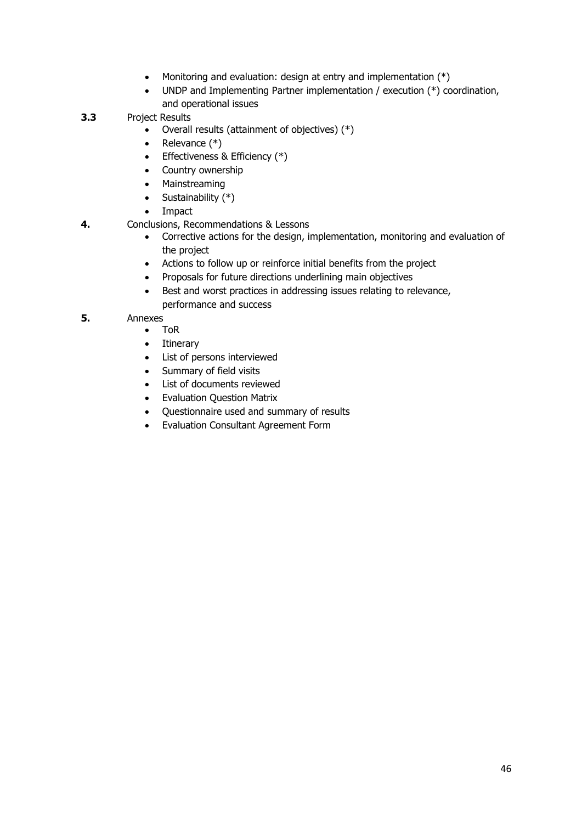- Monitoring and evaluation: design at entry and implementation  $(*)$
- UNDP and Implementing Partner implementation / execution (\*) coordination, and operational issues
- **3.3** Project Results
	- Overall results (attainment of objectives) (\*)
	- Relevance (\*)
	- Effectiveness & Efficiency (\*)
	- Country ownership
	- Mainstreaming
	- Sustainability  $(*)$
	- Impact
- **4.** Conclusions, Recommendations & Lessons
	- Corrective actions for the design, implementation, monitoring and evaluation of the project
	- Actions to follow up or reinforce initial benefits from the project
	- Proposals for future directions underlining main objectives
	- Best and worst practices in addressing issues relating to relevance, performance and success

# **5.** Annexes

- ToR
- Itinerary
- List of persons interviewed
- Summary of field visits
- List of documents reviewed
- Evaluation Question Matrix
- Questionnaire used and summary of results
- Evaluation Consultant Agreement Form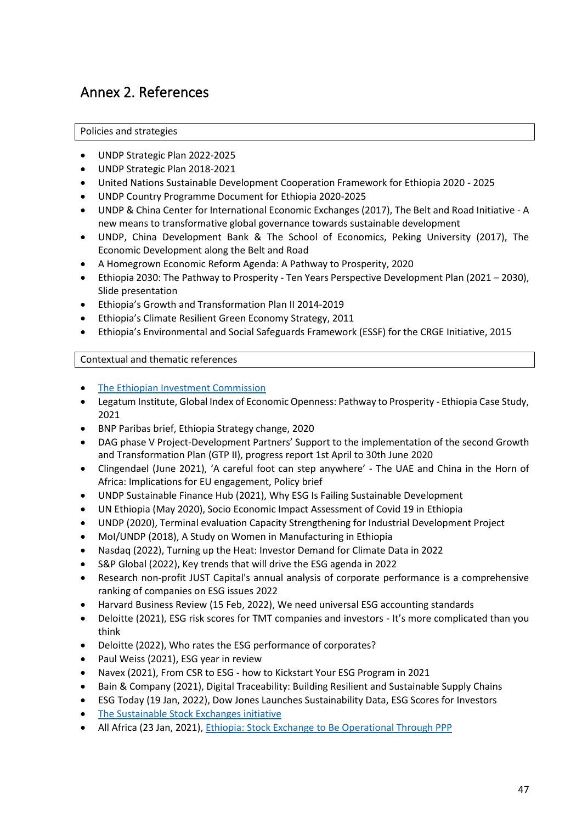# Annex 2. References

# Policies and strategies

- UNDP Strategic Plan 2022-2025
- UNDP Strategic Plan 2018-2021
- United Nations Sustainable Development Cooperation Framework for Ethiopia 2020 2025
- UNDP Country Programme Document for Ethiopia 2020-2025
- UNDP & China Center for International Economic Exchanges (2017), The Belt and Road Initiative A new means to transformative global governance towards sustainable development
- UNDP, China Development Bank & The School of Economics, Peking University (2017), The Economic Development along the Belt and Road
- A Homegrown Economic Reform Agenda: A Pathway to Prosperity, 2020
- Ethiopia 2030: The Pathway to Prosperity Ten Years Perspective Development Plan (2021 2030), Slide presentation
- Ethiopia's Growth and Transformation Plan II 2014-2019
- Ethiopia's Climate Resilient Green Economy Strategy, 2011
- Ethiopia's Environmental and Social Safeguards Framework (ESSF) for the CRGE Initiative, 2015

# Contextual and thematic references

- [The Ethiopian Investment Commission](https://investethiopia.gov.et/)
- Legatum Institute, Global Index of Economic Openness: Pathway to Prosperity Ethiopia Case Study, 2021
- BNP Paribas brief, Ethiopia Strategy change, 2020
- DAG phase V Project-Development Partners' Support to the implementation of the second Growth and Transformation Plan (GTP II), progress report 1st April to 30th June 2020
- Clingendael (June 2021), 'A careful foot can step anywhere' The UAE and China in the Horn of Africa: Implications for EU engagement, Policy brief
- UNDP Sustainable Finance Hub (2021), Why ESG Is Failing Sustainable Development
- UN Ethiopia (May 2020), Socio Economic Impact Assessment of Covid 19 in Ethiopia
- UNDP (2020), Terminal evaluation Capacity Strengthening for Industrial Development Project
- MoI/UNDP (2018), A Study on Women in Manufacturing in Ethiopia
- Nasdaq (2022), Turning up the Heat: Investor Demand for Climate Data in 2022
- S&P Global (2022), Key trends that will drive the ESG agenda in 2022
- Research non-profit JUST Capital's annual analysis of corporate performance is a comprehensive ranking of companies on ESG issues 2022
- Harvard Business Review (15 Feb, 2022), We need universal ESG accounting standards
- Deloitte (2021), ESG risk scores for TMT companies and investors It's more complicated than you think
- Deloitte (2022), Who rates the ESG performance of corporates?
- Paul Weiss (2021), ESG year in review
- Navex (2021), From CSR to ESG how to Kickstart Your ESG Program in 2021
- Bain & Company (2021), Digital Traceability: Building Resilient and Sustainable Supply Chains
- ESG Today (19 Jan, 2022), Dow Jones Launches Sustainability Data, ESG Scores for Investors
- [The Sustainable Stock Exchanges initiative](https://sseinitiative.org/)
- All Africa (23 Jan, 2021), [Ethiopia: Stock Exchange to Be Operational Through PPP](https://allafrica.com/stories/202101260435.html)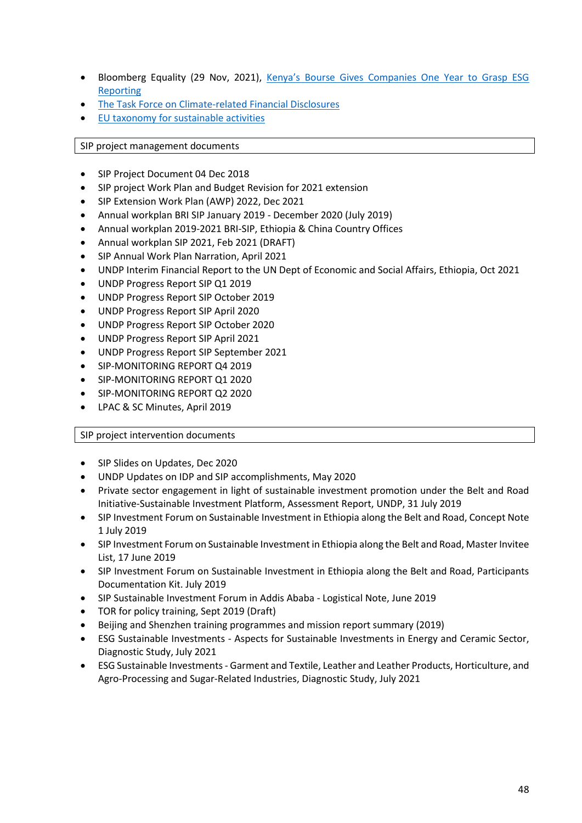- Bloomberg Equality (29 Nov, 2021), [Kenya's Bourse Gives Companies One Year to Grasp ESG](https://www.bloomberg.com/news/articles/2021-11-29/kenya-s-bourse-gives-companies-one-year-to-grasp-esg-reporting)  [Reporting](https://www.bloomberg.com/news/articles/2021-11-29/kenya-s-bourse-gives-companies-one-year-to-grasp-esg-reporting)
- [The Task Force on Climate-related Financial Disclosures](https://www.fsb-tcfd.org/)
- [EU taxonomy for sustainable activities](https://ec.europa.eu/info/business-economy-euro/banking-and-finance/sustainable-finance/eu-taxonomy-sustainable-activities_en)

SIP project management documents

- SIP Project Document 04 Dec 2018
- SIP project Work Plan and Budget Revision for 2021 extension
- SIP Extension Work Plan (AWP) 2022, Dec 2021
- Annual workplan BRI SIP January 2019 December 2020 (July 2019)
- Annual workplan 2019-2021 BRI-SIP, Ethiopia & China Country Offices
- Annual workplan SIP 2021, Feb 2021 (DRAFT)
- SIP Annual Work Plan Narration, April 2021
- UNDP Interim Financial Report to the UN Dept of Economic and Social Affairs, Ethiopia, Oct 2021
- UNDP Progress Report SIP Q1 2019
- UNDP Progress Report SIP October 2019
- UNDP Progress Report SIP April 2020
- UNDP Progress Report SIP October 2020
- UNDP Progress Report SIP April 2021
- UNDP Progress Report SIP September 2021
- SIP-MONITORING REPORT Q4 2019
- SIP-MONITORING REPORT Q1 2020
- SIP-MONITORING REPORT Q2 2020
- LPAC & SC Minutes, April 2019

SIP project intervention documents

- SIP Slides on Updates, Dec 2020
- UNDP Updates on IDP and SIP accomplishments, May 2020
- Private sector engagement in light of sustainable investment promotion under the Belt and Road Initiative-Sustainable Investment Platform, Assessment Report, UNDP, 31 July 2019
- SIP Investment Forum on Sustainable Investment in Ethiopia along the Belt and Road, Concept Note 1 July 2019
- SIP Investment Forum on Sustainable Investment in Ethiopia along the Belt and Road, Master Invitee List, 17 June 2019
- SIP Investment Forum on Sustainable Investment in Ethiopia along the Belt and Road, Participants Documentation Kit. July 2019
- SIP Sustainable Investment Forum in Addis Ababa Logistical Note, June 2019
- TOR for policy training, Sept 2019 (Draft)
- Beijing and Shenzhen training programmes and mission report summary (2019)
- ESG Sustainable Investments Aspects for Sustainable Investments in Energy and Ceramic Sector, Diagnostic Study, July 2021
- ESG Sustainable Investments Garment and Textile, Leather and Leather Products, Horticulture, and Agro-Processing and Sugar-Related Industries, Diagnostic Study, July 2021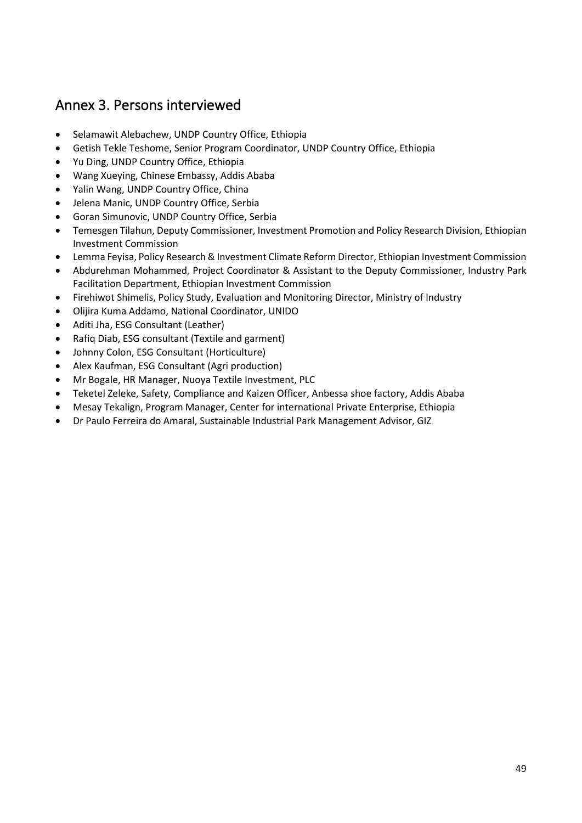# Annex 3. Persons interviewed

- Selamawit Alebachew, UNDP Country Office, Ethiopia
- Getish Tekle Teshome, Senior Program Coordinator, UNDP Country Office, Ethiopia
- Yu Ding, UNDP Country Office, Ethiopia
- Wang Xueying, Chinese Embassy, Addis Ababa
- Yalin Wang, UNDP Country Office, China
- Jelena Manic, UNDP Country Office, Serbia
- Goran Simunovic, UNDP Country Office, Serbia
- Temesgen Tilahun, Deputy Commissioner, Investment Promotion and Policy Research Division, Ethiopian Investment Commission
- Lemma Feyisa, Policy Research & Investment Climate Reform Director, Ethiopian Investment Commission
- Abdurehman Mohammed, Project Coordinator & Assistant to the Deputy Commissioner, Industry Park Facilitation Department, Ethiopian Investment Commission
- Firehiwot Shimelis, Policy Study, Evaluation and Monitoring Director, Ministry of Industry
- Olijira Kuma Addamo, National Coordinator, UNIDO
- Aditi Jha, ESG Consultant (Leather)
- Rafiq Diab, ESG consultant (Textile and garment)
- Johnny Colon, ESG Consultant (Horticulture)
- Alex Kaufman, ESG Consultant (Agri production)
- Mr Bogale, HR Manager, Nuoya Textile Investment, PLC
- Teketel Zeleke, Safety, Compliance and Kaizen Officer, Anbessa shoe factory, Addis Ababa
- Mesay Tekalign, Program Manager, Center for international Private Enterprise, Ethiopia
- Dr Paulo Ferreira do Amaral, Sustainable Industrial Park Management Advisor, GIZ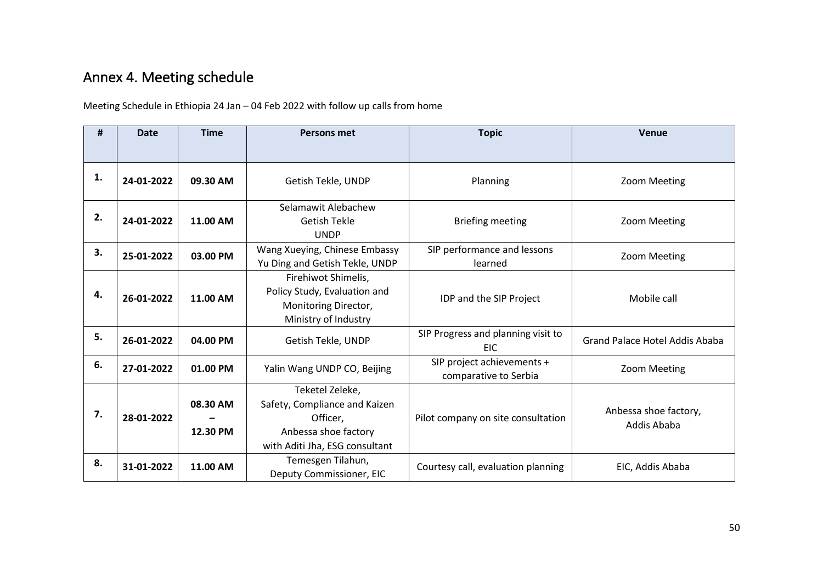# Annex 4. Meeting schedule

Meeting Schedule in Ethiopia 24 Jan – 04 Feb 2022 with follow up calls from home

| #  | <b>Date</b> | <b>Time</b>          | <b>Persons met</b>                                                                                                     | <b>Topic</b>                                        | Venue                                |
|----|-------------|----------------------|------------------------------------------------------------------------------------------------------------------------|-----------------------------------------------------|--------------------------------------|
|    |             |                      |                                                                                                                        |                                                     |                                      |
| 1. | 24-01-2022  | 09.30 AM             | Getish Tekle, UNDP                                                                                                     | Planning                                            | Zoom Meeting                         |
| 2. | 24-01-2022  | 11.00 AM             | Selamawit Alebachew<br><b>Getish Tekle</b><br><b>UNDP</b>                                                              | <b>Briefing meeting</b>                             | Zoom Meeting                         |
| 3. | 25-01-2022  | 03.00 PM             | Wang Xueying, Chinese Embassy<br>Yu Ding and Getish Tekle, UNDP                                                        | SIP performance and lessons<br>learned              | Zoom Meeting                         |
| 4. | 26-01-2022  | 11.00 AM             | Firehiwot Shimelis,<br>Policy Study, Evaluation and<br>Monitoring Director,<br>Ministry of Industry                    | IDP and the SIP Project                             | Mobile call                          |
| 5. | 26-01-2022  | 04.00 PM             | Getish Tekle, UNDP                                                                                                     | SIP Progress and planning visit to<br><b>EIC</b>    | Grand Palace Hotel Addis Ababa       |
| 6. | 27-01-2022  | 01.00 PM             | Yalin Wang UNDP CO, Beijing                                                                                            | SIP project achievements +<br>comparative to Serbia | Zoom Meeting                         |
| 7. | 28-01-2022  | 08.30 AM<br>12.30 PM | Teketel Zeleke,<br>Safety, Compliance and Kaizen<br>Officer,<br>Anbessa shoe factory<br>with Aditi Jha, ESG consultant | Pilot company on site consultation                  | Anbessa shoe factory,<br>Addis Ababa |
| 8. | 31-01-2022  | 11.00 AM             | Temesgen Tilahun,<br>Deputy Commissioner, EIC                                                                          | Courtesy call, evaluation planning                  | EIC, Addis Ababa                     |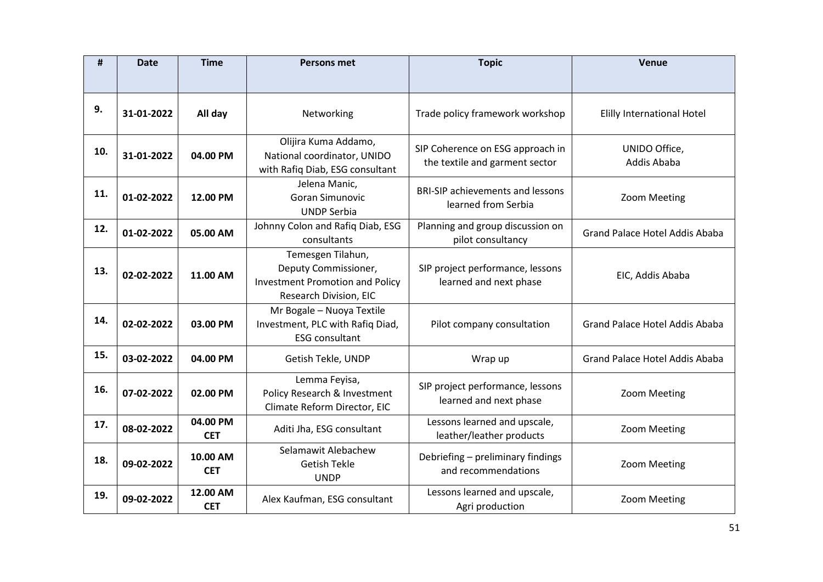| #   | <b>Date</b> | <b>Time</b>            | <b>Persons met</b>                                                                                            | <b>Topic</b>                                                       | <b>Venue</b>                          |
|-----|-------------|------------------------|---------------------------------------------------------------------------------------------------------------|--------------------------------------------------------------------|---------------------------------------|
|     |             |                        |                                                                                                               |                                                                    |                                       |
| 9.  | 31-01-2022  | All day                | Networking                                                                                                    | Trade policy framework workshop                                    | <b>Elilly International Hotel</b>     |
| 10. | 31-01-2022  | 04.00 PM               | Olijira Kuma Addamo,<br>National coordinator, UNIDO<br>with Rafiq Diab, ESG consultant                        | SIP Coherence on ESG approach in<br>the textile and garment sector | UNIDO Office,<br>Addis Ababa          |
| 11. | 01-02-2022  | 12.00 PM               | Jelena Manic,<br>Goran Simunovic<br><b>UNDP Serbia</b>                                                        | <b>BRI-SIP achievements and lessons</b><br>learned from Serbia     | Zoom Meeting                          |
| 12. | 01-02-2022  | 05.00 AM               | Johnny Colon and Rafiq Diab, ESG<br>consultants                                                               | Planning and group discussion on<br>pilot consultancy              | <b>Grand Palace Hotel Addis Ababa</b> |
| 13. | 02-02-2022  | 11.00 AM               | Temesgen Tilahun,<br>Deputy Commissioner,<br><b>Investment Promotion and Policy</b><br>Research Division, EIC | SIP project performance, lessons<br>learned and next phase         | EIC, Addis Ababa                      |
| 14. | 02-02-2022  | 03.00 PM               | Mr Bogale - Nuoya Textile<br>Investment, PLC with Rafiq Diad,<br><b>ESG consultant</b>                        | Pilot company consultation                                         | <b>Grand Palace Hotel Addis Ababa</b> |
| 15. | 03-02-2022  | 04.00 PM               | Getish Tekle, UNDP                                                                                            | Wrap up                                                            | Grand Palace Hotel Addis Ababa        |
| 16. | 07-02-2022  | 02.00 PM               | Lemma Feyisa,<br>Policy Research & Investment<br>Climate Reform Director, EIC                                 | SIP project performance, lessons<br>learned and next phase         | Zoom Meeting                          |
| 17. | 08-02-2022  | 04.00 PM<br><b>CET</b> | Aditi Jha, ESG consultant                                                                                     | Lessons learned and upscale,<br>leather/leather products           | Zoom Meeting                          |
| 18. | 09-02-2022  | 10.00 AM<br><b>CET</b> | Selamawit Alebachew<br><b>Getish Tekle</b><br><b>UNDP</b>                                                     | Debriefing - preliminary findings<br>and recommendations           | Zoom Meeting                          |
| 19. | 09-02-2022  | 12.00 AM<br><b>CET</b> | Alex Kaufman, ESG consultant                                                                                  | Lessons learned and upscale,<br>Agri production                    | Zoom Meeting                          |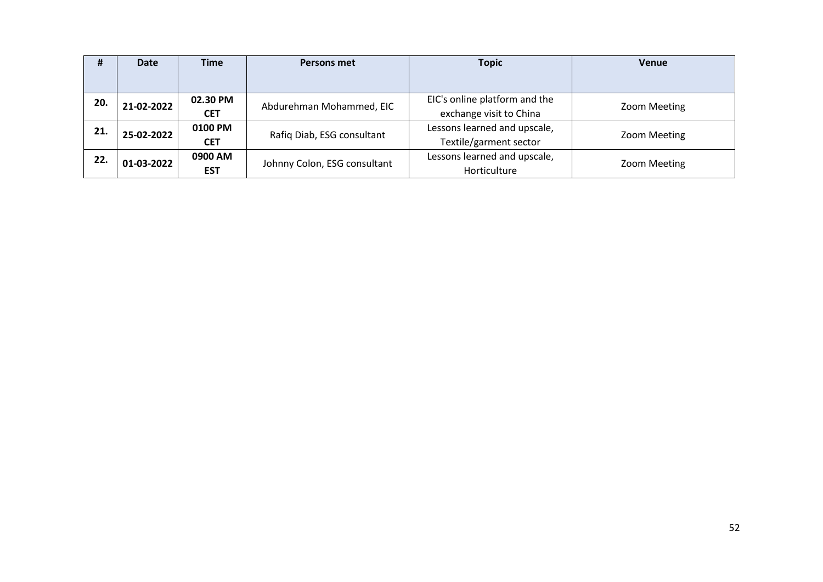| #   | <b>Date</b>                          | <b>Time</b> | <b>Persons met</b>           | <b>Topic</b>                  | <b>Venue</b> |
|-----|--------------------------------------|-------------|------------------------------|-------------------------------|--------------|
|     |                                      |             |                              |                               |              |
| 20. | 02.30 PM<br>21-02-2022<br><b>CET</b> |             | Abdurehman Mohammed, EIC     | EIC's online platform and the | Zoom Meeting |
|     |                                      |             |                              | exchange visit to China       |              |
| 21. | 0100 PM<br>25-02-2022                |             | Rafiq Diab, ESG consultant   | Lessons learned and upscale,  | Zoom Meeting |
|     |                                      | <b>CET</b>  |                              | Textile/garment sector        |              |
| 22. | 0900 AM<br>01-03-2022                |             | Johnny Colon, ESG consultant | Lessons learned and upscale,  | Zoom Meeting |
|     |                                      | <b>EST</b>  |                              | Horticulture                  |              |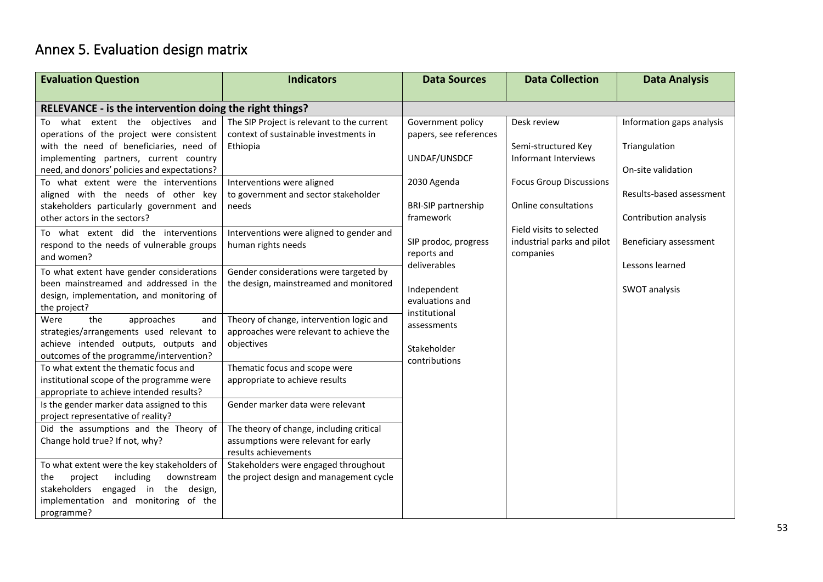# Annex 5. Evaluation design matrix

| <b>Evaluation Question</b>                                                             | <b>Indicators</b>                          | <b>Data Sources</b>                 | <b>Data Collection</b>                  | <b>Data Analysis</b>      |
|----------------------------------------------------------------------------------------|--------------------------------------------|-------------------------------------|-----------------------------------------|---------------------------|
|                                                                                        |                                            |                                     |                                         |                           |
| RELEVANCE - is the intervention doing the right things?                                |                                            |                                     |                                         |                           |
| what extent the objectives and<br>To                                                   | The SIP Project is relevant to the current | Government policy                   | Desk review                             | Information gaps analysis |
| operations of the project were consistent                                              | context of sustainable investments in      | papers, see references              |                                         |                           |
| with the need of beneficiaries, need of                                                | Ethiopia                                   |                                     | Semi-structured Key                     | Triangulation             |
| implementing partners, current country                                                 |                                            | UNDAF/UNSDCF                        | Informant Interviews                    |                           |
| need, and donors' policies and expectations?                                           |                                            |                                     |                                         | On-site validation        |
| To what extent were the interventions                                                  | Interventions were aligned                 | 2030 Agenda                         | <b>Focus Group Discussions</b>          |                           |
| aligned with the needs of other key                                                    | to government and sector stakeholder       |                                     |                                         | Results-based assessment  |
| stakeholders particularly government and                                               | needs                                      | <b>BRI-SIP partnership</b>          | Online consultations                    |                           |
| other actors in the sectors?                                                           |                                            | framework                           |                                         | Contribution analysis     |
| To what extent did the interventions                                                   | Interventions were aligned to gender and   |                                     | Field visits to selected                |                           |
| respond to the needs of vulnerable groups                                              | human rights needs                         | SIP prodoc, progress<br>reports and | industrial parks and pilot<br>companies | Beneficiary assessment    |
| and women?                                                                             |                                            | deliverables                        |                                         | Lessons learned           |
| To what extent have gender considerations                                              | Gender considerations were targeted by     |                                     |                                         |                           |
| been mainstreamed and addressed in the                                                 | the design, mainstreamed and monitored     | Independent                         |                                         | SWOT analysis             |
| design, implementation, and monitoring of                                              |                                            | evaluations and                     |                                         |                           |
| the project?                                                                           |                                            | institutional                       |                                         |                           |
| Were<br>the<br>approaches<br>and                                                       | Theory of change, intervention logic and   | assessments                         |                                         |                           |
| strategies/arrangements used relevant to                                               | approaches were relevant to achieve the    |                                     |                                         |                           |
| achieve intended outputs, outputs and                                                  | objectives                                 | Stakeholder                         |                                         |                           |
| outcomes of the programme/intervention?                                                |                                            | contributions                       |                                         |                           |
| To what extent the thematic focus and                                                  | Thematic focus and scope were              |                                     |                                         |                           |
| institutional scope of the programme were                                              | appropriate to achieve results             |                                     |                                         |                           |
| appropriate to achieve intended results?<br>Is the gender marker data assigned to this | Gender marker data were relevant           |                                     |                                         |                           |
| project representative of reality?                                                     |                                            |                                     |                                         |                           |
| Did the assumptions and the Theory of                                                  | The theory of change, including critical   |                                     |                                         |                           |
| Change hold true? If not, why?                                                         | assumptions were relevant for early        |                                     |                                         |                           |
|                                                                                        | results achievements                       |                                     |                                         |                           |
| To what extent were the key stakeholders of                                            | Stakeholders were engaged throughout       |                                     |                                         |                           |
| including<br>downstream<br>the<br>project                                              | the project design and management cycle    |                                     |                                         |                           |
| stakeholders engaged in the design,                                                    |                                            |                                     |                                         |                           |
| implementation and monitoring of the                                                   |                                            |                                     |                                         |                           |
| programme?                                                                             |                                            |                                     |                                         |                           |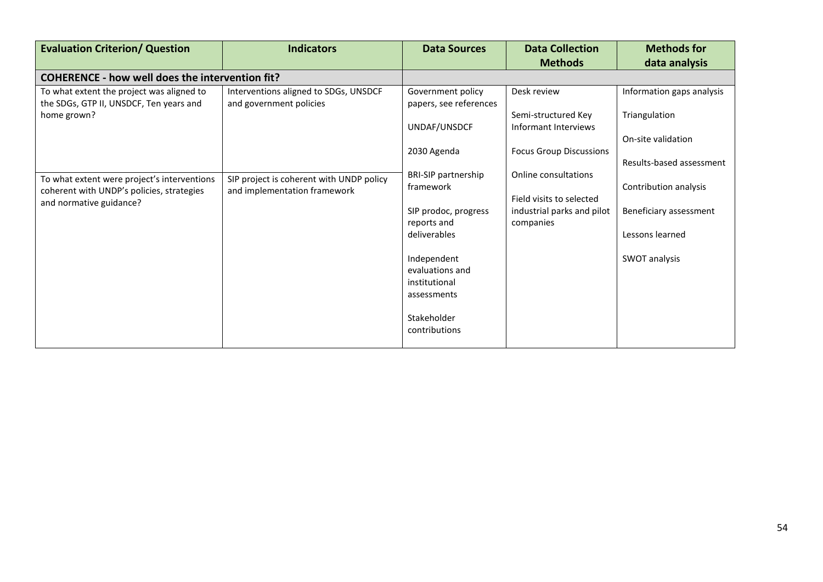| <b>Evaluation Criterion/ Question</b>                                                                               | <b>Indicators</b>                                                                                                                                                                                                                              | <b>Data Sources</b>                                                                                                                                                                              | <b>Data Collection</b><br><b>Methods</b>                                                    | <b>Methods for</b><br>data analysis                                                 |
|---------------------------------------------------------------------------------------------------------------------|------------------------------------------------------------------------------------------------------------------------------------------------------------------------------------------------------------------------------------------------|--------------------------------------------------------------------------------------------------------------------------------------------------------------------------------------------------|---------------------------------------------------------------------------------------------|-------------------------------------------------------------------------------------|
| <b>COHERENCE - how well does the intervention fit?</b>                                                              |                                                                                                                                                                                                                                                |                                                                                                                                                                                                  |                                                                                             |                                                                                     |
| To what extent the project was aligned to<br>the SDGs, GTP II, UNSDCF, Ten years and<br>home grown?                 | Interventions aligned to SDGs, UNSDCF<br>Government policy<br>Desk review<br>and government policies<br>papers, see references<br>Semi-structured Key<br>UNDAF/UNSDCF<br>Informant Interviews<br><b>Focus Group Discussions</b><br>2030 Agenda | Information gaps analysis<br>Triangulation<br>On-site validation<br>Results-based assessment                                                                                                     |                                                                                             |                                                                                     |
| To what extent were project's interventions<br>coherent with UNDP's policies, strategies<br>and normative guidance? | SIP project is coherent with UNDP policy<br>and implementation framework                                                                                                                                                                       | <b>BRI-SIP partnership</b><br>framework<br>SIP prodoc, progress<br>reports and<br>deliverables<br>Independent<br>evaluations and<br>institutional<br>assessments<br>Stakeholder<br>contributions | Online consultations<br>Field visits to selected<br>industrial parks and pilot<br>companies | Contribution analysis<br>Beneficiary assessment<br>Lessons learned<br>SWOT analysis |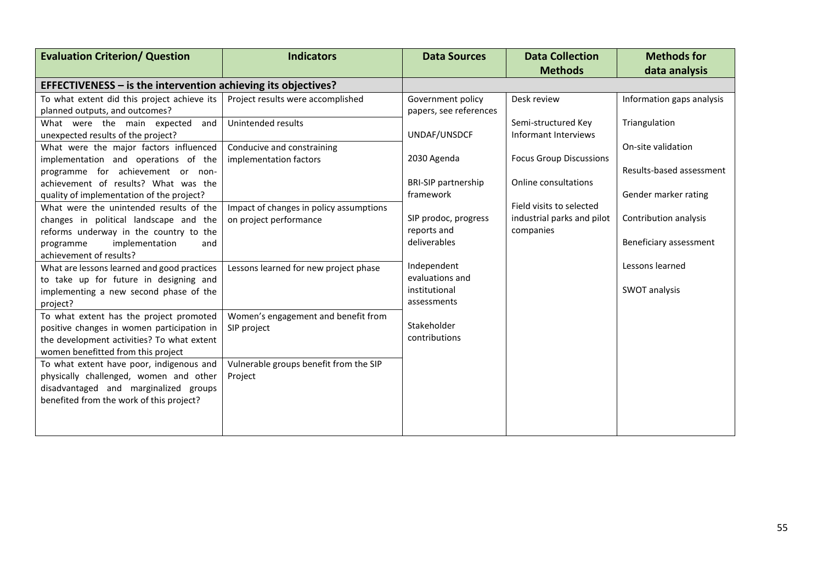| <b>Evaluation Criterion/ Question</b>                           | <b>Indicators</b>                       | <b>Data Sources</b>         | <b>Data Collection</b>         | <b>Methods for</b>        |
|-----------------------------------------------------------------|-----------------------------------------|-----------------------------|--------------------------------|---------------------------|
|                                                                 |                                         |                             | <b>Methods</b>                 | data analysis             |
| EFFECTIVENESS $-$ is the intervention achieving its objectives? |                                         |                             |                                |                           |
| To what extent did this project achieve its                     | Project results were accomplished       | Government policy           | Desk review                    | Information gaps analysis |
| planned outputs, and outcomes?                                  |                                         | papers, see references      |                                |                           |
| What were the main expected<br>and                              | Unintended results                      |                             | Semi-structured Key            | Triangulation             |
| unexpected results of the project?                              |                                         | UNDAF/UNSDCF                | Informant Interviews           |                           |
| What were the major factors influenced                          | Conducive and constraining              |                             |                                | On-site validation        |
| implementation and operations of the                            | implementation factors                  | 2030 Agenda                 | <b>Focus Group Discussions</b> |                           |
| programme for achievement or non-                               |                                         |                             |                                | Results-based assessment  |
| achievement of results? What was the                            |                                         | <b>BRI-SIP</b> partnership  | Online consultations           |                           |
| quality of implementation of the project?                       |                                         | framework                   |                                | Gender marker rating      |
| What were the unintended results of the                         | Impact of changes in policy assumptions |                             | Field visits to selected       |                           |
| changes in political landscape and the                          | on project performance                  | SIP prodoc, progress        | industrial parks and pilot     | Contribution analysis     |
| reforms underway in the country to the                          |                                         | reports and<br>deliverables | companies                      |                           |
| implementation<br>programme<br>and                              |                                         |                             |                                | Beneficiary assessment    |
| achievement of results?                                         |                                         | Independent                 |                                | Lessons learned           |
| What are lessons learned and good practices                     | Lessons learned for new project phase   | evaluations and             |                                |                           |
| to take up for future in designing and                          |                                         | institutional               |                                | SWOT analysis             |
| implementing a new second phase of the<br>project?              |                                         | assessments                 |                                |                           |
| To what extent has the project promoted                         | Women's engagement and benefit from     |                             |                                |                           |
| positive changes in women participation in                      | SIP project                             | Stakeholder                 |                                |                           |
| the development activities? To what extent                      |                                         | contributions               |                                |                           |
| women benefitted from this project                              |                                         |                             |                                |                           |
| To what extent have poor, indigenous and                        | Vulnerable groups benefit from the SIP  |                             |                                |                           |
| physically challenged, women and other                          | Project                                 |                             |                                |                           |
| disadvantaged and marginalized groups                           |                                         |                             |                                |                           |
| benefited from the work of this project?                        |                                         |                             |                                |                           |
|                                                                 |                                         |                             |                                |                           |
|                                                                 |                                         |                             |                                |                           |
|                                                                 |                                         |                             |                                |                           |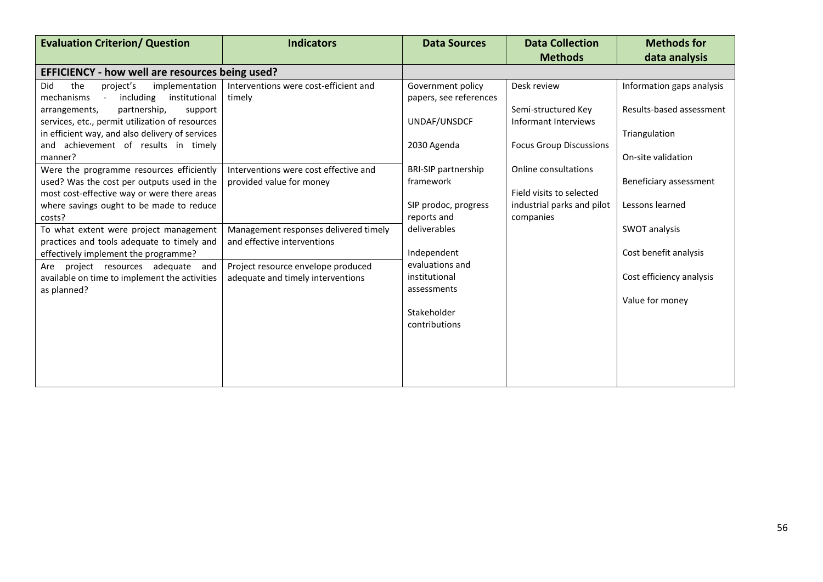| <b>Evaluation Criterion/ Question</b>                                                               | <b>Indicators</b>                               | <b>Data Sources</b>                         | <b>Data Collection</b>         | <b>Methods for</b>        |
|-----------------------------------------------------------------------------------------------------|-------------------------------------------------|---------------------------------------------|--------------------------------|---------------------------|
|                                                                                                     |                                                 |                                             | <b>Methods</b>                 | data analysis             |
| EFFICIENCY - how well are resources being used?                                                     |                                                 |                                             |                                |                           |
| Did<br>the<br>project's<br>implementation<br>including<br>institutional<br>mechanisms<br>$\sim$ $-$ | Interventions were cost-efficient and<br>timely | Government policy<br>papers, see references | Desk review                    | Information gaps analysis |
| partnership,<br>arrangements,<br>support                                                            |                                                 |                                             | Semi-structured Key            | Results-based assessment  |
| services, etc., permit utilization of resources<br>in efficient way, and also delivery of services  |                                                 | UNDAF/UNSDCF                                | Informant Interviews           | Triangulation             |
| and achievement of results in timely<br>manner?                                                     |                                                 | 2030 Agenda                                 | <b>Focus Group Discussions</b> | On-site validation        |
| Were the programme resources efficiently                                                            | Interventions were cost effective and           | <b>BRI-SIP partnership</b>                  | Online consultations           |                           |
| used? Was the cost per outputs used in the<br>most cost-effective way or were there areas           | provided value for money                        | framework                                   | Field visits to selected       | Beneficiary assessment    |
| where savings ought to be made to reduce                                                            |                                                 | SIP prodoc, progress                        | industrial parks and pilot     | Lessons learned           |
| costs?<br>To what extent were project management                                                    | Management responses delivered timely           | reports and<br>deliverables                 | companies                      | SWOT analysis             |
| practices and tools adequate to timely and<br>effectively implement the programme?                  | and effective interventions                     | Independent                                 |                                | Cost benefit analysis     |
| project resources adequate and<br>Are                                                               | Project resource envelope produced              | evaluations and                             |                                |                           |
| available on time to implement the activities<br>as planned?                                        | adequate and timely interventions               | institutional<br>assessments                |                                | Cost efficiency analysis  |
|                                                                                                     |                                                 |                                             |                                | Value for money           |
|                                                                                                     |                                                 | Stakeholder<br>contributions                |                                |                           |
|                                                                                                     |                                                 |                                             |                                |                           |
|                                                                                                     |                                                 |                                             |                                |                           |
|                                                                                                     |                                                 |                                             |                                |                           |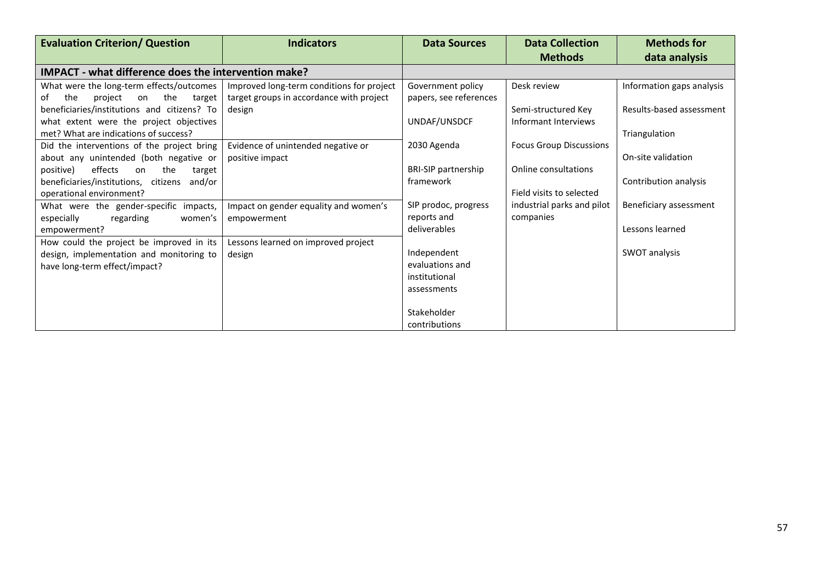| <b>Evaluation Criterion/ Question</b>                                                                                  | <b>Indicators</b>                                                                     | <b>Data Sources</b>                                            | <b>Data Collection</b>                           | <b>Methods for</b>        |
|------------------------------------------------------------------------------------------------------------------------|---------------------------------------------------------------------------------------|----------------------------------------------------------------|--------------------------------------------------|---------------------------|
| IMPACT - what difference does the intervention make?                                                                   |                                                                                       |                                                                | <b>Methods</b>                                   | data analysis             |
| What were the long-term effects/outcomes<br>the<br>the<br>of<br>project<br>target<br>on                                | Improved long-term conditions for project<br>target groups in accordance with project | Government policy<br>papers, see references                    | Desk review                                      | Information gaps analysis |
| beneficiaries/institutions and citizens? To<br>what extent were the project objectives                                 | design                                                                                | UNDAF/UNSDCF                                                   | Semi-structured Key<br>Informant Interviews      | Results-based assessment  |
| met? What are indications of success?                                                                                  |                                                                                       |                                                                |                                                  | Triangulation             |
| Did the interventions of the project bring<br>about any unintended (both negative or                                   | Evidence of unintended negative or<br>positive impact                                 | 2030 Agenda                                                    | <b>Focus Group Discussions</b>                   | On-site validation        |
| effects<br>positive)<br>the<br>on<br>target<br>beneficiaries/institutions, citizens and/or<br>operational environment? |                                                                                       | <b>BRI-SIP partnership</b><br>framework                        | Online consultations<br>Field visits to selected | Contribution analysis     |
| What were the gender-specific impacts,<br>especially<br>regarding<br>women's                                           | Impact on gender equality and women's<br>empowerment                                  | SIP prodoc, progress<br>reports and                            | industrial parks and pilot<br>companies          | Beneficiary assessment    |
| empowerment?                                                                                                           |                                                                                       | deliverables                                                   |                                                  | Lessons learned           |
| How could the project be improved in its<br>design, implementation and monitoring to<br>have long-term effect/impact?  | Lessons learned on improved project<br>design                                         | Independent<br>evaluations and<br>institutional<br>assessments |                                                  | SWOT analysis             |
|                                                                                                                        |                                                                                       | Stakeholder<br>contributions                                   |                                                  |                           |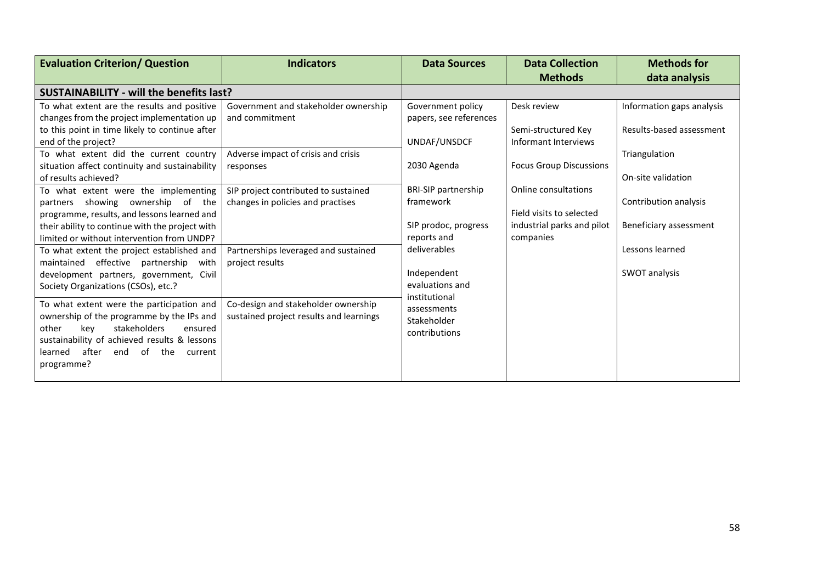| <b>Evaluation Criterion/ Question</b>           | <b>Indicators</b>                       | <b>Data Sources</b>         | <b>Data Collection</b>         | <b>Methods for</b>        |
|-------------------------------------------------|-----------------------------------------|-----------------------------|--------------------------------|---------------------------|
|                                                 |                                         |                             | <b>Methods</b>                 | data analysis             |
| <b>SUSTAINABILITY - will the benefits last?</b> |                                         |                             |                                |                           |
| To what extent are the results and positive     | Government and stakeholder ownership    | Government policy           | Desk review                    | Information gaps analysis |
| changes from the project implementation up      | and commitment                          | papers, see references      |                                |                           |
| to this point in time likely to continue after  |                                         |                             | Semi-structured Key            | Results-based assessment  |
| end of the project?                             |                                         | UNDAF/UNSDCF                | Informant Interviews           |                           |
| To what extent did the current country          | Adverse impact of crisis and crisis     |                             |                                | Triangulation             |
| situation affect continuity and sustainability  | responses                               | 2030 Agenda                 | <b>Focus Group Discussions</b> |                           |
| of results achieved?                            |                                         |                             |                                | On-site validation        |
| To what extent were the implementing            | SIP project contributed to sustained    | <b>BRI-SIP partnership</b>  | Online consultations           |                           |
| partners showing ownership of the               | changes in policies and practises       | framework                   |                                | Contribution analysis     |
| programme, results, and lessons learned and     |                                         |                             | Field visits to selected       |                           |
| their ability to continue with the project with |                                         | SIP prodoc, progress        | industrial parks and pilot     | Beneficiary assessment    |
| limited or without intervention from UNDP?      |                                         | reports and<br>deliverables | companies                      | Lessons learned           |
| To what extent the project established and      | Partnerships leveraged and sustained    |                             |                                |                           |
| maintained effective partnership<br>with        | project results                         | Independent                 |                                | SWOT analysis             |
| development partners, government, Civil         |                                         | evaluations and             |                                |                           |
| Society Organizations (CSOs), etc.?             |                                         | institutional               |                                |                           |
| To what extent were the participation and       | Co-design and stakeholder ownership     | assessments                 |                                |                           |
| ownership of the programme by the IPs and       | sustained project results and learnings | Stakeholder                 |                                |                           |
| stakeholders<br>other<br>kev<br>ensured         |                                         | contributions               |                                |                           |
| sustainability of achieved results & lessons    |                                         |                             |                                |                           |
| after<br>end of the<br>learned<br>current       |                                         |                             |                                |                           |
| programme?                                      |                                         |                             |                                |                           |
|                                                 |                                         |                             |                                |                           |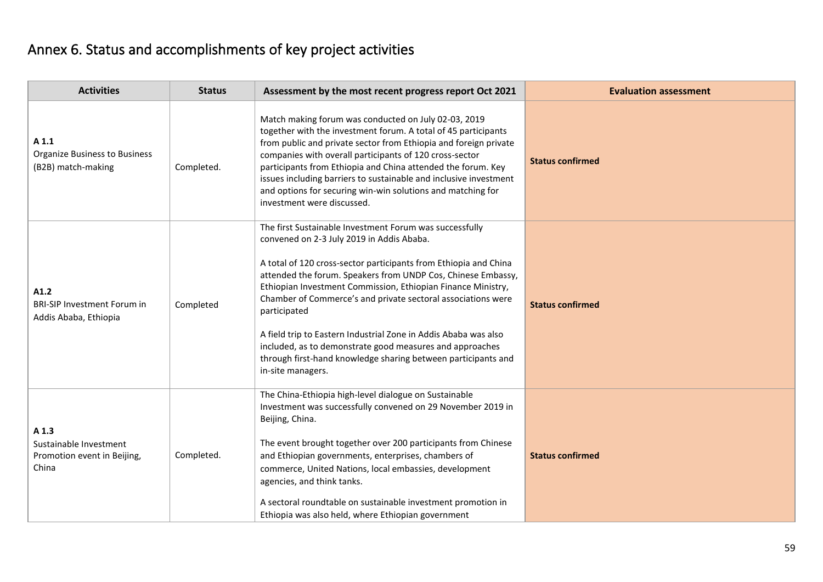# Annex 6. Status and accomplishments of key project activities

| <b>Activities</b>                                                       | <b>Status</b> | Assessment by the most recent progress report Oct 2021                                                                                                                                                                                                                                                                                                                                                                                                                                                                                                                                                        | <b>Evaluation assessment</b> |
|-------------------------------------------------------------------------|---------------|---------------------------------------------------------------------------------------------------------------------------------------------------------------------------------------------------------------------------------------------------------------------------------------------------------------------------------------------------------------------------------------------------------------------------------------------------------------------------------------------------------------------------------------------------------------------------------------------------------------|------------------------------|
| A 1.1<br><b>Organize Business to Business</b><br>(B2B) match-making     | Completed.    | Match making forum was conducted on July 02-03, 2019<br>together with the investment forum. A total of 45 participants<br>from public and private sector from Ethiopia and foreign private<br>companies with overall participants of 120 cross-sector<br>participants from Ethiopia and China attended the forum. Key<br>issues including barriers to sustainable and inclusive investment<br>and options for securing win-win solutions and matching for<br>investment were discussed.                                                                                                                       | <b>Status confirmed</b>      |
| A1.2<br><b>BRI-SIP Investment Forum in</b><br>Addis Ababa, Ethiopia     | Completed     | The first Sustainable Investment Forum was successfully<br>convened on 2-3 July 2019 in Addis Ababa.<br>A total of 120 cross-sector participants from Ethiopia and China<br>attended the forum. Speakers from UNDP Cos, Chinese Embassy,<br>Ethiopian Investment Commission, Ethiopian Finance Ministry,<br>Chamber of Commerce's and private sectoral associations were<br>participated<br>A field trip to Eastern Industrial Zone in Addis Ababa was also<br>included, as to demonstrate good measures and approaches<br>through first-hand knowledge sharing between participants and<br>in-site managers. | <b>Status confirmed</b>      |
| A 1.3<br>Sustainable Investment<br>Promotion event in Beijing,<br>China | Completed.    | The China-Ethiopia high-level dialogue on Sustainable<br>Investment was successfully convened on 29 November 2019 in<br>Beijing, China.<br>The event brought together over 200 participants from Chinese<br>and Ethiopian governments, enterprises, chambers of<br>commerce, United Nations, local embassies, development<br>agencies, and think tanks.<br>A sectoral roundtable on sustainable investment promotion in<br>Ethiopia was also held, where Ethiopian government                                                                                                                                 | <b>Status confirmed</b>      |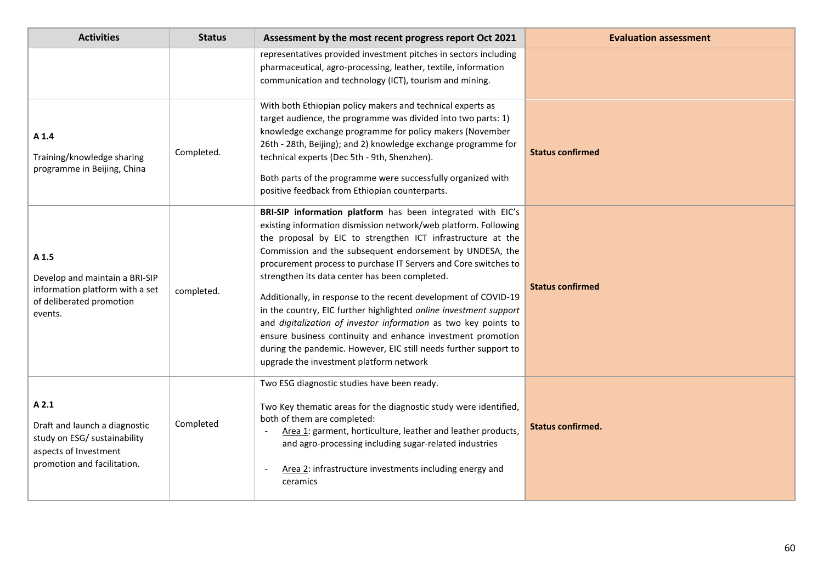| <b>Activities</b>                                                                                                             | <b>Status</b> | Assessment by the most recent progress report Oct 2021                                                                                                                                                                                                                                                                                                                                                                                                                                                                                                                                                                                                                                                                                                                  | <b>Evaluation assessment</b> |
|-------------------------------------------------------------------------------------------------------------------------------|---------------|-------------------------------------------------------------------------------------------------------------------------------------------------------------------------------------------------------------------------------------------------------------------------------------------------------------------------------------------------------------------------------------------------------------------------------------------------------------------------------------------------------------------------------------------------------------------------------------------------------------------------------------------------------------------------------------------------------------------------------------------------------------------------|------------------------------|
|                                                                                                                               |               | representatives provided investment pitches in sectors including<br>pharmaceutical, agro-processing, leather, textile, information<br>communication and technology (ICT), tourism and mining.                                                                                                                                                                                                                                                                                                                                                                                                                                                                                                                                                                           |                              |
| A 1.4<br>Training/knowledge sharing<br>programme in Beijing, China                                                            | Completed.    | With both Ethiopian policy makers and technical experts as<br>target audience, the programme was divided into two parts: 1)<br>knowledge exchange programme for policy makers (November<br>26th - 28th, Beijing); and 2) knowledge exchange programme for<br>technical experts (Dec 5th - 9th, Shenzhen).<br>Both parts of the programme were successfully organized with<br>positive feedback from Ethiopian counterparts.                                                                                                                                                                                                                                                                                                                                             | <b>Status confirmed</b>      |
| A 1.5<br>Develop and maintain a BRI-SIP<br>information platform with a set<br>of deliberated promotion<br>events.             | completed.    | BRI-SIP information platform has been integrated with EIC's<br>existing information dismission network/web platform. Following<br>the proposal by EIC to strengthen ICT infrastructure at the<br>Commission and the subsequent endorsement by UNDESA, the<br>procurement process to purchase IT Servers and Core switches to<br>strengthen its data center has been completed.<br>Additionally, in response to the recent development of COVID-19<br>in the country, EIC further highlighted online investment support<br>and digitalization of investor information as two key points to<br>ensure business continuity and enhance investment promotion<br>during the pandemic. However, EIC still needs further support to<br>upgrade the investment platform network | <b>Status confirmed</b>      |
| A2.1<br>Draft and launch a diagnostic<br>study on ESG/ sustainability<br>aspects of Investment<br>promotion and facilitation. | Completed     | Two ESG diagnostic studies have been ready.<br>Two Key thematic areas for the diagnostic study were identified,<br>both of them are completed:<br>Area 1: garment, horticulture, leather and leather products,<br>and agro-processing including sugar-related industries<br>Area 2: infrastructure investments including energy and<br>ceramics                                                                                                                                                                                                                                                                                                                                                                                                                         | <b>Status confirmed.</b>     |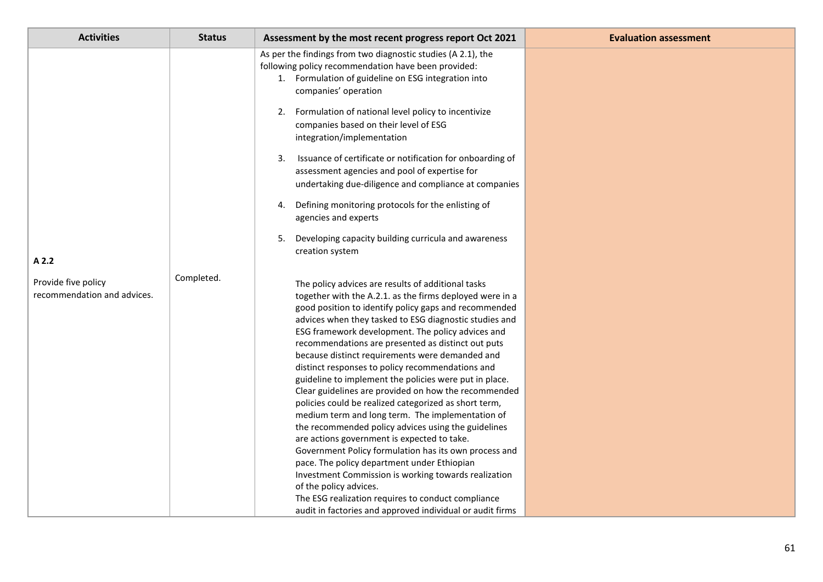| <b>Activities</b>                                           | <b>Status</b> | Assessment by the most recent progress report Oct 2021                                                                                                                                                                                                                                                                                                                                                                                                                                                                                                                                                                                                                                                                                                                                                                                                                                                                                                                                                                                                                                                | <b>Evaluation assessment</b> |
|-------------------------------------------------------------|---------------|-------------------------------------------------------------------------------------------------------------------------------------------------------------------------------------------------------------------------------------------------------------------------------------------------------------------------------------------------------------------------------------------------------------------------------------------------------------------------------------------------------------------------------------------------------------------------------------------------------------------------------------------------------------------------------------------------------------------------------------------------------------------------------------------------------------------------------------------------------------------------------------------------------------------------------------------------------------------------------------------------------------------------------------------------------------------------------------------------------|------------------------------|
|                                                             |               | As per the findings from two diagnostic studies (A 2.1), the<br>following policy recommendation have been provided:<br>1. Formulation of guideline on ESG integration into<br>companies' operation                                                                                                                                                                                                                                                                                                                                                                                                                                                                                                                                                                                                                                                                                                                                                                                                                                                                                                    |                              |
|                                                             |               | 2. Formulation of national level policy to incentivize<br>companies based on their level of ESG<br>integration/implementation                                                                                                                                                                                                                                                                                                                                                                                                                                                                                                                                                                                                                                                                                                                                                                                                                                                                                                                                                                         |                              |
|                                                             |               | Issuance of certificate or notification for onboarding of<br>3.<br>assessment agencies and pool of expertise for<br>undertaking due-diligence and compliance at companies                                                                                                                                                                                                                                                                                                                                                                                                                                                                                                                                                                                                                                                                                                                                                                                                                                                                                                                             |                              |
|                                                             |               | Defining monitoring protocols for the enlisting of<br>4.<br>agencies and experts                                                                                                                                                                                                                                                                                                                                                                                                                                                                                                                                                                                                                                                                                                                                                                                                                                                                                                                                                                                                                      |                              |
|                                                             |               | Developing capacity building curricula and awareness<br>5.<br>creation system                                                                                                                                                                                                                                                                                                                                                                                                                                                                                                                                                                                                                                                                                                                                                                                                                                                                                                                                                                                                                         |                              |
| A 2.2<br>Provide five policy<br>recommendation and advices. | Completed.    | The policy advices are results of additional tasks<br>together with the A.2.1. as the firms deployed were in a<br>good position to identify policy gaps and recommended<br>advices when they tasked to ESG diagnostic studies and<br>ESG framework development. The policy advices and<br>recommendations are presented as distinct out puts<br>because distinct requirements were demanded and<br>distinct responses to policy recommendations and<br>guideline to implement the policies were put in place.<br>Clear guidelines are provided on how the recommended<br>policies could be realized categorized as short term,<br>medium term and long term. The implementation of<br>the recommended policy advices using the guidelines<br>are actions government is expected to take.<br>Government Policy formulation has its own process and<br>pace. The policy department under Ethiopian<br>Investment Commission is working towards realization<br>of the policy advices.<br>The ESG realization requires to conduct compliance<br>audit in factories and approved individual or audit firms |                              |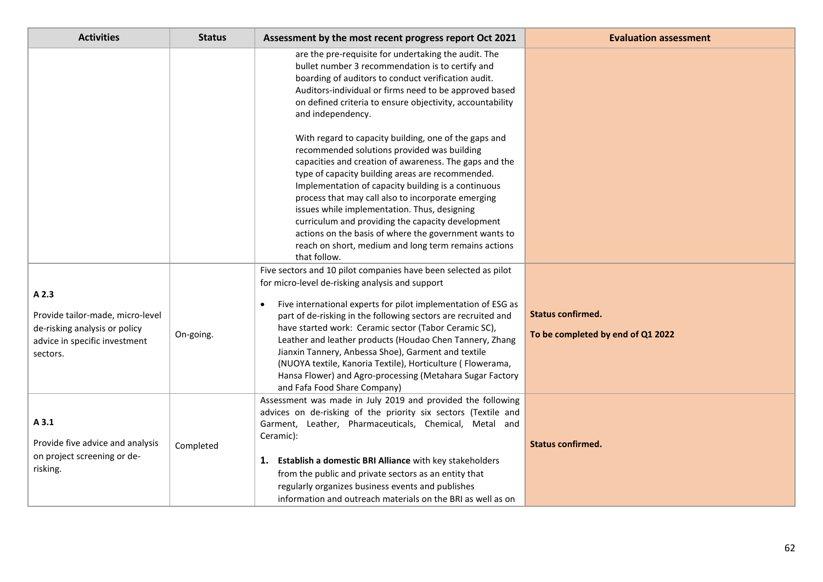| <b>Activities</b>                                                                                                       | <b>Status</b> | Assessment by the most recent progress report Oct 2021                                                                                                                                                                                                                                                                                                                                                                                                                                                                                                                                      | <b>Evaluation assessment</b>                                  |
|-------------------------------------------------------------------------------------------------------------------------|---------------|---------------------------------------------------------------------------------------------------------------------------------------------------------------------------------------------------------------------------------------------------------------------------------------------------------------------------------------------------------------------------------------------------------------------------------------------------------------------------------------------------------------------------------------------------------------------------------------------|---------------------------------------------------------------|
|                                                                                                                         |               | are the pre-requisite for undertaking the audit. The<br>bullet number 3 recommendation is to certify and<br>boarding of auditors to conduct verification audit.<br>Auditors-individual or firms need to be approved based<br>on defined criteria to ensure objectivity, accountability<br>and independency.                                                                                                                                                                                                                                                                                 |                                                               |
|                                                                                                                         |               | With regard to capacity building, one of the gaps and<br>recommended solutions provided was building<br>capacities and creation of awareness. The gaps and the<br>type of capacity building areas are recommended.<br>Implementation of capacity building is a continuous<br>process that may call also to incorporate emerging<br>issues while implementation. Thus, designing<br>curriculum and providing the capacity development<br>actions on the basis of where the government wants to<br>reach on short, medium and long term remains actions<br>that follow.                       |                                                               |
| A 2.3<br>Provide tailor-made, micro-level<br>de-risking analysis or policy<br>advice in specific investment<br>sectors. | On-going.     | Five sectors and 10 pilot companies have been selected as pilot<br>for micro-level de-risking analysis and support<br>Five international experts for pilot implementation of ESG as<br>part of de-risking in the following sectors are recruited and<br>have started work: Ceramic sector (Tabor Ceramic SC),<br>Leather and leather products (Houdao Chen Tannery, Zhang<br>Jianxin Tannery, Anbessa Shoe), Garment and textile<br>(NUOYA textile, Kanoria Textile), Horticulture (Flowerama,<br>Hansa Flower) and Agro-processing (Metahara Sugar Factory<br>and Fafa Food Share Company) | <b>Status confirmed.</b><br>To be completed by end of Q1 2022 |
| A3.1<br>Provide five advice and analysis<br>on project screening or de-<br>risking.                                     | Completed     | Assessment was made in July 2019 and provided the following<br>advices on de-risking of the priority six sectors (Textile and<br>Garment, Leather, Pharmaceuticals, Chemical, Metal and<br>Ceramic):<br>Establish a domestic BRI Alliance with key stakeholders<br>1.<br>from the public and private sectors as an entity that<br>regularly organizes business events and publishes<br>information and outreach materials on the BRI as well as on                                                                                                                                          | <b>Status confirmed.</b>                                      |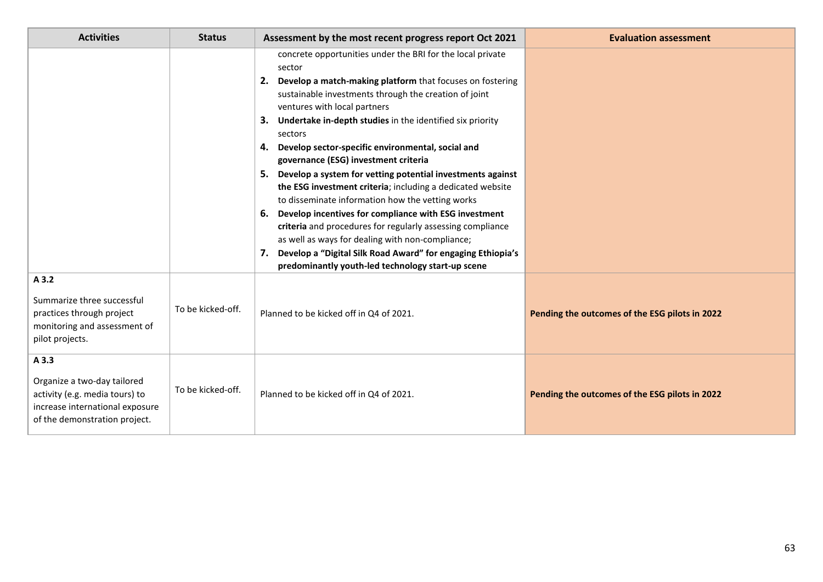| <b>Activities</b>                                                                                                                          | <b>Status</b>     | Assessment by the most recent progress report Oct 2021                                                                                                                                                                                                                                                                                                                                                                                                                                                                                                                                                                                                                                                                                                                                                                                                                                              | <b>Evaluation assessment</b>                   |
|--------------------------------------------------------------------------------------------------------------------------------------------|-------------------|-----------------------------------------------------------------------------------------------------------------------------------------------------------------------------------------------------------------------------------------------------------------------------------------------------------------------------------------------------------------------------------------------------------------------------------------------------------------------------------------------------------------------------------------------------------------------------------------------------------------------------------------------------------------------------------------------------------------------------------------------------------------------------------------------------------------------------------------------------------------------------------------------------|------------------------------------------------|
|                                                                                                                                            |                   | concrete opportunities under the BRI for the local private<br>sector<br>2. Develop a match-making platform that focuses on fostering<br>sustainable investments through the creation of joint<br>ventures with local partners<br>3. Undertake in-depth studies in the identified six priority<br>sectors<br>Develop sector-specific environmental, social and<br>4.<br>governance (ESG) investment criteria<br>5. Develop a system for vetting potential investments against<br>the ESG investment criteria; including a dedicated website<br>to disseminate information how the vetting works<br>6. Develop incentives for compliance with ESG investment<br>criteria and procedures for regularly assessing compliance<br>as well as ways for dealing with non-compliance;<br>7. Develop a "Digital Silk Road Award" for engaging Ethiopia's<br>predominantly youth-led technology start-up scene |                                                |
| A 3.2<br>Summarize three successful<br>practices through project<br>monitoring and assessment of<br>pilot projects.                        | To be kicked-off. | Planned to be kicked off in Q4 of 2021.                                                                                                                                                                                                                                                                                                                                                                                                                                                                                                                                                                                                                                                                                                                                                                                                                                                             | Pending the outcomes of the ESG pilots in 2022 |
| A 3.3<br>Organize a two-day tailored<br>activity (e.g. media tours) to<br>increase international exposure<br>of the demonstration project. | To be kicked-off. | Planned to be kicked off in Q4 of 2021.                                                                                                                                                                                                                                                                                                                                                                                                                                                                                                                                                                                                                                                                                                                                                                                                                                                             | Pending the outcomes of the ESG pilots in 2022 |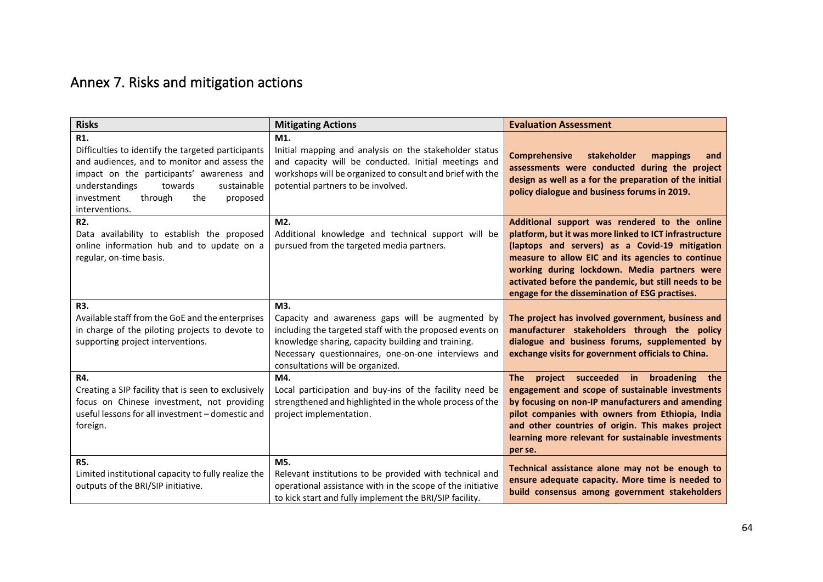# Annex 7. Risks and mitigation actions

| <b>Risks</b>                                                                                                                                                                                                                                                     | <b>Mitigating Actions</b>                                                                                                                                                                                                                                            | <b>Evaluation Assessment</b>                                                                                                                                                                                                                                                                                                                                             |
|------------------------------------------------------------------------------------------------------------------------------------------------------------------------------------------------------------------------------------------------------------------|----------------------------------------------------------------------------------------------------------------------------------------------------------------------------------------------------------------------------------------------------------------------|--------------------------------------------------------------------------------------------------------------------------------------------------------------------------------------------------------------------------------------------------------------------------------------------------------------------------------------------------------------------------|
| R1.<br>Difficulties to identify the targeted participants<br>and audiences, and to monitor and assess the<br>impact on the participants' awareness and<br>understandings<br>towards<br>sustainable<br>investment<br>through<br>the<br>proposed<br>interventions. | M1.<br>Initial mapping and analysis on the stakeholder status<br>and capacity will be conducted. Initial meetings and<br>workshops will be organized to consult and brief with the<br>potential partners to be involved.                                             | <b>Comprehensive</b><br>stakeholder<br>mappings<br>and<br>assessments were conducted during the project<br>design as well as a for the preparation of the initial<br>policy dialogue and business forums in 2019.                                                                                                                                                        |
| R <sub>2</sub> .<br>Data availability to establish the proposed<br>online information hub and to update on a<br>regular, on-time basis.                                                                                                                          | M <sub>2</sub> .<br>Additional knowledge and technical support will be<br>pursued from the targeted media partners.                                                                                                                                                  | Additional support was rendered to the online<br>platform, but it was more linked to ICT infrastructure<br>(laptops and servers) as a Covid-19 mitigation<br>measure to allow EIC and its agencies to continue<br>working during lockdown. Media partners were<br>activated before the pandemic, but still needs to be<br>engage for the dissemination of ESG practises. |
| R3.<br>Available staff from the GoE and the enterprises<br>in charge of the piloting projects to devote to<br>supporting project interventions.                                                                                                                  | M3.<br>Capacity and awareness gaps will be augmented by<br>including the targeted staff with the proposed events on<br>knowledge sharing, capacity building and training.<br>Necessary questionnaires, one-on-one interviews and<br>consultations will be organized. | The project has involved government, business and<br>manufacturer stakeholders through the policy<br>dialogue and business forums, supplemented by<br>exchange visits for government officials to China.                                                                                                                                                                 |
| R4.<br>Creating a SIP facility that is seen to exclusively<br>focus on Chinese investment, not providing<br>useful lessons for all investment - domestic and<br>foreign.                                                                                         | M4.<br>Local participation and buy-ins of the facility need be<br>strengthened and highlighted in the whole process of the<br>project implementation.                                                                                                                | project succeeded in broadening the<br><b>The</b><br>engagement and scope of sustainable investments<br>by focusing on non-IP manufacturers and amending<br>pilot companies with owners from Ethiopia, India<br>and other countries of origin. This makes project<br>learning more relevant for sustainable investments<br>per se.                                       |
| <b>R5.</b><br>Limited institutional capacity to fully realize the<br>outputs of the BRI/SIP initiative.                                                                                                                                                          | M5.<br>Relevant institutions to be provided with technical and<br>operational assistance with in the scope of the initiative<br>to kick start and fully implement the BRI/SIP facility.                                                                              | Technical assistance alone may not be enough to<br>ensure adequate capacity. More time is needed to<br>build consensus among government stakeholders                                                                                                                                                                                                                     |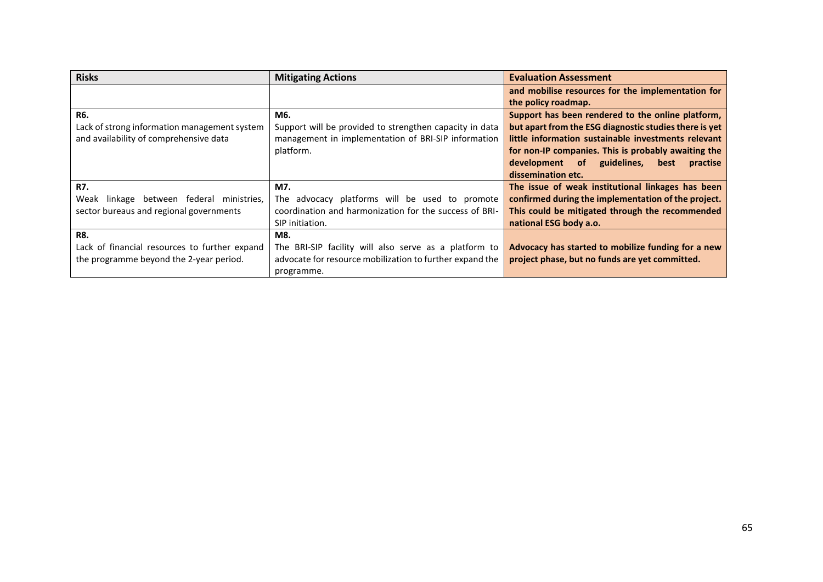| <b>Risks</b>                                  | <b>Mitigating Actions</b>                                | <b>Evaluation Assessment</b>                           |
|-----------------------------------------------|----------------------------------------------------------|--------------------------------------------------------|
|                                               |                                                          | and mobilise resources for the implementation for      |
|                                               |                                                          | the policy roadmap.                                    |
| <b>R6.</b>                                    | M6.                                                      | Support has been rendered to the online platform,      |
| Lack of strong information management system  | Support will be provided to strengthen capacity in data  | but apart from the ESG diagnostic studies there is yet |
| and availability of comprehensive data        | management in implementation of BRI-SIP information      | little information sustainable investments relevant    |
|                                               | platform.                                                | for non-IP companies. This is probably awaiting the    |
|                                               |                                                          | development of guidelines,<br>best<br>practise         |
|                                               |                                                          | dissemination etc.                                     |
| <b>R7.</b>                                    | M7.                                                      | The issue of weak institutional linkages has been      |
| linkage between federal ministries,<br>Weak   | The advocacy platforms will be used to promote           | confirmed during the implementation of the project.    |
| sector bureaus and regional governments       | coordination and harmonization for the success of BRI-   | This could be mitigated through the recommended        |
|                                               | SIP initiation.                                          | national ESG body a.o.                                 |
| <b>R8.</b>                                    | M8.                                                      |                                                        |
| Lack of financial resources to further expand | The BRI-SIP facility will also serve as a platform to    | Advocacy has started to mobilize funding for a new     |
| the programme beyond the 2-year period.       | advocate for resource mobilization to further expand the | project phase, but no funds are yet committed.         |
|                                               | programme.                                               |                                                        |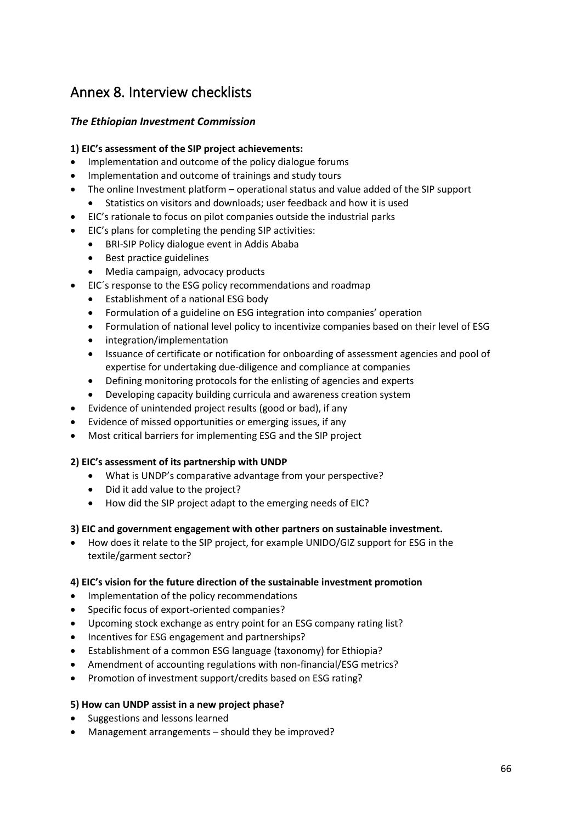## Annex 8. Interview checklists

## *The Ethiopian Investment Commission*

## **1) EIC's assessment of the SIP project achievements:**

- Implementation and outcome of the policy dialogue forums
- Implementation and outcome of trainings and study tours
- The online Investment platform operational status and value added of the SIP support
	- Statistics on visitors and downloads; user feedback and how it is used
- EIC's rationale to focus on pilot companies outside the industrial parks
- EIC's plans for completing the pending SIP activities:
	- BRI-SIP Policy dialogue event in Addis Ababa
	- Best practice guidelines
	- Media campaign, advocacy products
- EIC´s response to the ESG policy recommendations and roadmap
	- Establishment of a national ESG body
	- Formulation of a guideline on ESG integration into companies' operation
	- Formulation of national level policy to incentivize companies based on their level of ESG
	- integration/implementation
	- Issuance of certificate or notification for onboarding of assessment agencies and pool of expertise for undertaking due-diligence and compliance at companies
	- Defining monitoring protocols for the enlisting of agencies and experts
	- Developing capacity building curricula and awareness creation system
- Evidence of unintended project results (good or bad), if any
- Evidence of missed opportunities or emerging issues, if any
- Most critical barriers for implementing ESG and the SIP project

## **2) EIC's assessment of its partnership with UNDP**

- What is UNDP's comparative advantage from your perspective?
- Did it add value to the project?
- How did the SIP project adapt to the emerging needs of EIC?

## **3) EIC and government engagement with other partners on sustainable investment.**

• How does it relate to the SIP project, for example UNIDO/GIZ support for ESG in the textile/garment sector?

## **4) EIC's vision for the future direction of the sustainable investment promotion**

- Implementation of the policy recommendations
- Specific focus of export-oriented companies?
- Upcoming stock exchange as entry point for an ESG company rating list?
- Incentives for ESG engagement and partnerships?
- Establishment of a common ESG language (taxonomy) for Ethiopia?
- Amendment of accounting regulations with non-financial/ESG metrics?
- Promotion of investment support/credits based on ESG rating?

## **5) How can UNDP assist in a new project phase?**

- Suggestions and lessons learned
- Management arrangements should they be improved?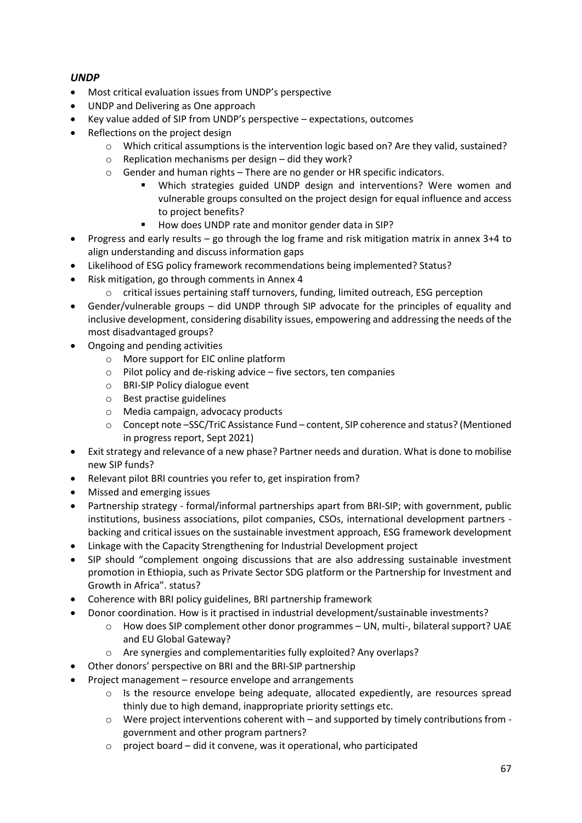## *UNDP*

- Most critical evaluation issues from UNDP's perspective
- UNDP and Delivering as One approach
- Key value added of SIP from UNDP's perspective expectations, outcomes
- Reflections on the project design
	- $\circ$  Which critical assumptions is the intervention logic based on? Are they valid, sustained?
	- o Replication mechanisms per design did they work?
	- $\circ$  Gender and human rights There are no gender or HR specific indicators.
		- Which strategies guided UNDP design and interventions? Were women and vulnerable groups consulted on the project design for equal influence and access to project benefits?
		- How does UNDP rate and monitor gender data in SIP?
- Progress and early results go through the log frame and risk mitigation matrix in annex 3+4 to align understanding and discuss information gaps
- Likelihood of ESG policy framework recommendations being implemented? Status?
- Risk mitigation, go through comments in Annex 4
	- o critical issues pertaining staff turnovers, funding, limited outreach, ESG perception
- Gender/vulnerable groups did UNDP through SIP advocate for the principles of equality and inclusive development, considering disability issues, empowering and addressing the needs of the most disadvantaged groups?
- Ongoing and pending activities
	- o More support for EIC online platform
	- o Pilot policy and de-risking advice five sectors, ten companies
	- o BRI-SIP Policy dialogue event
	- o Best practise guidelines
	- o Media campaign, advocacy products
	- o Concept note –SSC/TriC Assistance Fund content, SIP coherence and status? (Mentioned in progress report, Sept 2021)
- Exit strategy and relevance of a new phase? Partner needs and duration. What is done to mobilise new SIP funds?
- Relevant pilot BRI countries you refer to, get inspiration from?
- Missed and emerging issues
- Partnership strategy formal/informal partnerships apart from BRI-SIP; with government, public institutions, business associations, pilot companies, CSOs, international development partners backing and critical issues on the sustainable investment approach, ESG framework development
- Linkage with the Capacity Strengthening for Industrial Development project
- SIP should "complement ongoing discussions that are also addressing sustainable investment promotion in Ethiopia, such as Private Sector SDG platform or the Partnership for Investment and Growth in Africa". status?
- Coherence with BRI policy guidelines, BRI partnership framework
	- Donor coordination. How is it practised in industrial development/sustainable investments?
		- o How does SIP complement other donor programmes UN, multi-, bilateral support? UAE and EU Global Gateway?
		- o Are synergies and complementarities fully exploited? Any overlaps?
- Other donors' perspective on BRI and the BRI-SIP partnership
- Project management resource envelope and arrangements
	- $\circ$  Is the resource envelope being adequate, allocated expediently, are resources spread thinly due to high demand, inappropriate priority settings etc.
	- o Were project interventions coherent with and supported by timely contributions from government and other program partners?
	- $\circ$  project board did it convene, was it operational, who participated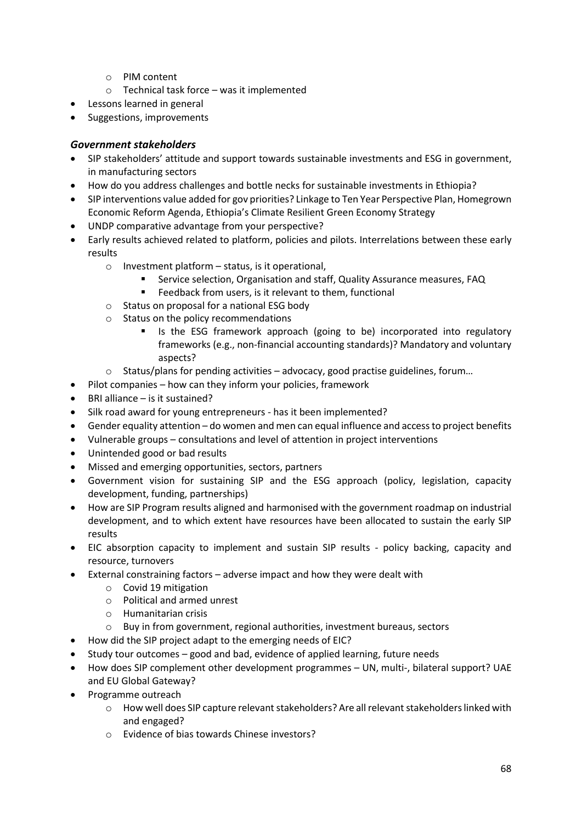- o PIM content
- o Technical task force was it implemented
- Lessons learned in general
- Suggestions, improvements

## *Government stakeholders*

- SIP stakeholders' attitude and support towards sustainable investments and ESG in government, in manufacturing sectors
- How do you address challenges and bottle necks for sustainable investments in Ethiopia?
- SIP interventions value added for gov priorities? Linkage to Ten Year Perspective Plan, Homegrown Economic Reform Agenda, Ethiopia's Climate Resilient Green Economy Strategy
- UNDP comparative advantage from your perspective?
- Early results achieved related to platform, policies and pilots. Interrelations between these early results
	- $\circ$  Investment platform status, is it operational,
		- Service selection, Organisation and staff, Quality Assurance measures, FAQ
		- Feedback from users, is it relevant to them, functional
	- o Status on proposal for a national ESG body
	- o Status on the policy recommendations
		- Is the ESG framework approach (going to be) incorporated into regulatory frameworks (e.g., non-financial accounting standards)? Mandatory and voluntary aspects?
	- $\circ$  Status/plans for pending activities advocacy, good practise guidelines, forum...
- Pilot companies how can they inform your policies, framework
- BRI alliance is it sustained?
- Silk road award for young entrepreneurs has it been implemented?
- Gender equality attention do women and men can equal influence and access to project benefits
- Vulnerable groups consultations and level of attention in project interventions
- Unintended good or bad results
- Missed and emerging opportunities, sectors, partners
- Government vision for sustaining SIP and the ESG approach (policy, legislation, capacity development, funding, partnerships)
- How are SIP Program results aligned and harmonised with the government roadmap on industrial development, and to which extent have resources have been allocated to sustain the early SIP results
- EIC absorption capacity to implement and sustain SIP results policy backing, capacity and resource, turnovers
- External constraining factors adverse impact and how they were dealt with
	- o Covid 19 mitigation
	- o Political and armed unrest
	- o Humanitarian crisis
	- $\circ$  Buy in from government, regional authorities, investment bureaus, sectors
- How did the SIP project adapt to the emerging needs of EIC?
- Study tour outcomes good and bad, evidence of applied learning, future needs
- How does SIP complement other development programmes UN, multi-, bilateral support? UAE and EU Global Gateway?
- Programme outreach
	- o How well does SIP capture relevant stakeholders? Are all relevant stakeholders linked with and engaged?
	- o Evidence of bias towards Chinese investors?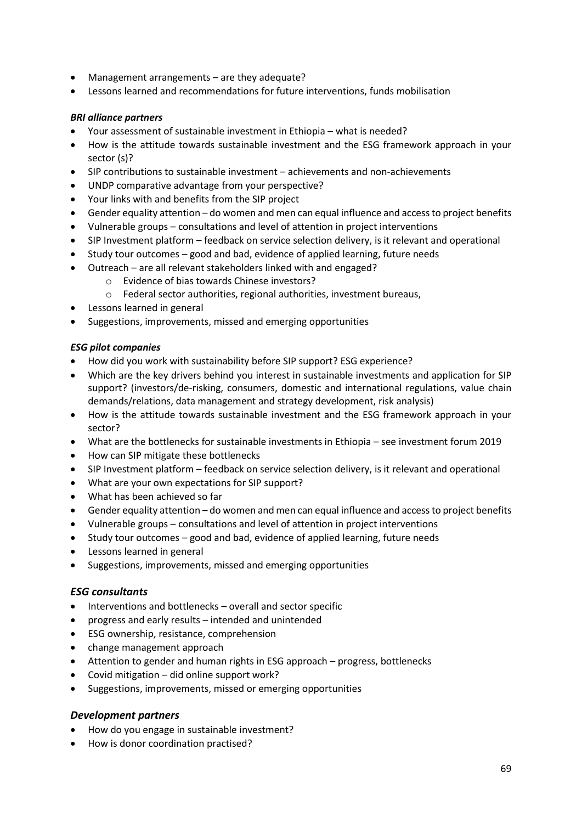- Management arrangements are they adequate?
- Lessons learned and recommendations for future interventions, funds mobilisation

#### *BRI alliance partners*

- Your assessment of sustainable investment in Ethiopia what is needed?
- How is the attitude towards sustainable investment and the ESG framework approach in your sector (s)?
- SIP contributions to sustainable investment achievements and non-achievements
- UNDP comparative advantage from your perspective?
- Your links with and benefits from the SIP project
- Gender equality attention do women and men can equal influence and access to project benefits
- Vulnerable groups consultations and level of attention in project interventions
- SIP Investment platform feedback on service selection delivery, is it relevant and operational
- Study tour outcomes good and bad, evidence of applied learning, future needs
- Outreach are all relevant stakeholders linked with and engaged?
	- o Evidence of bias towards Chinese investors?
	- o Federal sector authorities, regional authorities, investment bureaus,
- Lessons learned in general
- Suggestions, improvements, missed and emerging opportunities

#### *ESG pilot companies*

- How did you work with sustainability before SIP support? ESG experience?
- Which are the key drivers behind you interest in sustainable investments and application for SIP support? (investors/de-risking, consumers, domestic and international regulations, value chain demands/relations, data management and strategy development, risk analysis)
- How is the attitude towards sustainable investment and the ESG framework approach in your sector?
- What are the bottlenecks for sustainable investments in Ethiopia see investment forum 2019
- How can SIP mitigate these bottlenecks
- SIP Investment platform feedback on service selection delivery, is it relevant and operational
- What are your own expectations for SIP support?
- What has been achieved so far
- Gender equality attention do women and men can equal influence and access to project benefits
- Vulnerable groups consultations and level of attention in project interventions
- Study tour outcomes good and bad, evidence of applied learning, future needs
- Lessons learned in general
- Suggestions, improvements, missed and emerging opportunities

#### *ESG consultants*

- Interventions and bottlenecks overall and sector specific
- progress and early results intended and unintended
- ESG ownership, resistance, comprehension
- change management approach
- Attention to gender and human rights in ESG approach progress, bottlenecks
- Covid mitigation did online support work?
- Suggestions, improvements, missed or emerging opportunities

## *Development partners*

- How do you engage in sustainable investment?
- How is donor coordination practised?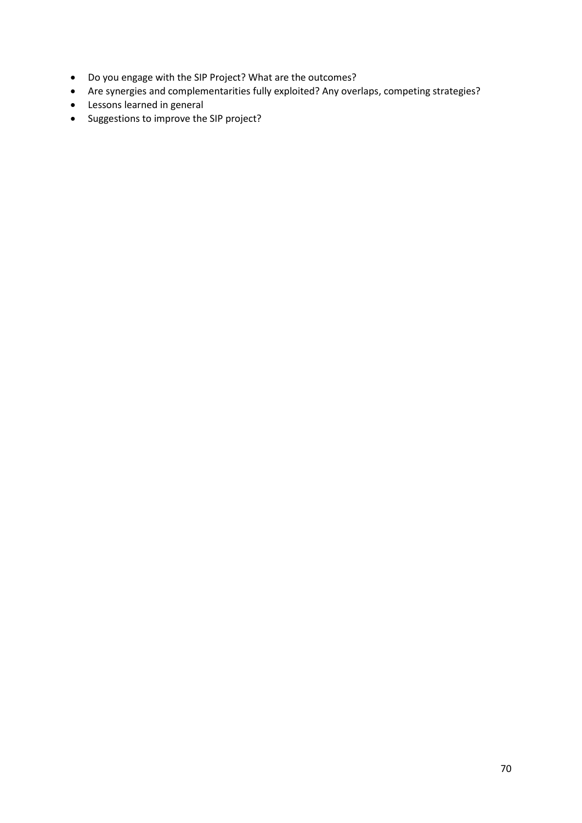- Do you engage with the SIP Project? What are the outcomes?
- Are synergies and complementarities fully exploited? Any overlaps, competing strategies?
- Lessons learned in general
- Suggestions to improve the SIP project?